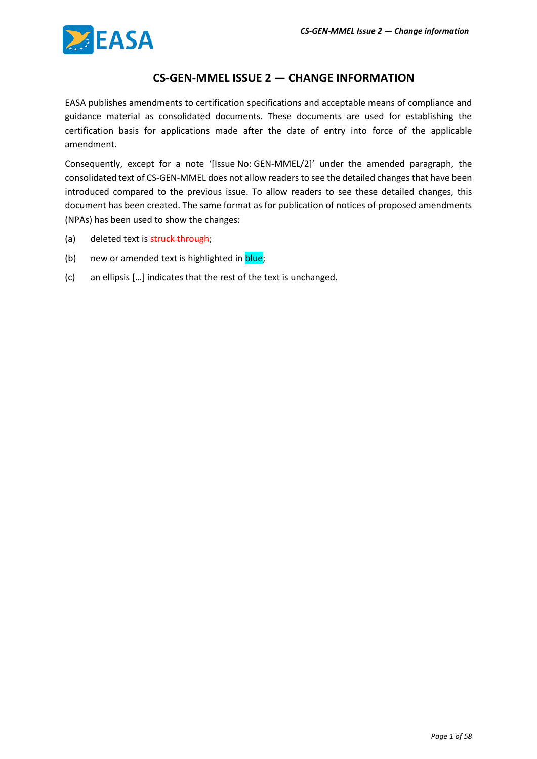

### **CS-GEN-MMEL ISSUE 2 — CHANGE INFORMATION**

EASA publishes amendments to certification specifications and acceptable means of compliance and guidance material as consolidated documents. These documents are used for establishing the certification basis for applications made after the date of entry into force of the applicable amendment.

Consequently, except for a note '[Issue No: GEN-MMEL/2]' under the amended paragraph, the consolidated text of CS-GEN-MMEL does not allow readers to see the detailed changes that have been introduced compared to the previous issue. To allow readers to see these detailed changes, this document has been created. The same format as for publication of notices of proposed amendments (NPAs) has been used to show the changes:

- (a) deleted text is struck through;
- (b) new or amended text is highlighted in **blue**;
- (c) an ellipsis […] indicates that the rest of the text is unchanged.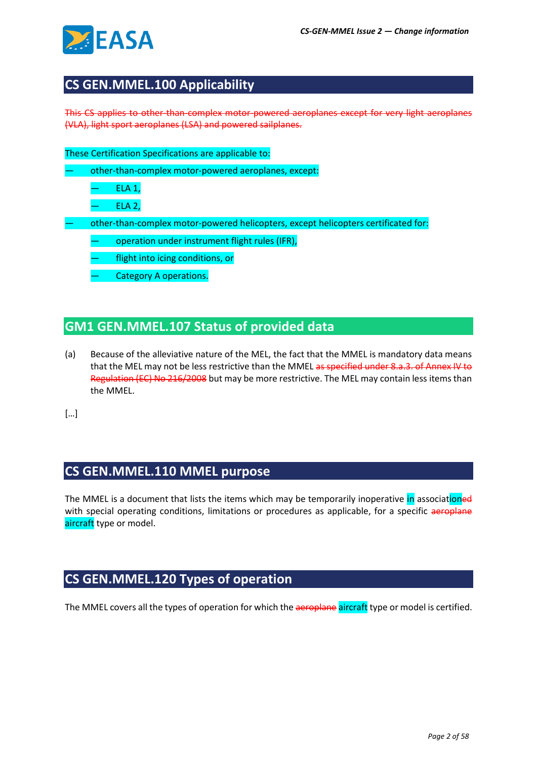

# **CS GEN.MMEL.100 Applicability**

This CS applies to other-than-complex motor-powered aeroplanes except for very light aeroplanes (VLA), light sport aeroplanes (LSA) and powered sailplanes.

These Certification Specifications are applicable to:

— other-than-complex motor-powered aeroplanes, except:

— ELA 1,

— ELA 2,

— other-than-complex motor-powered helicopters, except helicopters certificated for:

operation under instrument flight rules (IFR),

- flight into icing conditions, or
- Category A operations.

# **GM1 GEN.MMEL.107 Status of provided data**

(a) Because of the alleviative nature of the MEL, the fact that the MMEL is mandatory data means that the MEL may not be less restrictive than the MMEL as specified under 8.a.3. of Annex IV to Regulation (EC) No 216/2008 but may be more restrictive. The MEL may contain less items than the MMEL.

[…]

# **CS GEN.MMEL.110 MMEL purpose**

The MMEL is a document that lists the items which may be temporarily inoperative in associationed with special operating conditions, limitations or procedures as applicable, for a specific aeroplane aircraft type or model.

# **CS GEN.MMEL.120 Types of operation**

The MMEL covers all the types of operation for which the aeroplane aircraft type or model is certified.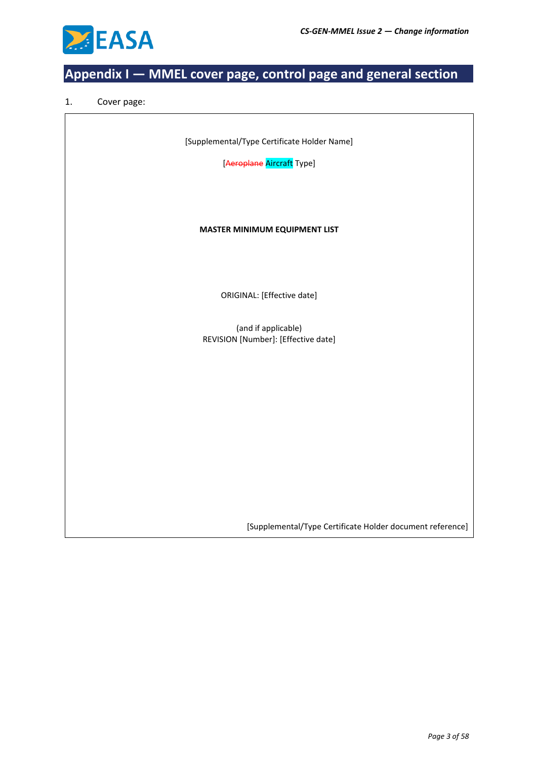

# **Appendix I — MMEL cover page, control page and general section**

#### 1. Cover page:

[Supplemental/Type Certificate Holder Name]

[Aeroplane Aircraft Type]

#### **MASTER MINIMUM EQUIPMENT LIST**

ORIGINAL: [Effective date]

(and if applicable) REVISION [Number]: [Effective date]

[Supplemental/Type Certificate Holder document reference]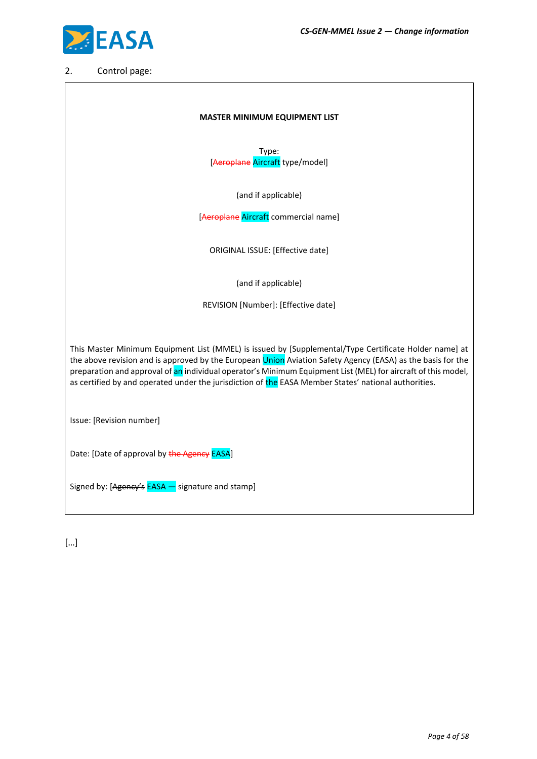$\overline{\phantom{a}}$ 



### 2. Control page:

 $\overline{a}$ 

| <b>MASTER MINIMUM EQUIPMENT LIST</b>                                                                                                                                                                                                                                                                                                                                                                                                          |  |  |  |  |  |  |  |  |
|-----------------------------------------------------------------------------------------------------------------------------------------------------------------------------------------------------------------------------------------------------------------------------------------------------------------------------------------------------------------------------------------------------------------------------------------------|--|--|--|--|--|--|--|--|
| Type:<br>[Aeroplane Aircraft type/model]                                                                                                                                                                                                                                                                                                                                                                                                      |  |  |  |  |  |  |  |  |
| (and if applicable)                                                                                                                                                                                                                                                                                                                                                                                                                           |  |  |  |  |  |  |  |  |
| [Aeroplane Aircraft commercial name]                                                                                                                                                                                                                                                                                                                                                                                                          |  |  |  |  |  |  |  |  |
| ORIGINAL ISSUE: [Effective date]                                                                                                                                                                                                                                                                                                                                                                                                              |  |  |  |  |  |  |  |  |
| (and if applicable)                                                                                                                                                                                                                                                                                                                                                                                                                           |  |  |  |  |  |  |  |  |
| REVISION [Number]: [Effective date]                                                                                                                                                                                                                                                                                                                                                                                                           |  |  |  |  |  |  |  |  |
| This Master Minimum Equipment List (MMEL) is issued by [Supplemental/Type Certificate Holder name] at<br>the above revision and is approved by the European Union Aviation Safety Agency (EASA) as the basis for the<br>preparation and approval of an individual operator's Minimum Equipment List (MEL) for aircraft of this model,<br>as certified by and operated under the jurisdiction of the EASA Member States' national authorities. |  |  |  |  |  |  |  |  |
| Issue: [Revision number]                                                                                                                                                                                                                                                                                                                                                                                                                      |  |  |  |  |  |  |  |  |
| Date: [Date of approval by the Agency EASA]                                                                                                                                                                                                                                                                                                                                                                                                   |  |  |  |  |  |  |  |  |
| Signed by: [Agency's EASA – signature and stamp]                                                                                                                                                                                                                                                                                                                                                                                              |  |  |  |  |  |  |  |  |

[…]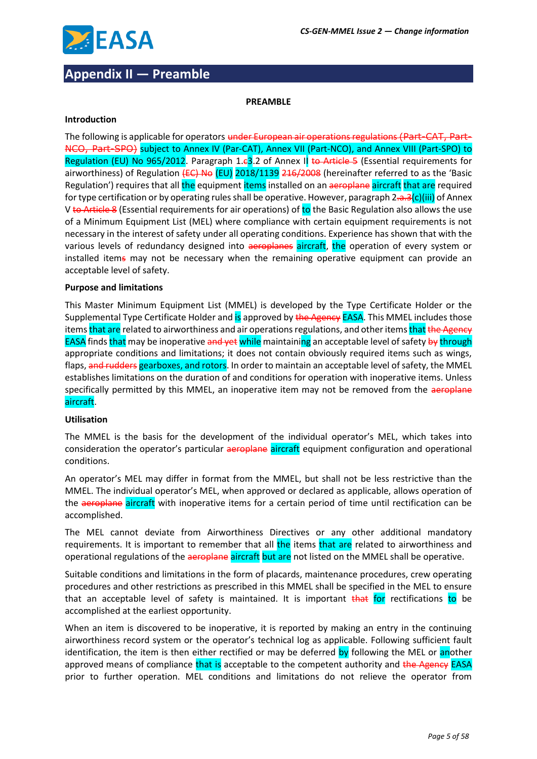

# **Appendix II — Preamble**

#### **PREAMBLE**

#### **Introduction**

The following is applicable for operators under European air operations regulations (Part-CAT, Part-NCO, Part-SPO) subject to Annex IV (Par-CAT), Annex VII (Part-NCO), and Annex VIII (Part-SPO) to Regulation (EU) No 965/2012. Paragraph 1.e3.2 of Annex II to Article 5 (Essential requirements for airworthiness) of Regulation (EC) No (EU) 2018/1139 216/2008 (hereinafter referred to as the 'Basic Regulation') requires that all the equipment items installed on an aeroplane aircraft that are required for type certification or by operating rules shall be operative. However, paragraph  $2\pi a^3(c)$ (iii) of Annex V to Article 8 (Essential requirements for air operations) of to the Basic Regulation also allows the use of a Minimum Equipment List (MEL) where compliance with certain equipment requirements is not necessary in the interest of safety under all operating conditions. Experience has shown that with the various levels of redundancy designed into aeroplanes aircraft, the operation of every system or installed items may not be necessary when the remaining operative equipment can provide an acceptable level of safety.

#### **Purpose and limitations**

This Master Minimum Equipment List (MMEL) is developed by the Type Certificate Holder or the Supplemental Type Certificate Holder and is approved by the Agency EASA. This MMEL includes those items that are related to airworthiness and air operations regulations, and other items that the Agency EASA finds that may be inoperative and yet while maintaining an acceptable level of safety by through appropriate conditions and limitations; it does not contain obviously required items such as wings, flaps, and rudders gearboxes, and rotors. In order to maintain an acceptable level of safety, the MMEL establishes limitations on the duration of and conditions for operation with inoperative items. Unless specifically permitted by this MMEL, an inoperative item may not be removed from the aeroplane aircraft.

#### **Utilisation**

The MMEL is the basis for the development of the individual operator's MEL, which takes into consideration the operator's particular aeroplane aircraft equipment configuration and operational conditions.

An operator's MEL may differ in format from the MMEL, but shall not be less restrictive than the MMEL. The individual operator's MEL, when approved or declared as applicable, allows operation of the aeroplane aircraft with inoperative items for a certain period of time until rectification can be accomplished.

The MEL cannot deviate from Airworthiness Directives or any other additional mandatory requirements. It is important to remember that all the items that are related to airworthiness and operational regulations of the aeroplane aircraft but are not listed on the MMEL shall be operative.

Suitable conditions and limitations in the form of placards, maintenance procedures, crew operating procedures and other restrictions as prescribed in this MMEL shall be specified in the MEL to ensure that an acceptable level of safety is maintained. It is important that for rectifications to be accomplished at the earliest opportunity.

When an item is discovered to be inoperative, it is reported by making an entry in the continuing airworthiness record system or the operator's technical log as applicable. Following sufficient fault identification, the item is then either rectified or may be deferred by following the MEL or another approved means of compliance that is acceptable to the competent authority and the Agency EASA prior to further operation. MEL conditions and limitations do not relieve the operator from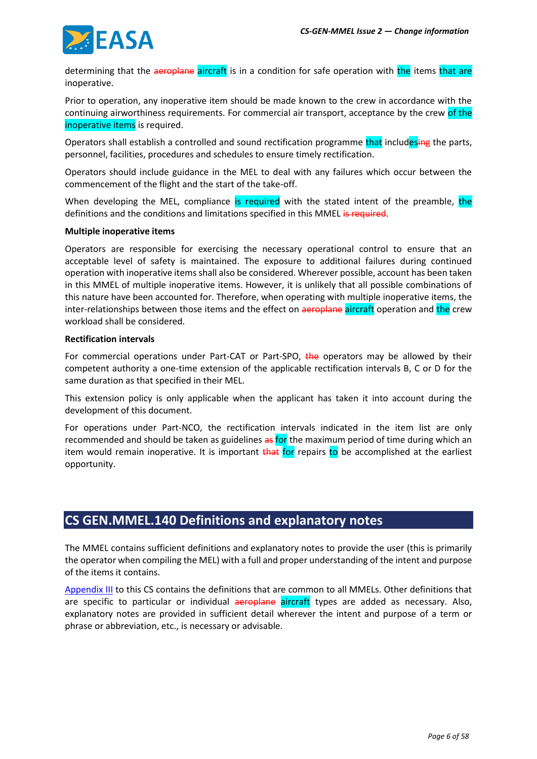

determining that the aeroplane aircraft is in a condition for safe operation with the items that are inoperative.

Prior to operation, any inoperative item should be made known to the crew in accordance with the continuing airworthiness requirements. For commercial air transport, acceptance by the crew of the inoperative items is required.

Operators shall establish a controlled and sound rectification programme that includesing the parts, personnel, facilities, procedures and schedules to ensure timely rectification.

Operators should include guidance in the MEL to deal with any failures which occur between the commencement of the flight and the start of the take-off.

When developing the MEL, compliance is required with the stated intent of the preamble, the definitions and the conditions and limitations specified in this MMEL is required.

#### **Multiple inoperative items**

Operators are responsible for exercising the necessary operational control to ensure that an acceptable level of safety is maintained. The exposure to additional failures during continued operation with inoperative items shall also be considered. Wherever possible, account has been taken in this MMEL of multiple inoperative items. However, it is unlikely that all possible combinations of this nature have been accounted for. Therefore, when operating with multiple inoperative items, the inter-relationships between those items and the effect on aeroplane aircraft operation and the crew workload shall be considered.

#### **Rectification intervals**

For commercial operations under Part-CAT or Part-SPO, the operators may be allowed by their competent authority a one-time extension of the applicable rectification intervals B, C or D for the same duration as that specified in their MEL.

This extension policy is only applicable when the applicant has taken it into account during the development of this document.

For operations under Part-NCO, the rectification intervals indicated in the item list are only recommended and should be taken as guidelines as for the maximum period of time during which an item would remain inoperative. It is important that for repairs to be accomplished at the earliest opportunity.

### **CS GEN.MMEL.140 Definitions and explanatory notes**

The MMEL contains sufficient definitions and explanatory notes to provide the user (this is primarily the operator when compiling the MEL) with a full and proper understanding of the intent and purpose of the items it contains.

[Appendix III](#page-6-0) to this CS contains the definitions that are common to all MMELs. Other definitions that are specific to particular or individual aeroplane aircraft types are added as necessary. Also, explanatory notes are provided in sufficient detail wherever the intent and purpose of a term or phrase or abbreviation, etc., is necessary or advisable.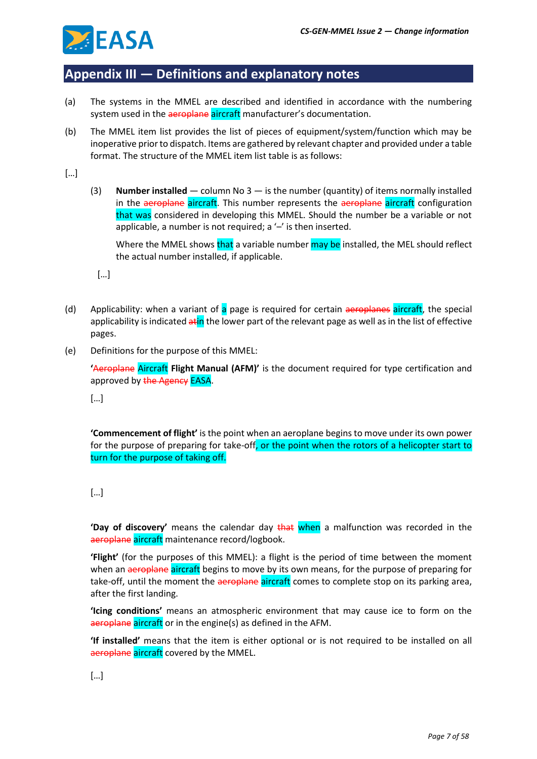

## <span id="page-6-0"></span>**Appendix III — Definitions and explanatory notes**

- (a) The systems in the MMEL are described and identified in accordance with the numbering system used in the aeroplane aircraft manufacturer's documentation.
- (b) The MMEL item list provides the list of pieces of equipment/system/function which may be inoperative prior to dispatch. Items are gathered by relevant chapter and provided under a table format. The structure of the MMEL item list table is as follows:

[…]

(3) **Number installed** — column No 3 — is the number (quantity) of items normally installed in the aeroplane aircraft. This number represents the aeroplane aircraft configuration that was considered in developing this MMEL. Should the number be a variable or not applicable, a number is not required; a  $-$ ' is then inserted.

Where the MMEL shows that a variable number may be installed, the MEL should reflect the actual number installed, if applicable.

[…]

- (d) Applicability: when a variant of a page is required for certain aeroplanes aircraft, the special applicability is indicated atin the lower part of the relevant page as well as in the list of effective pages.
- (e) Definitions for the purpose of this MMEL:

**'**Aeroplane Aircraft **Flight Manual (AFM)'** is the document required for type certification and approved by the Agency EASA.

[…]

**'Commencement of flight'** is the point when an aeroplane begins to move under its own power for the purpose of preparing for take-off, or the point when the rotors of a helicopter start to turn for the purpose of taking off.

**'Day of discovery'** means the calendar day that when a malfunction was recorded in the aeroplane aircraft maintenance record/logbook.

**'Flight'** (for the purposes of this MMEL): a flight is the period of time between the moment when an aeroplane aircraft begins to move by its own means, for the purpose of preparing for take-off, until the moment the aeroplane aircraft comes to complete stop on its parking area, after the first landing.

**'Icing conditions'** means an atmospheric environment that may cause ice to form on the aeroplane aircraft or in the engine(s) as defined in the AFM.

**'If installed'** means that the item is either optional or is not required to be installed on all aeroplane aircraft covered by the MMEL.

[…]

<sup>[</sup>…]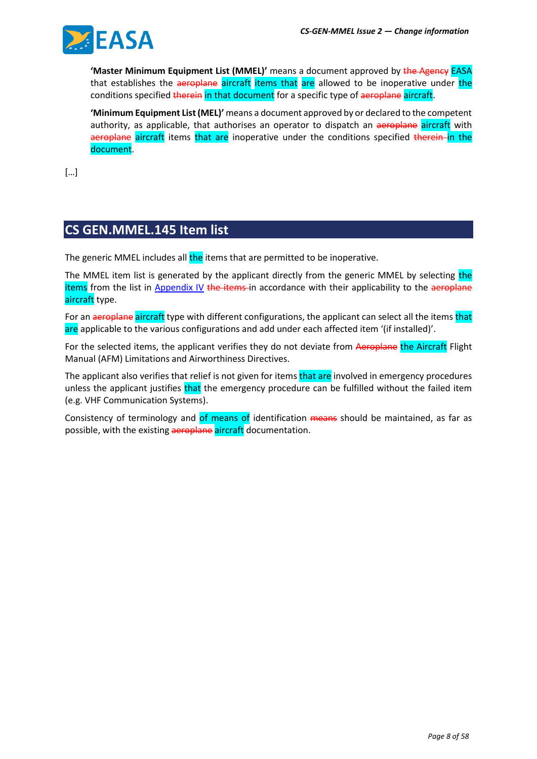

**'Master Minimum Equipment List (MMEL)'** means a document approved by the Agency EASA that establishes the aeroplane aircraft items that are allowed to be inoperative under the conditions specified therein in that document for a specific type of aeroplane aircraft.

**'Minimum Equipment List (MEL)'** means a document approved by or declared to the competent authority, as applicable, that authorises an operator to dispatch an aeroplane aircraft with aeroplane aircraft items that are inoperative under the conditions specified therein in the document.

[…]

# **CS GEN.MMEL.145 Item list**

The generic MMEL includes all the items that are permitted to be inoperative.

The MMEL item list is generated by the applicant directly from the generic MMEL by selecting the items from the list in Appendix IV the items-in accordance with their applicability to the aeroplane aircraft type.

For an aeroplane aircraft type with different configurations, the applicant can select all the items that are applicable to the various configurations and add under each affected item '(if installed)'.

For the selected items, the applicant verifies they do not deviate from Aeroplane the Aircraft Flight Manual (AFM) Limitations and Airworthiness Directives.

The applicant also verifies that relief is not given for items that are involved in emergency procedures unless the applicant justifies that the emergency procedure can be fulfilled without the failed item (e.g. VHF Communication Systems).

Consistency of terminology and of means of identification means should be maintained, as far as possible, with the existing aeroplane aircraft documentation.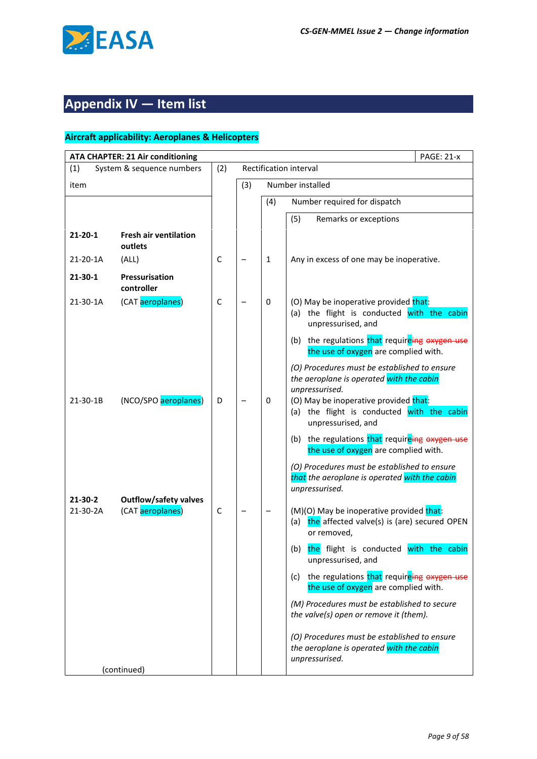

# **Appendix IV — Item list**

| <b>ATA CHAPTER: 21 Air conditioning</b> |                                                  |             |     |              | <b>PAGE: 21-x</b>                                                                                                                                                                                                       |
|-----------------------------------------|--------------------------------------------------|-------------|-----|--------------|-------------------------------------------------------------------------------------------------------------------------------------------------------------------------------------------------------------------------|
| (1)                                     | System & sequence numbers                        | (2)         |     |              | Rectification interval                                                                                                                                                                                                  |
| item                                    |                                                  |             | (3) |              | Number installed                                                                                                                                                                                                        |
|                                         |                                                  |             |     | (4)          | Number required for dispatch                                                                                                                                                                                            |
|                                         |                                                  |             |     |              | (5)<br>Remarks or exceptions                                                                                                                                                                                            |
| 21-20-1                                 | <b>Fresh air ventilation</b><br>outlets          |             |     |              |                                                                                                                                                                                                                         |
| 21-20-1A                                | (ALL)                                            | C           |     | $\mathbf{1}$ | Any in excess of one may be inoperative.                                                                                                                                                                                |
| $21 - 30 - 1$                           | <b>Pressurisation</b><br>controller              |             |     |              |                                                                                                                                                                                                                         |
| 21-30-1A                                | (CAT aeroplanes)                                 | $\mathsf C$ |     | 0            | (O) May be inoperative provided that:<br>(a) the flight is conducted with the cabin<br>unpressurised, and                                                                                                               |
|                                         |                                                  |             |     |              | (b) the regulations that requireing oxygen use<br>the use of oxygen are complied with.                                                                                                                                  |
| 21-30-1B                                | (NCO/SPO aeroplanes)                             | D           |     | 0            | (O) Procedures must be established to ensure<br>the aeroplane is operated with the cabin<br>unpressurised.<br>(O) May be inoperative provided that:<br>(a) the flight is conducted with the cabin<br>unpressurised, and |
|                                         |                                                  |             |     |              | the regulations that requireing oxygen use<br>(b)<br>the use of oxygen are complied with.                                                                                                                               |
| $21 - 30 - 2$                           |                                                  |             |     |              | (O) Procedures must be established to ensure<br>that the aeroplane is operated with the cabin<br>unpressurised.                                                                                                         |
| 21-30-2A                                | <b>Outflow/safety valves</b><br>(CAT aeroplanes) | C           |     |              | (M)(O) May be inoperative provided that:<br>the affected valve(s) is (are) secured OPEN<br>(a)<br>or removed,                                                                                                           |
|                                         |                                                  |             |     |              | the flight is conducted with the cabin<br>(b)<br>unpressurised, and                                                                                                                                                     |
|                                         |                                                  |             |     |              | the regulations that requireing oxygen use<br>(c)<br>the use of oxygen are complied with.                                                                                                                               |
|                                         |                                                  |             |     |              | (M) Procedures must be established to secure<br>the valve(s) open or remove it (them).                                                                                                                                  |
|                                         |                                                  |             |     |              | (O) Procedures must be established to ensure<br>the aeroplane is operated with the cabin<br>unpressurised.                                                                                                              |
|                                         | (continued)                                      |             |     |              |                                                                                                                                                                                                                         |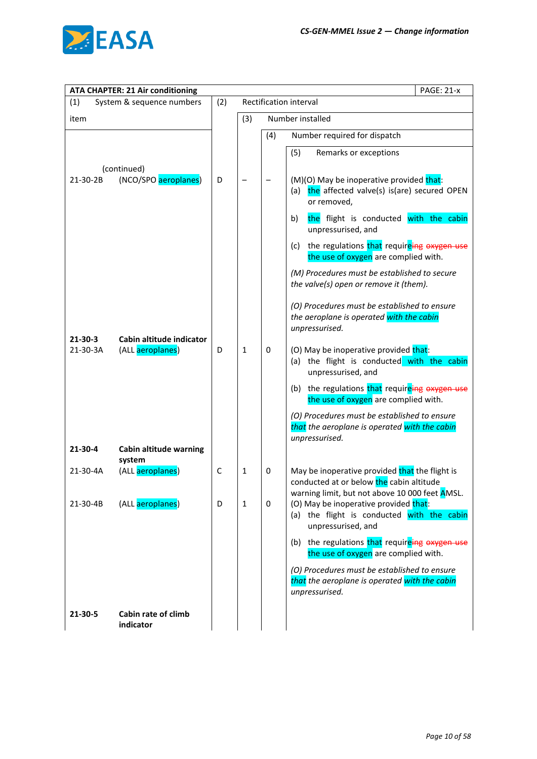

| <b>PAGE: 21-x</b><br><b>ATA CHAPTER: 21 Air conditioning</b> |              |     |                        |                                                                                                                                              |  |  |  |
|--------------------------------------------------------------|--------------|-----|------------------------|----------------------------------------------------------------------------------------------------------------------------------------------|--|--|--|
| System & sequence numbers<br>(1)                             | (2)          |     | Rectification interval |                                                                                                                                              |  |  |  |
| item                                                         |              | (3) |                        | Number installed                                                                                                                             |  |  |  |
|                                                              |              |     | (4)                    | Number required for dispatch                                                                                                                 |  |  |  |
|                                                              |              |     |                        | (5)<br>Remarks or exceptions                                                                                                                 |  |  |  |
| (continued)                                                  |              |     |                        |                                                                                                                                              |  |  |  |
| (NCO/SPO aeroplanes)<br>21-30-2B                             | D            |     |                        | (M)(O) May be inoperative provided that:<br>the affected valve(s) is(are) secured OPEN<br>(a)<br>or removed,                                 |  |  |  |
|                                                              |              |     |                        | the flight is conducted with the cabin<br>b)<br>unpressurised, and                                                                           |  |  |  |
|                                                              |              |     |                        | the regulations that requireing oxygen use<br>(c)<br>the use of oxygen are complied with.                                                    |  |  |  |
|                                                              |              |     |                        | (M) Procedures must be established to secure<br>the valve(s) open or remove it (them).                                                       |  |  |  |
| Cabin altitude indicator<br>21-30-3                          |              |     |                        | (O) Procedures must be established to ensure<br>the aeroplane is operated with the cabin<br>unpressurised.                                   |  |  |  |
| 21-30-3A<br>(ALL aeroplanes)                                 | D            | 1   | $\mathbf 0$            | (O) May be inoperative provided that:<br>(a) the flight is conducted with the cabin<br>unpressurised, and                                    |  |  |  |
|                                                              |              |     |                        | (b) the regulations that requireing oxygen use<br>the use of oxygen are complied with.                                                       |  |  |  |
|                                                              |              |     |                        | (O) Procedures must be established to ensure<br>that the aeroplane is operated with the cabin<br>unpressurised.                              |  |  |  |
| $21 - 30 - 4$<br><b>Cabin altitude warning</b>               |              |     |                        |                                                                                                                                              |  |  |  |
| system<br>(ALL aeroplanes)<br>21-30-4A                       | $\mathsf{C}$ | 1   | 0                      | May be inoperative provided that the flight is<br>conducted at or below the cabin altitude<br>warning limit, but not above 10 000 feet AMSL. |  |  |  |
| (ALL aeroplanes)<br>21-30-4B                                 | D            | 1   | $\mathbf 0$            | (O) May be inoperative provided that:<br>(a) the flight is conducted with the cabin<br>unpressurised, and                                    |  |  |  |
|                                                              |              |     |                        | (b) the regulations that requireing oxygen use<br>the use of oxygen are complied with.                                                       |  |  |  |
|                                                              |              |     |                        | (O) Procedures must be established to ensure<br>that the aeroplane is operated with the cabin<br>unpressurised.                              |  |  |  |
| 21-30-5<br>Cabin rate of climb<br>indicator                  |              |     |                        |                                                                                                                                              |  |  |  |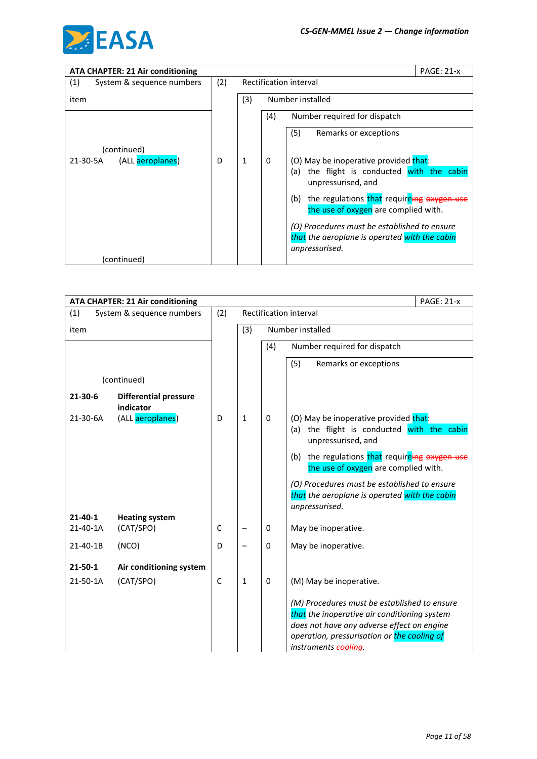

| <b>ATA CHAPTER: 21 Air conditioning</b> | <b>PAGE: 21-x</b> |                        |     |                                                                                                                 |  |
|-----------------------------------------|-------------------|------------------------|-----|-----------------------------------------------------------------------------------------------------------------|--|
| (1)<br>System & sequence numbers        | (2)               | Rectification interval |     |                                                                                                                 |  |
| item                                    |                   | (3)                    |     | Number installed                                                                                                |  |
|                                         |                   |                        | (4) | Number required for dispatch                                                                                    |  |
|                                         |                   |                        |     | (5)<br>Remarks or exceptions                                                                                    |  |
| (continued)                             |                   |                        |     |                                                                                                                 |  |
| (ALL aeroplanes)<br>21-30-5A            | D                 | 1                      | 0   | (O) May be inoperative provided that:<br>the flight is conducted with the cabin<br>(a)<br>unpressurised, and    |  |
|                                         |                   |                        |     | the regulations that requireing oxyge<br>(b)<br>the use of oxygen are complied with.                            |  |
|                                         |                   |                        |     | (O) Procedures must be established to ensure<br>that the aeroplane is operated with the cabin<br>unpressurised. |  |
| (continued)                             |                   |                        |     |                                                                                                                 |  |

|               | <b>ATA CHAPTER: 21 Air conditioning</b>   |              |              |                        | <b>PAGE: 21-x</b>                                                                                                                                                                                                 |  |  |  |
|---------------|-------------------------------------------|--------------|--------------|------------------------|-------------------------------------------------------------------------------------------------------------------------------------------------------------------------------------------------------------------|--|--|--|
| (1)           | System & sequence numbers                 | (2)          |              | Rectification interval |                                                                                                                                                                                                                   |  |  |  |
| item          |                                           |              | (3)          |                        | Number installed                                                                                                                                                                                                  |  |  |  |
|               |                                           |              |              | (4)                    | Number required for dispatch                                                                                                                                                                                      |  |  |  |
|               |                                           |              |              |                        | (5)<br>Remarks or exceptions                                                                                                                                                                                      |  |  |  |
|               | (continued)                               |              |              |                        |                                                                                                                                                                                                                   |  |  |  |
| $21 - 30 - 6$ | <b>Differential pressure</b><br>indicator |              |              |                        |                                                                                                                                                                                                                   |  |  |  |
| 21-30-6A      | (ALL aeroplanes)                          | D            | $\mathbf{1}$ | $\Omega$               | (O) May be inoperative provided that:<br>the flight is conducted with the cabin<br>(a)<br>unpressurised, and                                                                                                      |  |  |  |
|               |                                           |              |              |                        | the regulations that requireing oxygen use<br>(b)<br>the use of oxygen are complied with.                                                                                                                         |  |  |  |
|               |                                           |              |              |                        | (O) Procedures must be established to ensure<br>that the aeroplane is operated with the cabin<br>unpressurised.                                                                                                   |  |  |  |
| $21 - 40 - 1$ | <b>Heating system</b>                     |              |              |                        |                                                                                                                                                                                                                   |  |  |  |
| 21-40-1A      | (CAT/SPO)                                 | $\mathsf{C}$ |              | 0                      | May be inoperative.                                                                                                                                                                                               |  |  |  |
| 21-40-1B      | (NCO)                                     | D            |              | $\mathbf 0$            | May be inoperative.                                                                                                                                                                                               |  |  |  |
| $21 - 50 - 1$ | Air conditioning system                   |              |              |                        |                                                                                                                                                                                                                   |  |  |  |
| 21-50-1A      | (CAT/SPO)                                 | $\mathsf{C}$ | 1            | $\mathbf 0$            | (M) May be inoperative.                                                                                                                                                                                           |  |  |  |
|               |                                           |              |              |                        | (M) Procedures must be established to ensure<br>that the inoperative air conditioning system<br>does not have any adverse effect on engine<br>operation, pressurisation or the cooling of<br>instruments cooling. |  |  |  |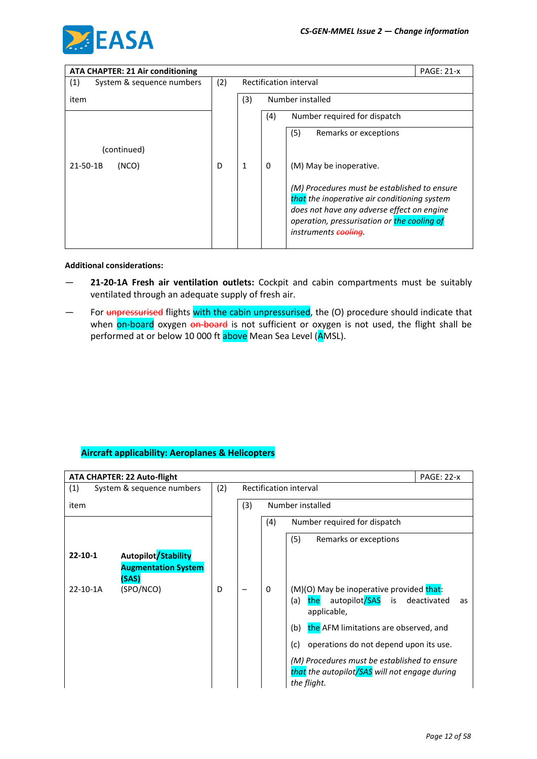

| <b>ATA CHAPTER: 21 Air conditioning</b> |     |                        |                                                         |                                                                                                                                                                                                                   | <b>PAGE: 21-x</b> |  |
|-----------------------------------------|-----|------------------------|---------------------------------------------------------|-------------------------------------------------------------------------------------------------------------------------------------------------------------------------------------------------------------------|-------------------|--|
| (1)<br>System & sequence numbers        | (2) | Rectification interval |                                                         |                                                                                                                                                                                                                   |                   |  |
| item                                    |     | (3)                    | Number installed<br>(4)<br>Number required for dispatch |                                                                                                                                                                                                                   |                   |  |
|                                         |     |                        |                                                         |                                                                                                                                                                                                                   |                   |  |
|                                         |     |                        |                                                         | (5)<br>Remarks or exceptions                                                                                                                                                                                      |                   |  |
| (continued)                             |     |                        |                                                         |                                                                                                                                                                                                                   |                   |  |
| $21 - 50 - 1B$<br>(NCO)                 | D   | 1                      | 0                                                       | (M) May be inoperative.                                                                                                                                                                                           |                   |  |
|                                         |     |                        |                                                         | (M) Procedures must be established to ensure<br>that the inoperative air conditioning system<br>does not have any adverse effect on engine<br>operation, pressurisation or the cooling of<br>instruments cooling. |                   |  |

#### **Additional considerations:**

- **21-20-1A Fresh air ventilation outlets:** Cockpit and cabin compartments must be suitably ventilated through an adequate supply of fresh air.
- For unpressurised flights with the cabin unpressurised, the (O) procedure should indicate that when on-board oxygen on-board is not sufficient or oxygen is not used, the flight shall be performed at or below 10 000 ft above Mean Sea Level (AMSL).

| ATA CHAPTER: 22 Auto-flight          |     |     | <b>PAGE: 22-x</b>                                                                                                   |
|--------------------------------------|-----|-----|---------------------------------------------------------------------------------------------------------------------|
| (1)<br>System & sequence numbers     | (2) |     | Rectification interval                                                                                              |
| item                                 |     | (3) | Number installed                                                                                                    |
|                                      |     |     | (4)<br>Number required for dispatch                                                                                 |
|                                      |     |     | (5)<br>Remarks or exceptions                                                                                        |
| Autopilot/Stability<br>$22 - 10 - 1$ |     |     |                                                                                                                     |
| <b>Augmentation System</b><br>(SAS)  |     |     |                                                                                                                     |
| (SPO/NCO)<br>22-10-1A                | D   |     | (M)(O) May be inoperative provided that:<br>0<br>autopilot/SAS is<br>(a)<br>deactivated<br>the<br>as<br>applicable, |
|                                      |     |     | the AFM limitations are observed, and<br>(b)                                                                        |
|                                      |     |     | (c)<br>operations do not depend upon its use.                                                                       |
|                                      |     |     | (M) Procedures must be established to ensure<br>that the autopilot/SAS will not engage during<br>the flight.        |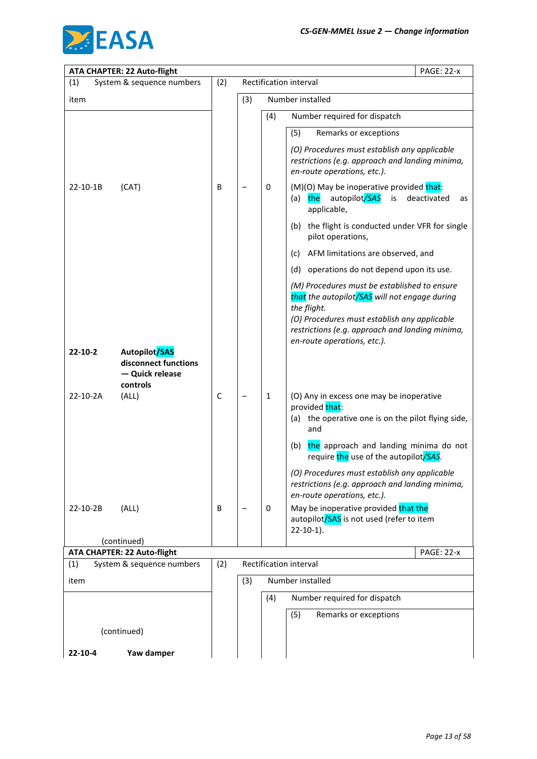

| ATA CHAPTER: 22 Auto-flight                                     |             |                        |              | <b>PAGE: 22-x</b>                                                                                                                                            |  |
|-----------------------------------------------------------------|-------------|------------------------|--------------|--------------------------------------------------------------------------------------------------------------------------------------------------------------|--|
| (1)<br>System & sequence numbers                                | (2)         | Rectification interval |              |                                                                                                                                                              |  |
| item                                                            |             | (3)                    |              | Number installed                                                                                                                                             |  |
|                                                                 |             |                        | (4)          | Number required for dispatch                                                                                                                                 |  |
|                                                                 |             |                        |              | (5)<br>Remarks or exceptions                                                                                                                                 |  |
|                                                                 |             |                        |              | (O) Procedures must establish any applicable<br>restrictions (e.g. approach and landing minima,<br>en-route operations, etc.).                               |  |
| 22-10-1B<br>(CAT)                                               | B           |                        | 0            | (M)(O) May be inoperative provided that:<br>autopilot/SAS<br>deactivated<br>the<br>is<br>(a)<br>as<br>applicable,                                            |  |
|                                                                 |             |                        |              | the flight is conducted under VFR for single<br>(b)<br>pilot operations,                                                                                     |  |
|                                                                 |             |                        |              | AFM limitations are observed, and<br>(c)                                                                                                                     |  |
|                                                                 |             |                        |              | operations do not depend upon its use.<br>(d)                                                                                                                |  |
|                                                                 |             |                        |              | (M) Procedures must be established to ensure<br>that the autopilot/SAS will not engage during<br>the flight.<br>(O) Procedures must establish any applicable |  |
|                                                                 |             |                        |              | restrictions (e.g. approach and landing minima,<br>en-route operations, etc.).                                                                               |  |
| Autopilot/SAS<br>22-10-2                                        |             |                        |              |                                                                                                                                                              |  |
| disconnect functions<br>- Quick release                         |             |                        |              |                                                                                                                                                              |  |
| controls                                                        |             |                        |              |                                                                                                                                                              |  |
| (ALL)<br>22-10-2A                                               | $\mathsf C$ |                        | $\mathbf{1}$ | (O) Any in excess one may be inoperative<br>provided that:                                                                                                   |  |
|                                                                 |             |                        |              | the operative one is on the pilot flying side,<br>(a)<br>and                                                                                                 |  |
|                                                                 |             |                        |              | the approach and landing minima do not<br>(b)<br>require the use of the autopilot/SAS.                                                                       |  |
|                                                                 |             |                        |              | (O) Procedures must establish any applicable<br>restrictions (e.g. approach and landing minima,<br>en-route operations, etc.).                               |  |
| (ALL)<br>22-10-2B                                               | B           |                        | 0            | May be inoperative provided that the<br>autopilot/SAS is not used (refer to item<br>$22-10-1$ ).                                                             |  |
| (continued)                                                     |             |                        |              |                                                                                                                                                              |  |
| ATA CHAPTER: 22 Auto-flight<br>System & sequence numbers<br>(1) | (2)         |                        |              | <b>PAGE: 22-x</b><br>Rectification interval                                                                                                                  |  |
| item                                                            |             | (3)                    |              | Number installed                                                                                                                                             |  |
|                                                                 |             |                        | (4)          | Number required for dispatch                                                                                                                                 |  |
|                                                                 |             |                        |              | (5)<br>Remarks or exceptions                                                                                                                                 |  |
| (continued)                                                     |             |                        |              |                                                                                                                                                              |  |
| Yaw damper<br>$22 - 10 - 4$                                     |             |                        |              |                                                                                                                                                              |  |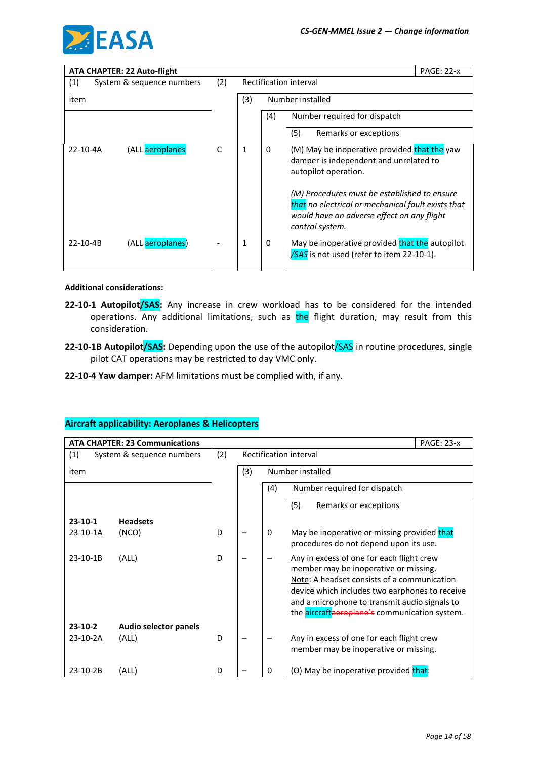

|                | <b>ATA CHAPTER: 22 Auto-flight</b> |     |                         |          |                                                                                                                                                                     | <b>PAGE: 22-x</b> |
|----------------|------------------------------------|-----|-------------------------|----------|---------------------------------------------------------------------------------------------------------------------------------------------------------------------|-------------------|
| (1)            | System & sequence numbers          | (2) | Rectification interval  |          |                                                                                                                                                                     |                   |
| item           |                                    |     | Number installed<br>(3) |          |                                                                                                                                                                     |                   |
|                |                                    |     |                         | (4)      | Number required for dispatch                                                                                                                                        |                   |
|                |                                    |     |                         |          | Remarks or exceptions<br>(5)                                                                                                                                        |                   |
| $22 - 10 - 4A$ | (ALL aeroplanes                    | C   |                         | $\Omega$ | (M) May be inoperative provided that the yaw<br>damper is independent and unrelated to<br>autopilot operation.                                                      |                   |
|                |                                    |     |                         |          | (M) Procedures must be established to ensure<br>that no electrical or mechanical fault exists that<br>would have an adverse effect on any flight<br>control system. |                   |
| $22 - 10 - 4B$ | (ALL aeroplanes)                   |     | 1                       | 0        | May be inoperative provided that the autopilot<br>/SAS is not used (refer to item 22-10-1).                                                                         |                   |

#### **Additional considerations:**

- **22-10-1 Autopilot/SAS:** Any increase in crew workload has to be considered for the intended operations. Any additional limitations, such as the flight duration, may result from this consideration.
- 22-10-1B Autopilot/SAS: Depending upon the use of the autopilot/SAS in routine procedures, single pilot CAT operations may be restricted to day VMC only.
- **22-10-4 Yaw damper:** AFM limitations must be complied with, if any.

|           | <b>PAGE: 23-x</b><br><b>ATA CHAPTER: 23 Communications</b> |     |                        |                                     |                                                                                                                                                                                                                                                                                       |  |  |  |
|-----------|------------------------------------------------------------|-----|------------------------|-------------------------------------|---------------------------------------------------------------------------------------------------------------------------------------------------------------------------------------------------------------------------------------------------------------------------------------|--|--|--|
| (1)       | System & sequence numbers                                  | (2) | Rectification interval |                                     |                                                                                                                                                                                                                                                                                       |  |  |  |
| item      |                                                            |     | (3)                    |                                     | Number installed                                                                                                                                                                                                                                                                      |  |  |  |
|           |                                                            |     |                        | Number required for dispatch<br>(4) |                                                                                                                                                                                                                                                                                       |  |  |  |
|           |                                                            |     |                        |                                     | (5)<br>Remarks or exceptions                                                                                                                                                                                                                                                          |  |  |  |
| $23-10-1$ | <b>Headsets</b>                                            |     |                        |                                     |                                                                                                                                                                                                                                                                                       |  |  |  |
| 23-10-1A  | (NCO)                                                      | D   |                        | $\mathbf{0}$                        | May be inoperative or missing provided that<br>procedures do not depend upon its use.                                                                                                                                                                                                 |  |  |  |
| 23-10-1B  | (ALL)                                                      | D   |                        |                                     | Any in excess of one for each flight crew<br>member may be inoperative or missing.<br>Note: A headset consists of a communication<br>device which includes two earphones to receive<br>and a microphone to transmit audio signals to<br>the aircraftaeroplane's communication system. |  |  |  |
| 23-10-2   | <b>Audio selector panels</b>                               |     |                        |                                     |                                                                                                                                                                                                                                                                                       |  |  |  |
| 23-10-2A  | (ALL)                                                      | D   |                        |                                     | Any in excess of one for each flight crew<br>member may be inoperative or missing.                                                                                                                                                                                                    |  |  |  |
| 23-10-2B  | (ALL)                                                      | D   |                        | 0                                   | (O) May be inoperative provided that:                                                                                                                                                                                                                                                 |  |  |  |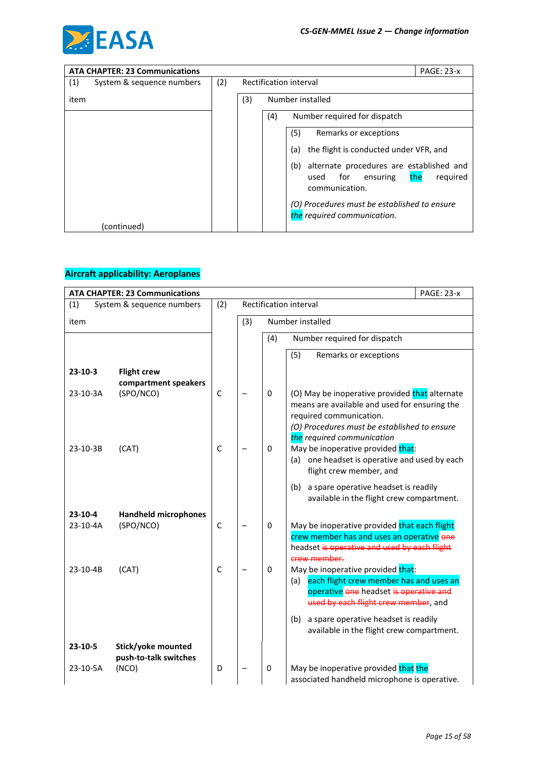

|      | <b>ATA CHAPTER: 23 Communications</b> |     |                         | <b>PAGE: 23-x</b>                                                                                               |  |  |
|------|---------------------------------------|-----|-------------------------|-----------------------------------------------------------------------------------------------------------------|--|--|
| (1)  | System & sequence numbers             | (2) |                         | Rectification interval                                                                                          |  |  |
| item |                                       |     | (3)<br>Number installed |                                                                                                                 |  |  |
|      |                                       |     |                         | Number required for dispatch<br>(4)                                                                             |  |  |
|      |                                       |     |                         | (5)<br>Remarks or exceptions                                                                                    |  |  |
|      |                                       |     |                         | the flight is conducted under VFR, and<br>(a)                                                                   |  |  |
|      |                                       |     |                         | alternate procedures are established and<br>(b)<br>required<br>for<br>ensuring<br>the<br>used<br>communication. |  |  |
|      |                                       |     |                         | (O) Procedures must be established to ensure<br>the required communication.                                     |  |  |
|      | (continued)                           |     |                         |                                                                                                                 |  |  |

|                       | <b>ATA CHAPTER: 23 Communications</b>       | <b>PAGE: 23-x</b> |     |                        |                                                                                                                                                                                                          |  |  |
|-----------------------|---------------------------------------------|-------------------|-----|------------------------|----------------------------------------------------------------------------------------------------------------------------------------------------------------------------------------------------------|--|--|
| (1)                   | System & sequence numbers                   | (2)               |     | Rectification interval |                                                                                                                                                                                                          |  |  |
| item                  |                                             |                   | (3) | Number installed       |                                                                                                                                                                                                          |  |  |
|                       |                                             |                   |     | (4)                    | Number required for dispatch                                                                                                                                                                             |  |  |
|                       |                                             |                   |     |                        | (5)<br>Remarks or exceptions                                                                                                                                                                             |  |  |
| $23 - 10 - 3$         | <b>Flight crew</b><br>compartment speakers  |                   |     |                        |                                                                                                                                                                                                          |  |  |
| 23-10-3A              | (SPO/NCO)                                   | $\mathsf C$       |     | 0                      | (O) May be inoperative provided that alternate<br>means are available and used for ensuring the<br>required communication.<br>(O) Procedures must be established to ensure<br>the required communication |  |  |
| 23-10-3B              | (CAT)                                       | $\mathsf{C}$      |     | 0                      | May be inoperative provided that:<br>(a) one headset is operative and used by each<br>flight crew member, and                                                                                            |  |  |
|                       |                                             |                   |     |                        | (b)<br>a spare operative headset is readily<br>available in the flight crew compartment.                                                                                                                 |  |  |
| $23-10-4$<br>23-10-4A | <b>Handheld microphones</b><br>(SPO/NCO)    | $\mathsf{C}$      |     | $\mathbf 0$            | May be inoperative provided that each flight<br>crew member has and uses an operative one<br>headset is operative and used by each flight<br>crew member.                                                |  |  |
| 23-10-4B              | (CAT)                                       | $\mathsf{C}$      |     | 0                      | May be inoperative provided that:<br>each flight crew member has and uses an<br>(a)<br>operative one headset is operative and<br>used by each flight crew member, and                                    |  |  |
|                       |                                             |                   |     |                        | a spare operative headset is readily<br>(b)<br>available in the flight crew compartment.                                                                                                                 |  |  |
| $23 - 10 - 5$         | Stick/yoke mounted<br>push-to-talk switches |                   |     |                        |                                                                                                                                                                                                          |  |  |
| 23-10-5A              | (NCO)                                       | D                 |     | 0                      | May be inoperative provided that the<br>associated handheld microphone is operative.                                                                                                                     |  |  |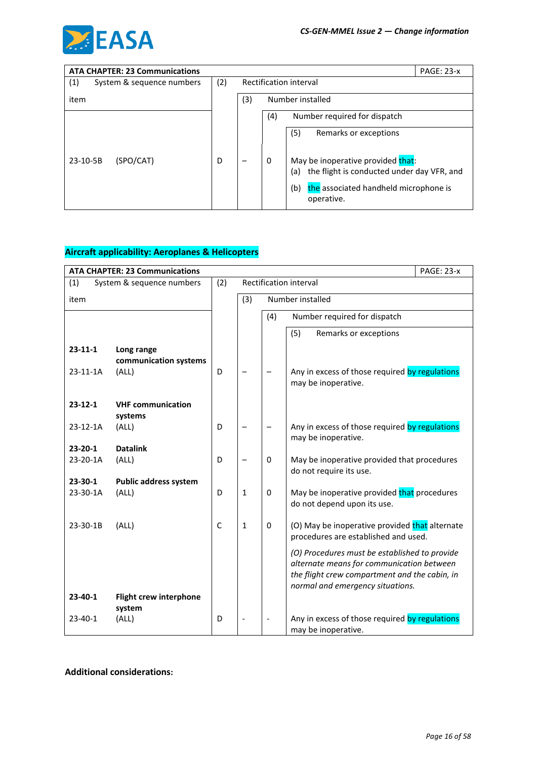

| <b>ATA CHAPTER: 23 Communications</b> |     |                         |     |                                                            | <b>PAGE: 23-x</b> |
|---------------------------------------|-----|-------------------------|-----|------------------------------------------------------------|-------------------|
| (1)<br>System & sequence numbers      | (2) | Rectification interval  |     |                                                            |                   |
| item                                  |     | Number installed<br>(3) |     |                                                            |                   |
|                                       |     |                         | (4) | Number required for dispatch                               |                   |
|                                       |     |                         |     | (5)<br>Remarks or exceptions                               |                   |
| (SPO/CAT)<br>23-10-5B                 | D   |                         | 0   | May be inoperative provided that:                          |                   |
|                                       |     |                         |     | the flight is conducted under day VFR, and<br>(a)          |                   |
|                                       |     |                         |     | (b)<br>the associated handheld microphone is<br>operative. |                   |

|                | <b>ATA CHAPTER: 23 Communications</b> |     |              |             |                                                                                                                                                                                 | <b>PAGE: 23-x</b> |
|----------------|---------------------------------------|-----|--------------|-------------|---------------------------------------------------------------------------------------------------------------------------------------------------------------------------------|-------------------|
| (1)            | System & sequence numbers             | (2) |              |             | Rectification interval                                                                                                                                                          |                   |
| item           |                                       |     | (3)          |             | Number installed                                                                                                                                                                |                   |
|                |                                       |     |              | (4)         | Number required for dispatch                                                                                                                                                    |                   |
|                |                                       |     |              |             | (5)<br>Remarks or exceptions                                                                                                                                                    |                   |
| $23 - 11 - 1$  | Long range<br>communication systems   |     |              |             |                                                                                                                                                                                 |                   |
| $23 - 11 - 1A$ | (ALL)                                 | D   |              |             | Any in excess of those required by regulations<br>may be inoperative.                                                                                                           |                   |
| $23 - 12 - 1$  | <b>VHF communication</b><br>systems   |     |              |             |                                                                                                                                                                                 |                   |
| 23-12-1A       | (ALL)                                 | D   |              |             | Any in excess of those required by regulations<br>may be inoperative.                                                                                                           |                   |
| $23 - 20 - 1$  | <b>Datalink</b>                       |     |              |             |                                                                                                                                                                                 |                   |
| 23-20-1A       | (ALL)                                 | D   |              | $\Omega$    | May be inoperative provided that procedures<br>do not require its use.                                                                                                          |                   |
| $23 - 30 - 1$  | <b>Public address system</b>          |     |              |             |                                                                                                                                                                                 |                   |
| 23-30-1A       | (ALL)                                 | D   | 1            | $\mathbf 0$ | May be inoperative provided that procedures<br>do not depend upon its use.                                                                                                      |                   |
| 23-30-1B       | (ALL)                                 | C   | $\mathbf{1}$ | 0           | (O) May be inoperative provided that alternate<br>procedures are established and used.                                                                                          |                   |
|                |                                       |     |              |             | (O) Procedures must be established to provide<br>alternate means for communication between<br>the flight crew compartment and the cabin, in<br>normal and emergency situations. |                   |
| $23-40-1$      | <b>Flight crew interphone</b>         |     |              |             |                                                                                                                                                                                 |                   |
|                | system                                |     |              |             |                                                                                                                                                                                 |                   |
| $23 - 40 - 1$  | (ALL)                                 | D   |              |             | Any in excess of those required by regulations<br>may be inoperative.                                                                                                           |                   |

### **Additional considerations:**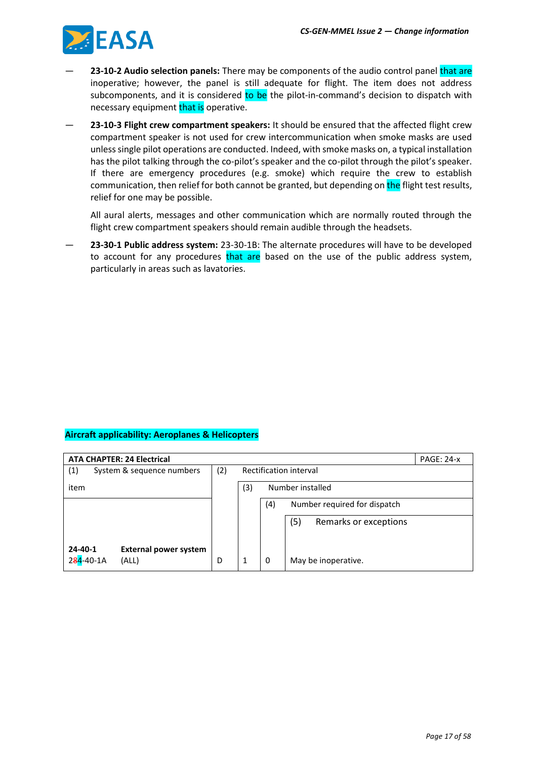

- **23-10-2 Audio selection panels:** There may be components of the audio control panel that are inoperative; however, the panel is still adequate for flight. The item does not address subcomponents, and it is considered to be the pilot-in-command's decision to dispatch with necessary equipment that is operative.
- **23-10-3 Flight crew compartment speakers:** It should be ensured that the affected flight crew compartment speaker is not used for crew intercommunication when smoke masks are used unless single pilot operations are conducted. Indeed, with smoke masks on, a typical installation has the pilot talking through the co-pilot's speaker and the co-pilot through the pilot's speaker. If there are emergency procedures (e.g. smoke) which require the crew to establish communication, then relief for both cannot be granted, but depending on the flight test results, relief for one may be possible.

All aural alerts, messages and other communication which are normally routed through the flight crew compartment speakers should remain audible through the headsets.

— **23-30-1 Public address system:** 23-30-1B: The alternate procedures will have to be developed to account for any procedures that are based on the use of the public address system, particularly in areas such as lavatories.

|               | <b>ATA CHAPTER: 24 Electrical</b> |     |                                     |                  |                       | <b>PAGE: 24-x</b> |
|---------------|-----------------------------------|-----|-------------------------------------|------------------|-----------------------|-------------------|
| (1)           | System & sequence numbers         | (2) | Rectification interval              |                  |                       |                   |
| item          |                                   |     | (3)                                 | Number installed |                       |                   |
|               |                                   |     | Number required for dispatch<br>(4) |                  |                       |                   |
|               |                                   |     | (5)                                 |                  | Remarks or exceptions |                   |
|               |                                   |     |                                     |                  |                       |                   |
| $24 - 40 - 1$ | <b>External power system</b>      |     |                                     |                  |                       |                   |
| 284-40-1A     | (ALL)                             | D   |                                     | 0                | May be inoperative.   |                   |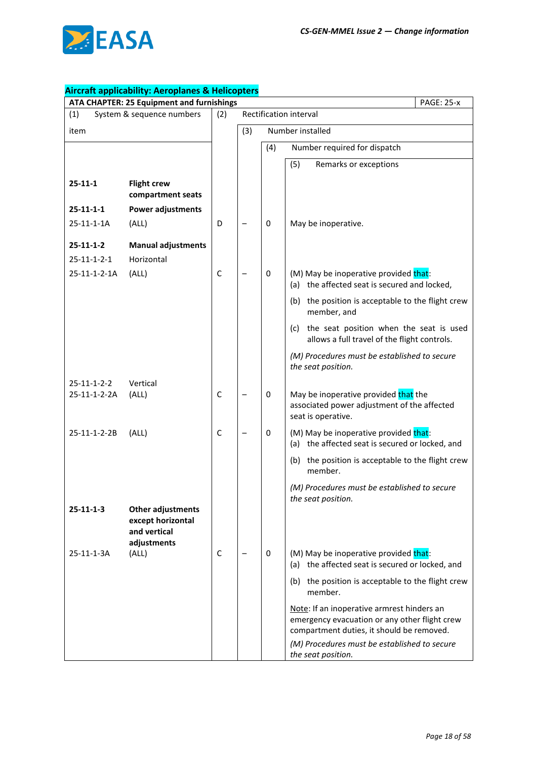

| ATA CHAPTER: 25 Equipment and furnishings<br><b>PAGE: 25-x</b> |                                                                       |              |                        |                  |                                                                                                                                                                                          |  |  |
|----------------------------------------------------------------|-----------------------------------------------------------------------|--------------|------------------------|------------------|------------------------------------------------------------------------------------------------------------------------------------------------------------------------------------------|--|--|
| (1)                                                            | System & sequence numbers                                             | (2)          | Rectification interval |                  |                                                                                                                                                                                          |  |  |
| item                                                           |                                                                       |              | (3)                    | Number installed |                                                                                                                                                                                          |  |  |
|                                                                |                                                                       |              |                        | (4)              | Number required for dispatch                                                                                                                                                             |  |  |
|                                                                |                                                                       |              |                        |                  | (5)<br>Remarks or exceptions                                                                                                                                                             |  |  |
| $25 - 11 - 1$                                                  | <b>Flight crew</b><br>compartment seats                               |              |                        |                  |                                                                                                                                                                                          |  |  |
| $25 - 11 - 1 - 1$                                              | Power adjustments                                                     |              |                        |                  |                                                                                                                                                                                          |  |  |
| 25-11-1-1A                                                     | (ALL)                                                                 | D            |                        | 0                | May be inoperative.                                                                                                                                                                      |  |  |
| $25 - 11 - 1 - 2$                                              | <b>Manual adjustments</b>                                             |              |                        |                  |                                                                                                                                                                                          |  |  |
| $25 - 11 - 1 - 2 - 1$                                          | Horizontal                                                            |              |                        |                  |                                                                                                                                                                                          |  |  |
| 25-11-1-2-1A                                                   | (ALL)                                                                 | $\mathsf{C}$ |                        | 0                | (M) May be inoperative provided that:<br>(a) the affected seat is secured and locked,                                                                                                    |  |  |
|                                                                |                                                                       |              |                        |                  | (b) the position is acceptable to the flight crew<br>member, and                                                                                                                         |  |  |
|                                                                |                                                                       |              |                        |                  | the seat position when the seat is used<br>(c)<br>allows a full travel of the flight controls.                                                                                           |  |  |
|                                                                |                                                                       |              |                        |                  | (M) Procedures must be established to secure<br>the seat position.                                                                                                                       |  |  |
| $25 - 11 - 1 - 2 - 2$                                          | Vertical                                                              |              |                        |                  |                                                                                                                                                                                          |  |  |
| 25-11-1-2-2A                                                   | (ALL)                                                                 | C            |                        | 0                | May be inoperative provided that the<br>associated power adjustment of the affected<br>seat is operative.                                                                                |  |  |
| 25-11-1-2-2B                                                   | (ALL)                                                                 | C            |                        | 0                | (M) May be inoperative provided that:<br>(a) the affected seat is secured or locked, and                                                                                                 |  |  |
|                                                                |                                                                       |              |                        |                  | (b) the position is acceptable to the flight crew<br>member.                                                                                                                             |  |  |
|                                                                |                                                                       |              |                        |                  | (M) Procedures must be established to secure<br>the seat position.                                                                                                                       |  |  |
| $25 - 11 - 1 - 3$                                              | Other adjustments<br>except horizontal<br>and vertical<br>adjustments |              |                        |                  |                                                                                                                                                                                          |  |  |
| 25-11-1-3A                                                     | (ALL)                                                                 | C            |                        | 0                | (M) May be inoperative provided that:<br>(a) the affected seat is secured or locked, and                                                                                                 |  |  |
|                                                                |                                                                       |              |                        |                  | (b) the position is acceptable to the flight crew<br>member.                                                                                                                             |  |  |
|                                                                |                                                                       |              |                        |                  | Note: If an inoperative armrest hinders an<br>emergency evacuation or any other flight crew<br>compartment duties, it should be removed.<br>(M) Procedures must be established to secure |  |  |
|                                                                |                                                                       |              |                        |                  | the seat position.                                                                                                                                                                       |  |  |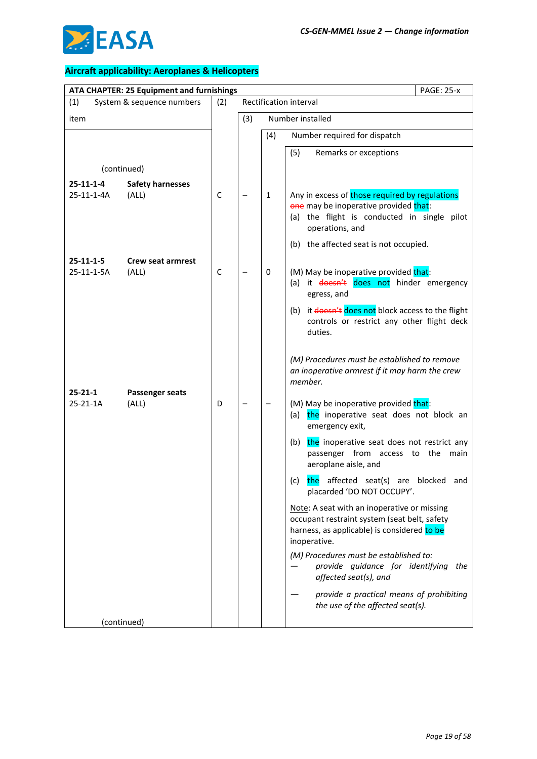

|                                 | ATA CHAPTER: 25 Equipment and furnishings |     | <b>PAGE: 25-x</b> |              |                                                                                                                                                            |
|---------------------------------|-------------------------------------------|-----|-------------------|--------------|------------------------------------------------------------------------------------------------------------------------------------------------------------|
| (1)                             | System & sequence numbers                 | (2) |                   |              | Rectification interval                                                                                                                                     |
| item                            |                                           |     | (3)               |              | Number installed                                                                                                                                           |
|                                 |                                           |     |                   | (4)          | Number required for dispatch                                                                                                                               |
|                                 |                                           |     |                   |              | (5)<br>Remarks or exceptions                                                                                                                               |
| (continued)                     |                                           |     |                   |              |                                                                                                                                                            |
| $25 - 11 - 1 - 4$               | <b>Safety harnesses</b>                   |     |                   |              |                                                                                                                                                            |
| 25-11-1-4A                      | (ALL)                                     | C   |                   | $\mathbf{1}$ | Any in excess of those required by regulations<br>one may be inoperative provided that:<br>(a) the flight is conducted in single pilot<br>operations, and  |
|                                 |                                           |     |                   |              | (b) the affected seat is not occupied.                                                                                                                     |
| $25 - 11 - 1 - 5$<br>25-11-1-5A | <b>Crew seat armrest</b><br>(ALL)         | C   |                   | 0            | (M) May be inoperative provided that:<br>(a) it doesn't does not hinder emergency<br>egress, and                                                           |
|                                 |                                           |     |                   |              | (b) it doesn't does not block access to the flight<br>controls or restrict any other flight deck<br>duties.                                                |
|                                 |                                           |     |                   |              | (M) Procedures must be established to remove<br>an inoperative armrest if it may harm the crew<br>member.                                                  |
| $25 - 21 - 1$<br>25-21-1A       | <b>Passenger seats</b><br>(ALL)           | D   |                   |              | (M) May be inoperative provided that:<br>the inoperative seat does not block an<br>(a)<br>emergency exit,                                                  |
|                                 |                                           |     |                   |              | the inoperative seat does not restrict any<br>(b)<br>passenger from access to the<br>main<br>aeroplane aisle, and                                          |
|                                 |                                           |     |                   |              | the affected seat(s) are blocked<br>(c)<br>and<br>placarded 'DO NOT OCCUPY'.                                                                               |
|                                 |                                           |     |                   |              | Note: A seat with an inoperative or missing<br>occupant restraint system (seat belt, safety<br>harness, as applicable) is considered to be<br>inoperative. |
|                                 |                                           |     |                   |              | (M) Procedures must be established to:<br>provide guidance for identifying<br>the<br>affected seat(s), and                                                 |
|                                 |                                           |     |                   |              | provide a practical means of prohibiting<br>the use of the affected seat(s).                                                                               |
| (continued)                     |                                           |     |                   |              |                                                                                                                                                            |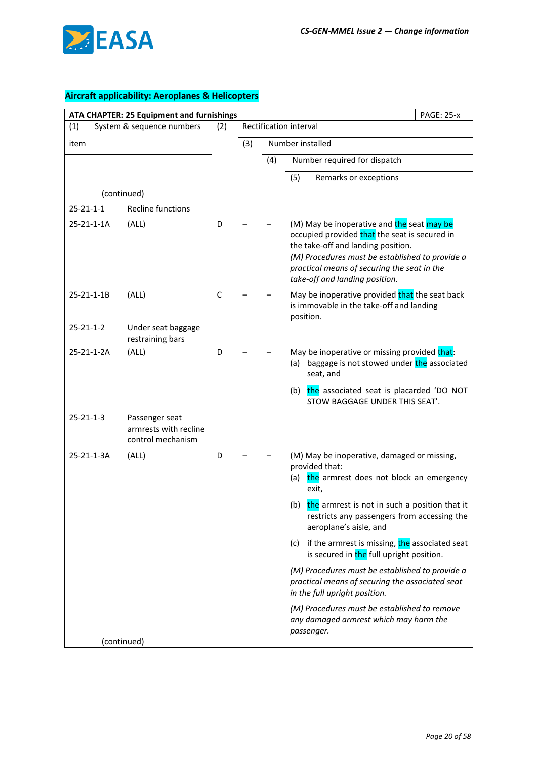

| ATA CHAPTER: 25 Equipment and furnishings<br><b>PAGE: 25-x</b> |                                                              |     |     |                        |                                                                                                                                                                                                                                                                       |  |
|----------------------------------------------------------------|--------------------------------------------------------------|-----|-----|------------------------|-----------------------------------------------------------------------------------------------------------------------------------------------------------------------------------------------------------------------------------------------------------------------|--|
| (1)                                                            | System & sequence numbers                                    | (2) |     | Rectification interval |                                                                                                                                                                                                                                                                       |  |
| item                                                           |                                                              |     | (3) |                        | Number installed                                                                                                                                                                                                                                                      |  |
|                                                                |                                                              |     |     | (4)                    | Number required for dispatch                                                                                                                                                                                                                                          |  |
|                                                                |                                                              |     |     |                        | Remarks or exceptions<br>(5)                                                                                                                                                                                                                                          |  |
|                                                                | (continued)                                                  |     |     |                        |                                                                                                                                                                                                                                                                       |  |
| $25 - 21 - 1 - 1$                                              | <b>Recline functions</b>                                     |     |     |                        |                                                                                                                                                                                                                                                                       |  |
| 25-21-1-1A                                                     | (ALL)                                                        | D   |     |                        | (M) May be inoperative and the seat may be<br>occupied provided that the seat is secured in<br>the take-off and landing position.<br>(M) Procedures must be established to provide a<br>practical means of securing the seat in the<br>take-off and landing position. |  |
| 25-21-1-1B                                                     | (ALL)                                                        | C   |     |                        | May be inoperative provided that the seat back<br>is immovable in the take-off and landing<br>position.                                                                                                                                                               |  |
| $25 - 21 - 1 - 2$                                              | Under seat baggage<br>restraining bars                       |     |     |                        |                                                                                                                                                                                                                                                                       |  |
| 25-21-1-2A                                                     | (ALL)                                                        | D   |     |                        | May be inoperative or missing provided that:<br>baggage is not stowed under the associated<br>(a)<br>seat, and                                                                                                                                                        |  |
|                                                                |                                                              |     |     |                        | the associated seat is placarded 'DO NOT<br>(b)<br>STOW BAGGAGE UNDER THIS SEAT'.                                                                                                                                                                                     |  |
| $25 - 21 - 1 - 3$                                              | Passenger seat<br>armrests with recline<br>control mechanism |     |     |                        |                                                                                                                                                                                                                                                                       |  |
| 25-21-1-3A                                                     | (ALL)                                                        | D   |     |                        | (M) May be inoperative, damaged or missing,<br>provided that:<br>the armrest does not block an emergency<br>(a)<br>exit,                                                                                                                                              |  |
|                                                                |                                                              |     |     |                        | the armrest is not in such a position that it<br>(b)<br>restricts any passengers from accessing the<br>aeroplane's aisle, and                                                                                                                                         |  |
|                                                                |                                                              |     |     |                        | if the armrest is missing, the associated seat<br>(c)<br>is secured in the full upright position.                                                                                                                                                                     |  |
|                                                                |                                                              |     |     |                        | (M) Procedures must be established to provide a<br>practical means of securing the associated seat<br>in the full upright position.                                                                                                                                   |  |
|                                                                |                                                              |     |     |                        | (M) Procedures must be established to remove<br>any damaged armrest which may harm the<br>passenger.                                                                                                                                                                  |  |
|                                                                | (continued)                                                  |     |     |                        |                                                                                                                                                                                                                                                                       |  |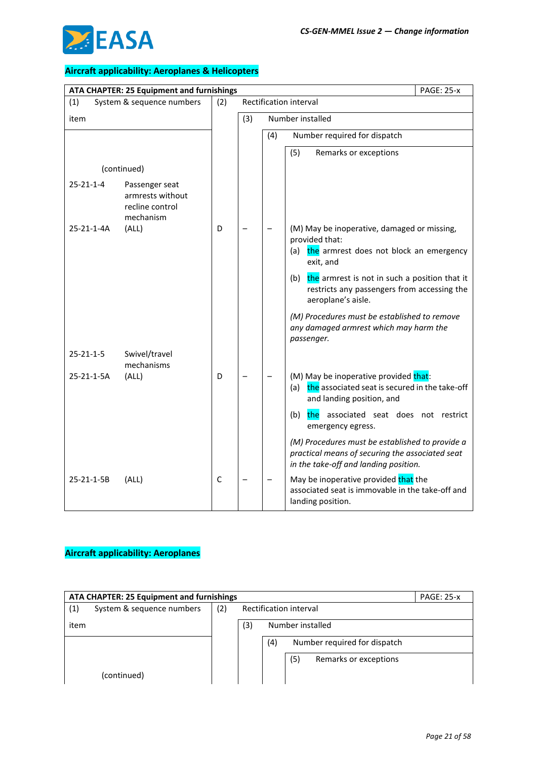

|                   | ATA CHAPTER: 25 Equipment and furnishings                          | <b>PAGE: 25-x</b> |     |     |                                                                                                                                             |  |  |
|-------------------|--------------------------------------------------------------------|-------------------|-----|-----|---------------------------------------------------------------------------------------------------------------------------------------------|--|--|
| (1)               | System & sequence numbers                                          | (2)               |     |     | Rectification interval                                                                                                                      |  |  |
| item              |                                                                    |                   | (3) |     | Number installed                                                                                                                            |  |  |
|                   |                                                                    |                   |     | (4) | Number required for dispatch                                                                                                                |  |  |
|                   |                                                                    |                   |     |     | (5)<br>Remarks or exceptions                                                                                                                |  |  |
|                   | (continued)                                                        |                   |     |     |                                                                                                                                             |  |  |
| $25 - 21 - 1 - 4$ | Passenger seat<br>armrests without<br>recline control<br>mechanism |                   |     |     |                                                                                                                                             |  |  |
| 25-21-1-4A        | (ALL)                                                              | D                 |     |     | (M) May be inoperative, damaged or missing,<br>provided that:<br>the armrest does not block an emergency<br>(a)<br>exit, and                |  |  |
|                   |                                                                    |                   |     |     | (b) the armrest is not in such a position that it<br>restricts any passengers from accessing the<br>aeroplane's aisle.                      |  |  |
|                   |                                                                    |                   |     |     | (M) Procedures must be established to remove<br>any damaged armrest which may harm the<br>passenger.                                        |  |  |
| $25 - 21 - 1 - 5$ | Swivel/travel<br>mechanisms                                        |                   |     |     |                                                                                                                                             |  |  |
| 25-21-1-5A        | (ALL)                                                              | D                 |     |     | (M) May be inoperative provided that:<br>the associated seat is secured in the take-off<br>(a)<br>and landing position, and                 |  |  |
|                   |                                                                    |                   |     |     | (b)<br>the<br>associated seat does not restrict<br>emergency egress.                                                                        |  |  |
|                   |                                                                    |                   |     |     | (M) Procedures must be established to provide a<br>practical means of securing the associated seat<br>in the take-off and landing position. |  |  |
| 25-21-1-5B        | (ALL)                                                              | C                 |     |     | May be inoperative provided that the<br>associated seat is immovable in the take-off and<br>landing position.                               |  |  |

| ATA CHAPTER: 25 Equipment and furnishings |                           |     |                                     |  |  |  | <b>PAGE: 25-x</b> |
|-------------------------------------------|---------------------------|-----|-------------------------------------|--|--|--|-------------------|
| (1)                                       | System & sequence numbers | (2) | Rectification interval              |  |  |  |                   |
| item                                      |                           |     | (3)<br>Number installed             |  |  |  |                   |
|                                           |                           |     | Number required for dispatch<br>(4) |  |  |  |                   |
|                                           |                           |     | (5)<br>Remarks or exceptions        |  |  |  |                   |
|                                           | (continued)               |     |                                     |  |  |  |                   |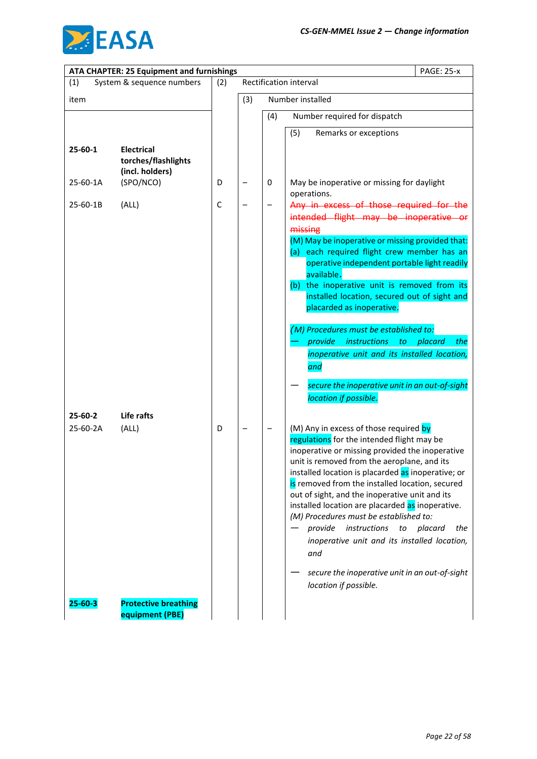

|                     | ATA CHAPTER: 25 Equipment and furnishings                   |     | <b>PAGE: 25-x</b>      |     |                                                                                                                                                                                                                                                                                                                                                                                                                                                                                                                                                                                                                                 |  |  |  |
|---------------------|-------------------------------------------------------------|-----|------------------------|-----|---------------------------------------------------------------------------------------------------------------------------------------------------------------------------------------------------------------------------------------------------------------------------------------------------------------------------------------------------------------------------------------------------------------------------------------------------------------------------------------------------------------------------------------------------------------------------------------------------------------------------------|--|--|--|
| (1)                 | System & sequence numbers                                   | (2) | Rectification interval |     |                                                                                                                                                                                                                                                                                                                                                                                                                                                                                                                                                                                                                                 |  |  |  |
| item                |                                                             |     | (3)                    |     | Number installed                                                                                                                                                                                                                                                                                                                                                                                                                                                                                                                                                                                                                |  |  |  |
|                     |                                                             |     |                        | (4) | Number required for dispatch                                                                                                                                                                                                                                                                                                                                                                                                                                                                                                                                                                                                    |  |  |  |
|                     |                                                             |     |                        |     | Remarks or exceptions<br>(5)                                                                                                                                                                                                                                                                                                                                                                                                                                                                                                                                                                                                    |  |  |  |
| $25 - 60 - 1$       | <b>Electrical</b><br>torches/flashlights<br>(incl. holders) |     |                        |     |                                                                                                                                                                                                                                                                                                                                                                                                                                                                                                                                                                                                                                 |  |  |  |
| 25-60-1A            | (SPO/NCO)                                                   | D   |                        | 0   | May be inoperative or missing for daylight<br>operations.                                                                                                                                                                                                                                                                                                                                                                                                                                                                                                                                                                       |  |  |  |
| 25-60-1B            | (ALL)                                                       | C   |                        |     | Any in excess of those required for the<br>intended flight may be inoperative or<br>missing<br>(M) May be inoperative or missing provided that:<br>(a) each required flight crew member has an<br>operative independent portable light readily<br>available.<br>(b) the inoperative unit is removed from its<br>installed location, secured out of sight and<br>placarded as inoperative.<br>(M) Procedures must be established to:<br><i>instructions</i><br>provide<br>to<br>placard<br>the<br>inoperative unit and its installed location,<br>and<br>secure the inoperative unit in an out-of-sight<br>location if possible. |  |  |  |
| 25-60-2<br>25-60-2A | Life rafts<br>(ALL)                                         | D   |                        |     | (M) Any in excess of those required by<br>regulations for the intended flight may be<br>inoperative or missing provided the inoperative<br>unit is removed from the aeroplane, and its<br>installed location is placarded as inoperative; or                                                                                                                                                                                                                                                                                                                                                                                    |  |  |  |
|                     |                                                             |     |                        |     | is removed from the installed location, secured<br>out of sight, and the inoperative unit and its<br>installed location are placarded as inoperative.<br>(M) Procedures must be established to:<br>instructions<br>placard<br>provide<br>to<br>the<br>inoperative unit and its installed location,<br>and<br>secure the inoperative unit in an out-of-sight<br>location if possible.                                                                                                                                                                                                                                            |  |  |  |
| $25 - 60 - 3$       | <b>Protective breathing</b><br>equipment (PBE)              |     |                        |     |                                                                                                                                                                                                                                                                                                                                                                                                                                                                                                                                                                                                                                 |  |  |  |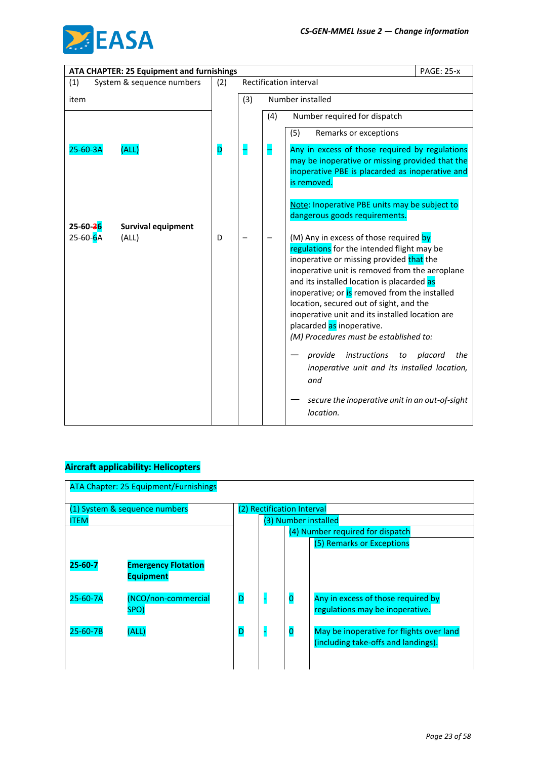

|          | ATA CHAPTER: 25 Equipment and furnishings |     |     |     | <b>PAGE: 25-x</b>                                                                                                                                                                                                                                                                                                                                                                                                                                                                                                                                                                                             |                |
|----------|-------------------------------------------|-----|-----|-----|---------------------------------------------------------------------------------------------------------------------------------------------------------------------------------------------------------------------------------------------------------------------------------------------------------------------------------------------------------------------------------------------------------------------------------------------------------------------------------------------------------------------------------------------------------------------------------------------------------------|----------------|
| (1)      | System & sequence numbers                 | (2) |     |     | Rectification interval                                                                                                                                                                                                                                                                                                                                                                                                                                                                                                                                                                                        |                |
| item     |                                           |     | (3) |     | Number installed                                                                                                                                                                                                                                                                                                                                                                                                                                                                                                                                                                                              |                |
|          |                                           |     |     | (4) | Number required for dispatch                                                                                                                                                                                                                                                                                                                                                                                                                                                                                                                                                                                  |                |
|          |                                           |     |     |     | (5)<br>Remarks or exceptions                                                                                                                                                                                                                                                                                                                                                                                                                                                                                                                                                                                  |                |
| 25-60-3A | (ALL)                                     | D   | ╡   | H   | Any in excess of those required by regulations<br>may be inoperative or missing provided that the<br>inoperative PBE is placarded as inoperative and<br>is removed.                                                                                                                                                                                                                                                                                                                                                                                                                                           |                |
| 25-60-36 | <b>Survival equipment</b>                 |     |     |     | Note: Inoperative PBE units may be subject to<br>dangerous goods requirements.                                                                                                                                                                                                                                                                                                                                                                                                                                                                                                                                |                |
| 25-60-6A | (ALL)                                     | D   |     |     | (M) Any in excess of those required by<br>regulations for the intended flight may be<br>inoperative or missing provided that the<br>inoperative unit is removed from the aeroplane<br>and its installed location is placarded as<br>inoperative; or is removed from the installed<br>location, secured out of sight, and the<br>inoperative unit and its installed location are<br>placarded as inoperative.<br>(M) Procedures must be established to:<br>instructions<br>provide<br>to<br>inoperative unit and its installed location,<br>and<br>secure the inoperative unit in an out-of-sight<br>location. | placard<br>the |

### **Aircraft applicability: Helicopters**

| <b>ATA Chapter: 25 Equipment/Furnishings</b> |                                                |   |                            |                                                                                       |                                                                                 |  |  |
|----------------------------------------------|------------------------------------------------|---|----------------------------|---------------------------------------------------------------------------------------|---------------------------------------------------------------------------------|--|--|
| <b>ITEM</b>                                  | (1) System & sequence numbers                  |   | (2) Rectification Interval | (3) Number installed<br>(4) Number required for dispatch<br>(5) Remarks or Exceptions |                                                                                 |  |  |
| $25 - 60 - 7$                                | <b>Emergency Flotation</b><br><b>Equipment</b> |   |                            |                                                                                       |                                                                                 |  |  |
| $25 - 60 - 7A$                               | (NCO/non-commercial<br>SPO)                    | D |                            | $\overline{\mathbf{0}}$                                                               | Any in excess of those required by<br>regulations may be inoperative.           |  |  |
| $25 - 60 - 7B$                               | (ALL)                                          | D |                            | $\overline{\mathbf{O}}$                                                               | May be inoperative for flights over land<br>(including take-offs and landings). |  |  |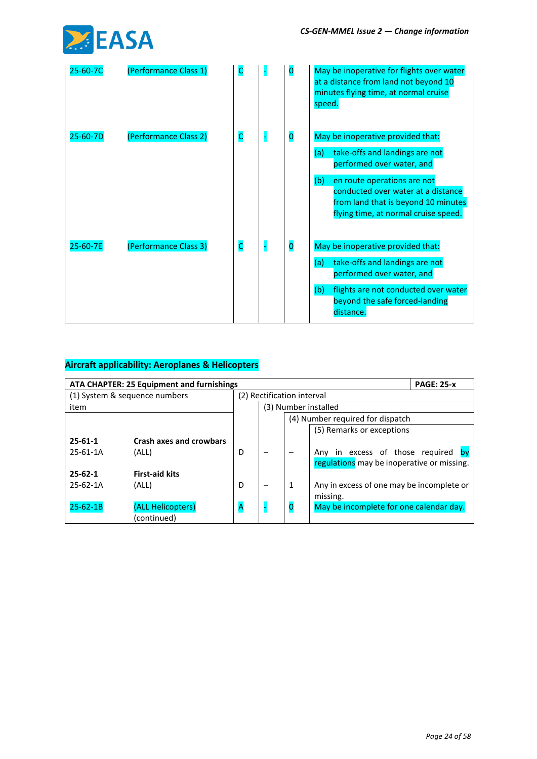

| 25-60-7C       | (Performance Class 1) | C                       | $\bf{O}$                | May be inoperative for flights over water<br>at a distance from land not beyond 10<br>minutes flying time, at normal cruise<br>speed.                   |
|----------------|-----------------------|-------------------------|-------------------------|---------------------------------------------------------------------------------------------------------------------------------------------------------|
| $25 - 60 - 7D$ | (Performance Class 2) | $\overline{\mathsf{C}}$ | $\overline{\mathbf{0}}$ | May be inoperative provided that:                                                                                                                       |
|                |                       |                         |                         | take-offs and landings are not<br>(a)<br>performed over water, and                                                                                      |
|                |                       |                         |                         | (b)<br>en route operations are not<br>conducted over water at a distance<br>from land that is beyond 10 minutes<br>flying time, at normal cruise speed. |
| 25-60-7E       | (Performance Class 3) | $\mathsf{C}$            | $\overline{\mathbf{0}}$ | May be inoperative provided that:                                                                                                                       |
|                |                       |                         |                         | take-offs and landings are not<br>(a)<br>performed over water, and                                                                                      |
|                |                       |                         |                         | flights are not conducted over water<br>(b)<br>beyond the safe forced-landing<br>distance.                                                              |

|                | ATA CHAPTER: 25 Equipment and furnishings |   |                                  |                            |                                            | <b>PAGE: 25-x</b> |
|----------------|-------------------------------------------|---|----------------------------------|----------------------------|--------------------------------------------|-------------------|
|                | (1) System & sequence numbers             |   |                                  | (2) Rectification interval |                                            |                   |
| item           |                                           |   |                                  |                            | (3) Number installed                       |                   |
|                |                                           |   | (4) Number required for dispatch |                            |                                            |                   |
|                |                                           |   |                                  | (5) Remarks or exceptions  |                                            |                   |
| $25 - 61 - 1$  | <b>Crash axes and crowbars</b>            |   |                                  |                            |                                            |                   |
| $25 - 61 - 1A$ | (ALL)                                     | D |                                  |                            | Any in excess of those required            |                   |
|                |                                           |   |                                  |                            | regulations may be inoperative or missing. |                   |
| $25 - 62 - 1$  | <b>First-aid kits</b>                     |   |                                  |                            |                                            |                   |
| $25 - 62 - 1A$ | (ALL)                                     | D |                                  | 1                          | Any in excess of one may be incomplete or  |                   |
|                |                                           |   |                                  |                            | missing.                                   |                   |
| $25 - 62 - 1B$ | (ALL Helicopters)                         | Α |                                  |                            | May be incomplete for one calendar day.    |                   |
|                | (continued)                               |   |                                  |                            |                                            |                   |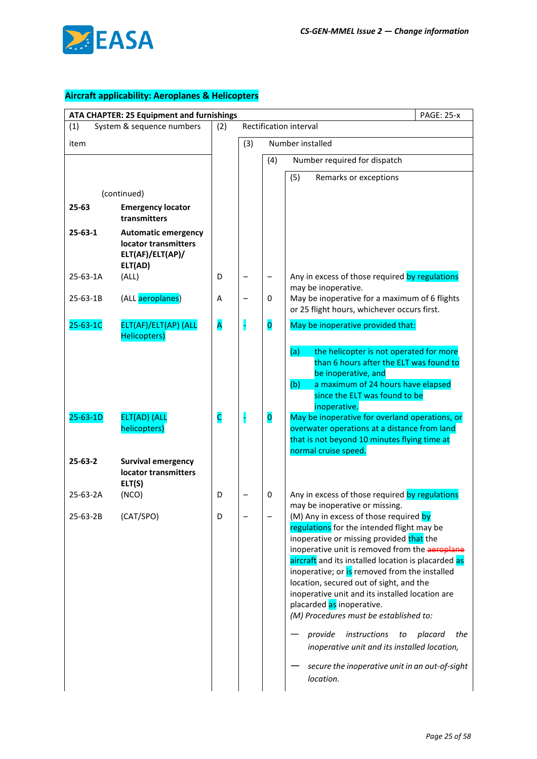

|                | ATA CHAPTER: 25 Equipment and furnishings                                         | <b>PAGE: 25-x</b> |                          |                         |                                                                                                                                                                                                                                                                                                                                                                                                                                                                                                                                                                                                                      |  |  |
|----------------|-----------------------------------------------------------------------------------|-------------------|--------------------------|-------------------------|----------------------------------------------------------------------------------------------------------------------------------------------------------------------------------------------------------------------------------------------------------------------------------------------------------------------------------------------------------------------------------------------------------------------------------------------------------------------------------------------------------------------------------------------------------------------------------------------------------------------|--|--|
| (1)            | System & sequence numbers                                                         | (2)               |                          | Rectification interval  |                                                                                                                                                                                                                                                                                                                                                                                                                                                                                                                                                                                                                      |  |  |
| item           |                                                                                   |                   | (3)                      | Number installed        |                                                                                                                                                                                                                                                                                                                                                                                                                                                                                                                                                                                                                      |  |  |
|                |                                                                                   |                   |                          | (4)                     | Number required for dispatch                                                                                                                                                                                                                                                                                                                                                                                                                                                                                                                                                                                         |  |  |
|                |                                                                                   |                   |                          |                         | (5)<br>Remarks or exceptions                                                                                                                                                                                                                                                                                                                                                                                                                                                                                                                                                                                         |  |  |
|                | (continued)                                                                       |                   |                          |                         |                                                                                                                                                                                                                                                                                                                                                                                                                                                                                                                                                                                                                      |  |  |
| 25-63          | <b>Emergency locator</b><br>transmitters                                          |                   |                          |                         |                                                                                                                                                                                                                                                                                                                                                                                                                                                                                                                                                                                                                      |  |  |
| $25 - 63 - 1$  | <b>Automatic emergency</b><br>locator transmitters<br>ELT(AF)/ELT(AP)/<br>ELT(AD) |                   |                          |                         |                                                                                                                                                                                                                                                                                                                                                                                                                                                                                                                                                                                                                      |  |  |
| 25-63-1A       | (ALL)                                                                             | D                 |                          | —                       | Any in excess of those required by regulations<br>may be inoperative.                                                                                                                                                                                                                                                                                                                                                                                                                                                                                                                                                |  |  |
| 25-63-1B       | (ALL aeroplanes)                                                                  | Α                 | $\overline{\phantom{0}}$ | 0                       | May be inoperative for a maximum of 6 flights<br>or 25 flight hours, whichever occurs first.                                                                                                                                                                                                                                                                                                                                                                                                                                                                                                                         |  |  |
| 25-63-1C       | ELT(AF)/ELT(AP) (ALL<br>Helicopters)                                              | A                 |                          | $\overline{\mathbf{o}}$ | May be inoperative provided that:                                                                                                                                                                                                                                                                                                                                                                                                                                                                                                                                                                                    |  |  |
| $25 - 63 - 1D$ | ELT(AD) (ALL                                                                      | c                 |                          | $\overline{\mathbf{o}}$ | (a)<br>the helicopter is not operated for more<br>than 6 hours after the ELT was found to<br>be inoperative, and<br>(b)<br>a maximum of 24 hours have elapsed<br>since the ELT was found to be<br>inoperative.<br>May be inoperative for overland operations, or                                                                                                                                                                                                                                                                                                                                                     |  |  |
|                | helicopters)                                                                      |                   |                          |                         | overwater operations at a distance from land<br>that is not beyond 10 minutes flying time at<br>normal cruise speed.                                                                                                                                                                                                                                                                                                                                                                                                                                                                                                 |  |  |
| $25 - 63 - 2$  | <b>Survival emergency</b><br>locator transmitters<br>ELT(S)                       |                   |                          |                         |                                                                                                                                                                                                                                                                                                                                                                                                                                                                                                                                                                                                                      |  |  |
| 25-63-2A       | (NCO)                                                                             | D                 |                          | 0                       | Any in excess of those required by regulations<br>may be inoperative or missing.                                                                                                                                                                                                                                                                                                                                                                                                                                                                                                                                     |  |  |
| 25-63-2B       | (CAT/SPO)                                                                         | D                 |                          |                         | (M) Any in excess of those required by<br>regulations for the intended flight may be<br>inoperative or missing provided that the<br>inoperative unit is removed from the aeroplane<br>aircraft and its installed location is placarded as<br>inoperative; or is removed from the installed<br>location, secured out of sight, and the<br>inoperative unit and its installed location are<br>placarded as inoperative.<br>(M) Procedures must be established to:<br>provide<br>instructions<br>placard<br>the<br>to<br>inoperative unit and its installed location,<br>secure the inoperative unit in an out-of-sight |  |  |
|                |                                                                                   |                   |                          |                         | location.                                                                                                                                                                                                                                                                                                                                                                                                                                                                                                                                                                                                            |  |  |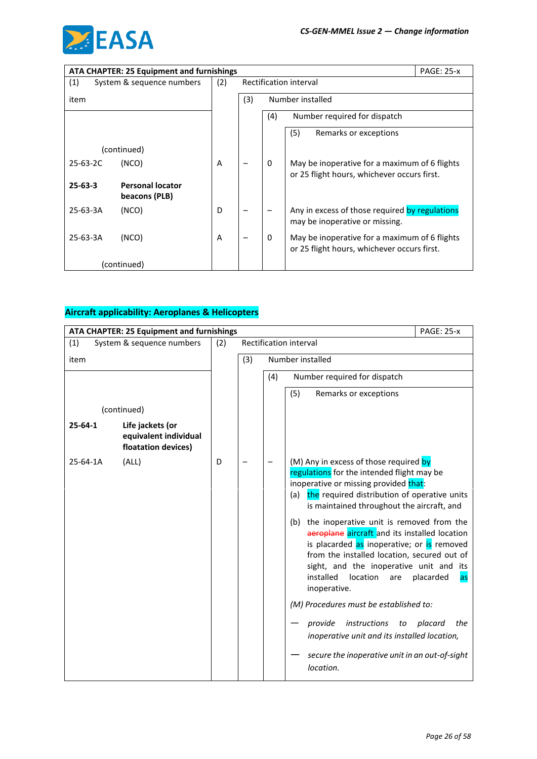

|                | <b>ATA CHAPTER: 25 Equipment and furnishings</b><br><b>PAGE: 25-x</b> |     |                        |              |                                                                                              |  |  |
|----------------|-----------------------------------------------------------------------|-----|------------------------|--------------|----------------------------------------------------------------------------------------------|--|--|
| (1)            | System & sequence numbers                                             | (2) | Rectification interval |              |                                                                                              |  |  |
| item           |                                                                       |     | (3)                    |              | Number installed                                                                             |  |  |
|                |                                                                       |     |                        | (4)          | Number required for dispatch                                                                 |  |  |
|                |                                                                       |     |                        |              | (5)<br>Remarks or exceptions                                                                 |  |  |
|                | (continued)                                                           |     |                        |              |                                                                                              |  |  |
| $25 - 63 - 2C$ | (NCO)                                                                 | A   |                        | $\mathbf{0}$ | May be inoperative for a maximum of 6 flights<br>or 25 flight hours, whichever occurs first. |  |  |
| $25 - 63 - 3$  | <b>Personal locator</b><br>beacons (PLB)                              |     |                        |              |                                                                                              |  |  |
| 25-63-3A       | (NCO)                                                                 | D   |                        |              | Any in excess of those required by regulations<br>may be inoperative or missing.             |  |  |
| 25-63-3A       | (NCO)                                                                 | A   |                        | $\mathbf{0}$ | May be inoperative for a maximum of 6 flights<br>or 25 flight hours, whichever occurs first. |  |  |
|                | (continued)                                                           |     |                        |              |                                                                                              |  |  |

| ATA CHAPTER: 25 Equipment and furnishings |                                                                  |     |     |     | <b>PAGE: 25-x</b>                                                                                                                                                                                                                                                                                                                                                                                                                                                                                                                                                                                                                                                                                                                                             |
|-------------------------------------------|------------------------------------------------------------------|-----|-----|-----|---------------------------------------------------------------------------------------------------------------------------------------------------------------------------------------------------------------------------------------------------------------------------------------------------------------------------------------------------------------------------------------------------------------------------------------------------------------------------------------------------------------------------------------------------------------------------------------------------------------------------------------------------------------------------------------------------------------------------------------------------------------|
| (1)                                       | System & sequence numbers                                        | (2) |     |     | Rectification interval                                                                                                                                                                                                                                                                                                                                                                                                                                                                                                                                                                                                                                                                                                                                        |
| item                                      |                                                                  |     | (3) |     | Number installed                                                                                                                                                                                                                                                                                                                                                                                                                                                                                                                                                                                                                                                                                                                                              |
|                                           |                                                                  |     |     | (4) | Number required for dispatch                                                                                                                                                                                                                                                                                                                                                                                                                                                                                                                                                                                                                                                                                                                                  |
|                                           |                                                                  |     |     |     | (5)<br>Remarks or exceptions                                                                                                                                                                                                                                                                                                                                                                                                                                                                                                                                                                                                                                                                                                                                  |
|                                           | (continued)                                                      |     |     |     |                                                                                                                                                                                                                                                                                                                                                                                                                                                                                                                                                                                                                                                                                                                                                               |
| $25 - 64 - 1$                             | Life jackets (or<br>equivalent individual<br>floatation devices) |     |     |     |                                                                                                                                                                                                                                                                                                                                                                                                                                                                                                                                                                                                                                                                                                                                                               |
| 25-64-1A                                  | (ALL)                                                            | D   |     |     | (M) Any in excess of those required by<br>regulations for the intended flight may be<br>inoperative or missing provided that:<br>the required distribution of operative units<br>(a)<br>is maintained throughout the aircraft, and<br>the inoperative unit is removed from the<br>(b)<br>aeroplane aircraft and its installed location<br>is placarded as inoperative; or is removed<br>from the installed location, secured out of<br>sight, and the inoperative unit and its<br>installed<br>location<br>placarded<br>are<br>as<br>inoperative.<br>(M) Procedures must be established to:<br>instructions<br>placard<br>the<br>provide<br>to<br>inoperative unit and its installed location,<br>secure the inoperative unit in an out-of-sight<br>location. |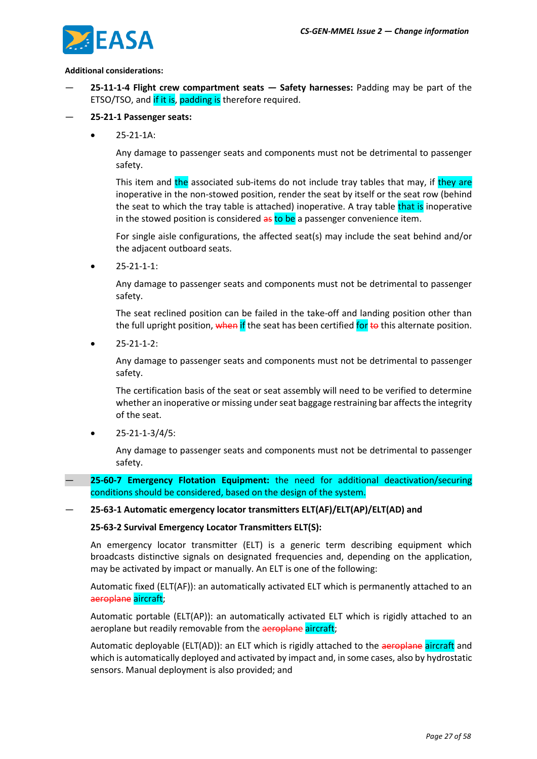

#### **Additional considerations:**

- **25-11-1-4 Flight crew compartment seats — Safety harnesses:** Padding may be part of the ETSO/TSO, and if it is, padding is therefore required.
- **25-21-1 Passenger seats:**
	- 25-21-1A:

Any damage to passenger seats and components must not be detrimental to passenger safety.

This item and the associated sub-items do not include tray tables that may, if they are inoperative in the non-stowed position, render the seat by itself or the seat row (behind the seat to which the tray table is attached) inoperative. A tray table that is inoperative in the stowed position is considered as to be a passenger convenience item.

For single aisle configurations, the affected seat(s) may include the seat behind and/or the adjacent outboard seats.

 $25 - 21 - 1 - 1$ :

Any damage to passenger seats and components must not be detrimental to passenger safety.

The seat reclined position can be failed in the take-off and landing position other than the full upright position, when if the seat has been certified for to this alternate position.

• 25-21-1-2:

Any damage to passenger seats and components must not be detrimental to passenger safety.

The certification basis of the seat or seat assembly will need to be verified to determine whether an inoperative or missing under seat baggage restraining bar affects the integrity of the seat.

• 25-21-1-3/4/5:

Any damage to passenger seats and components must not be detrimental to passenger safety.

— **25-60-7 Emergency Flotation Equipment:** the need for additional deactivation/securing conditions should be considered, based on the design of the system.

#### — **25-63-1 Automatic emergency locator transmitters ELT(AF)/ELT(AP)/ELT(AD) and**

#### **25-63-2 Survival Emergency Locator Transmitters ELT(S):**

An emergency locator transmitter (ELT) is a generic term describing equipment which broadcasts distinctive signals on designated frequencies and, depending on the application, may be activated by impact or manually. An ELT is one of the following:

Automatic fixed (ELT(AF)): an automatically activated ELT which is permanently attached to an aeroplane aircraft;

Automatic portable (ELT(AP)): an automatically activated ELT which is rigidly attached to an aeroplane but readily removable from the aeroplane aircraft;

Automatic deployable (ELT(AD)): an ELT which is rigidly attached to the aeroplane aircraft and which is automatically deployed and activated by impact and, in some cases, also by hydrostatic sensors. Manual deployment is also provided; and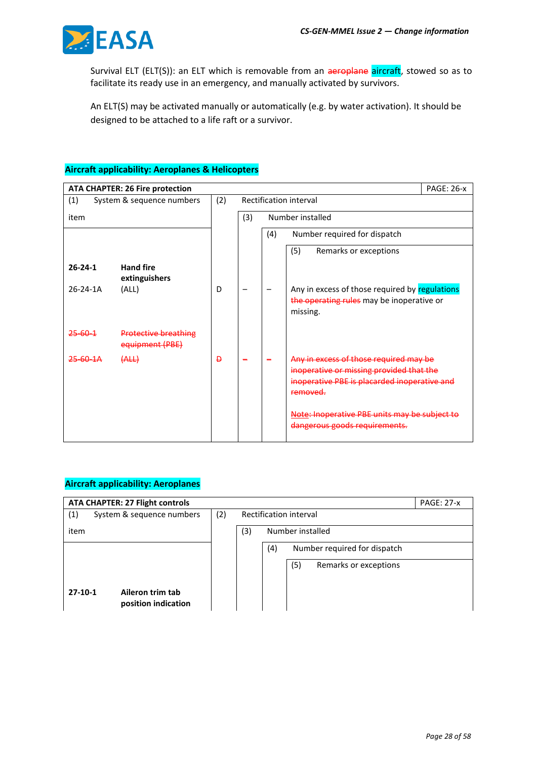

Survival ELT (ELT(S)): an ELT which is removable from an aeroplane aircraft, stowed so as to facilitate its ready use in an emergency, and manually activated by survivors.

An ELT(S) may be activated manually or automatically (e.g. by water activation). It should be designed to be attached to a life raft or a survivor.

### **Aircraft applicability: Aeroplanes & Helicopters**

|                     | <b>ATA CHAPTER: 26 Fire protection</b>         |                |                        |     |                                                                                                                                                | <b>PAGE: 26-x</b> |  |
|---------------------|------------------------------------------------|----------------|------------------------|-----|------------------------------------------------------------------------------------------------------------------------------------------------|-------------------|--|
| (1)                 | System & sequence numbers                      | (2)            | Rectification interval |     |                                                                                                                                                |                   |  |
| item                |                                                |                | (3)                    |     | Number installed                                                                                                                               |                   |  |
|                     |                                                |                |                        | (4) | Number required for dispatch                                                                                                                   |                   |  |
|                     |                                                |                |                        |     | (5)<br>Remarks or exceptions                                                                                                                   |                   |  |
| $26 - 24 - 1$       | <b>Hand fire</b><br>extinguishers              |                |                        |     |                                                                                                                                                |                   |  |
| $26 - 24 - 1A$      | (ALL)                                          | D              |                        |     | Any in excess of those required by regulations<br>the operating rules may be inoperative or<br>missing.                                        |                   |  |
| $25 - 60 - 1$       | <b>Protective breathing</b><br>equipment (PBE) |                |                        |     |                                                                                                                                                |                   |  |
| <del>25-60-1A</del> | (ALL)                                          | $\overline{D}$ |                        |     | Any in excess of those required may be<br>inoperative or missing provided that the<br>inoperative PBE is placarded inoperative and<br>removed. |                   |  |
|                     |                                                |                |                        |     | Note: Inoperative PBE units may be subject to<br>dangerous goods requirements.                                                                 |                   |  |

| <b>ATA CHAPTER: 27 Flight controls</b><br><b>PAGE: 27-x</b> |           |     |     |     |                       |                                                                            |  |
|-------------------------------------------------------------|-----------|-----|-----|-----|-----------------------|----------------------------------------------------------------------------|--|
| System & sequence numbers                                   | (2)       |     |     |     |                       |                                                                            |  |
|                                                             |           | (3) |     |     |                       |                                                                            |  |
|                                                             |           |     | (4) |     |                       |                                                                            |  |
|                                                             |           |     |     | (5) | Remarks or exceptions |                                                                            |  |
|                                                             |           |     |     |     |                       |                                                                            |  |
| Aileron trim tab<br>position indication                     |           |     |     |     |                       |                                                                            |  |
|                                                             | $27-10-1$ |     |     |     |                       | Rectification interval<br>Number installed<br>Number required for dispatch |  |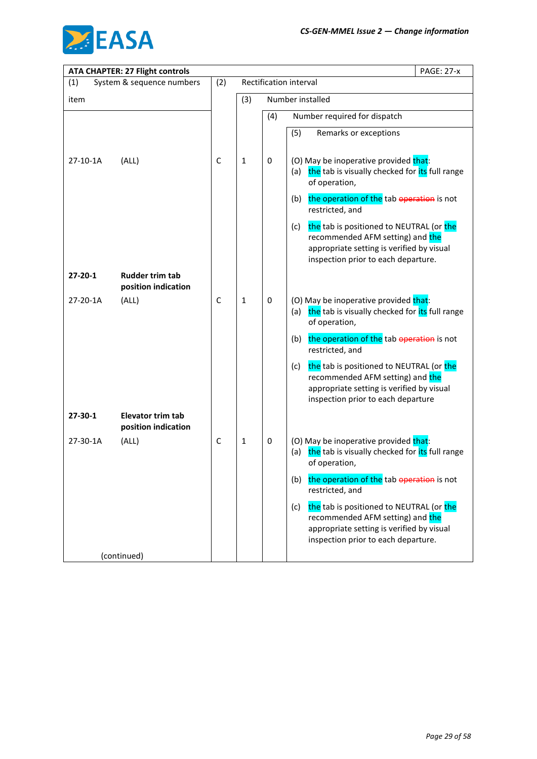

|               | <b>ATA CHAPTER: 27 Flight controls</b>          |              |              |     | <b>PAGE: 27-x</b>                                                                                                                                                       |
|---------------|-------------------------------------------------|--------------|--------------|-----|-------------------------------------------------------------------------------------------------------------------------------------------------------------------------|
| (1)           | System & sequence numbers                       | (2)          |              |     | Rectification interval                                                                                                                                                  |
| item          |                                                 |              | (3)          |     | Number installed                                                                                                                                                        |
|               |                                                 |              |              | (4) | Number required for dispatch                                                                                                                                            |
|               |                                                 |              |              |     | (5)<br>Remarks or exceptions                                                                                                                                            |
| 27-10-1A      | (ALL)                                           | C            | 1            | 0   | (O) May be inoperative provided that:<br>the tab is visually checked for its full range<br>(a)<br>of operation,                                                         |
|               |                                                 |              |              |     | the operation of the tab operation is not<br>(b)<br>restricted, and                                                                                                     |
|               |                                                 |              |              |     | the tab is positioned to NEUTRAL (or the<br>(c)<br>recommended AFM setting) and the<br>appropriate setting is verified by visual<br>inspection prior to each departure. |
| $27 - 20 - 1$ | <b>Rudder trim tab</b><br>position indication   |              |              |     |                                                                                                                                                                         |
| 27-20-1A      | (ALL)                                           | C            | $\mathbf{1}$ | 0   | (O) May be inoperative provided that:<br>the tab is visually checked for its full range<br>(a)<br>of operation,                                                         |
|               |                                                 |              |              |     | the operation of the tab operation is not<br>(b)<br>restricted, and                                                                                                     |
|               |                                                 |              |              |     | the tab is positioned to NEUTRAL (or the<br>(c)<br>recommended AFM setting) and the<br>appropriate setting is verified by visual<br>inspection prior to each departure  |
| 27-30-1       | <b>Elevator trim tab</b><br>position indication |              |              |     |                                                                                                                                                                         |
| 27-30-1A      | (ALL)                                           | $\mathsf{C}$ | $\mathbf{1}$ | 0   | (O) May be inoperative provided that:<br>the tab is visually checked for its full range<br>(a)<br>of operation,                                                         |
|               |                                                 |              |              |     | the operation of the tab operation is not<br>(b)<br>restricted, and                                                                                                     |
|               |                                                 |              |              |     | the tab is positioned to NEUTRAL (or the<br>(c)<br>recommended AFM setting) and the<br>appropriate setting is verified by visual<br>inspection prior to each departure. |
|               | (continued)                                     |              |              |     |                                                                                                                                                                         |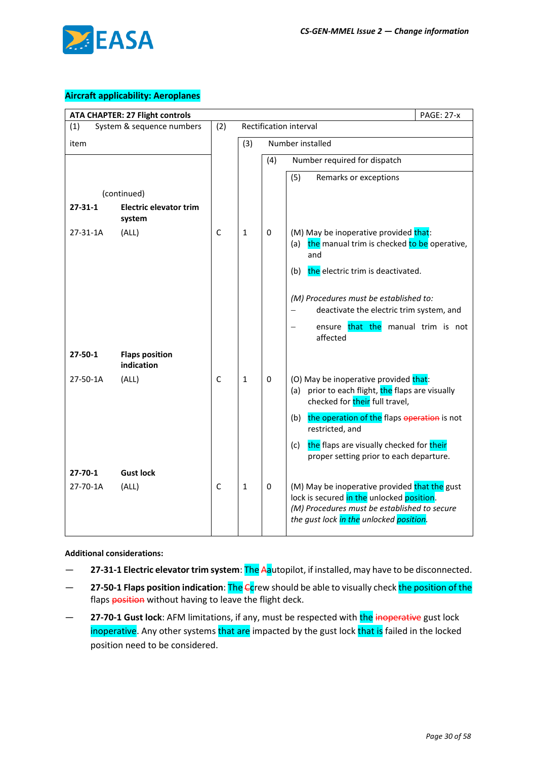

### **Aircraft applicability: Aeroplanes**

| <b>ATA CHAPTER: 27 Flight controls</b> | <b>PAGE: 27-x</b>                       |              |              |             |                                                                                                                                                                                       |
|----------------------------------------|-----------------------------------------|--------------|--------------|-------------|---------------------------------------------------------------------------------------------------------------------------------------------------------------------------------------|
| (1)                                    | System & sequence numbers               | (2)          |              |             | Rectification interval                                                                                                                                                                |
| item                                   |                                         |              | (3)          |             | Number installed                                                                                                                                                                      |
|                                        |                                         |              |              | (4)         | Number required for dispatch                                                                                                                                                          |
|                                        |                                         |              |              |             | (5)<br>Remarks or exceptions                                                                                                                                                          |
|                                        | (continued)                             |              |              |             |                                                                                                                                                                                       |
| $27 - 31 - 1$                          | <b>Electric elevator trim</b><br>system |              |              |             |                                                                                                                                                                                       |
| 27-31-1A                               | (ALL)                                   | $\mathsf{C}$ | $\mathbf{1}$ | $\Omega$    | (M) May be inoperative provided that:<br>the manual trim is checked to be operative,<br>(a)<br>and                                                                                    |
|                                        |                                         |              |              |             | the electric trim is deactivated.<br>(b)                                                                                                                                              |
|                                        |                                         |              |              |             | (M) Procedures must be established to:<br>deactivate the electric trim system, and                                                                                                    |
|                                        |                                         |              |              |             | ensure that the manual trim is not<br>affected                                                                                                                                        |
| $27 - 50 - 1$                          | <b>Flaps position</b><br>indication     |              |              |             |                                                                                                                                                                                       |
| 27-50-1A                               | (ALL)                                   | $\mathsf{C}$ | $\mathbf{1}$ | 0           | (O) May be inoperative provided that:<br>prior to each flight, the flaps are visually<br>(a)<br>checked for their full travel,                                                        |
|                                        |                                         |              |              |             | the operation of the flaps operation is not<br>(b)<br>restricted, and                                                                                                                 |
|                                        |                                         |              |              |             | the flaps are visually checked for their<br>(c)<br>proper setting prior to each departure.                                                                                            |
| $27 - 70 - 1$                          | <b>Gust lock</b>                        |              |              |             |                                                                                                                                                                                       |
| 27-70-1A                               | (ALL)                                   | $\mathsf{C}$ | $\mathbf{1}$ | $\mathbf 0$ | (M) May be inoperative provided that the gust<br>lock is secured in the unlocked position.<br>(M) Procedures must be established to secure<br>the gust lock in the unlocked position. |

**Additional considerations:**

- **27-31-1 Electric elevator trim system**: The Aautopilot, if installed, may have to be disconnected.
- **27-50-1 Flaps position indication**: The Ccrew should be able to visually check the position of the flaps position without having to leave the flight deck.
- **27-70-1 Gust lock**: AFM limitations, if any, must be respected with the inoperative gust lock inoperative. Any other systems that are impacted by the gust lock that is failed in the locked position need to be considered.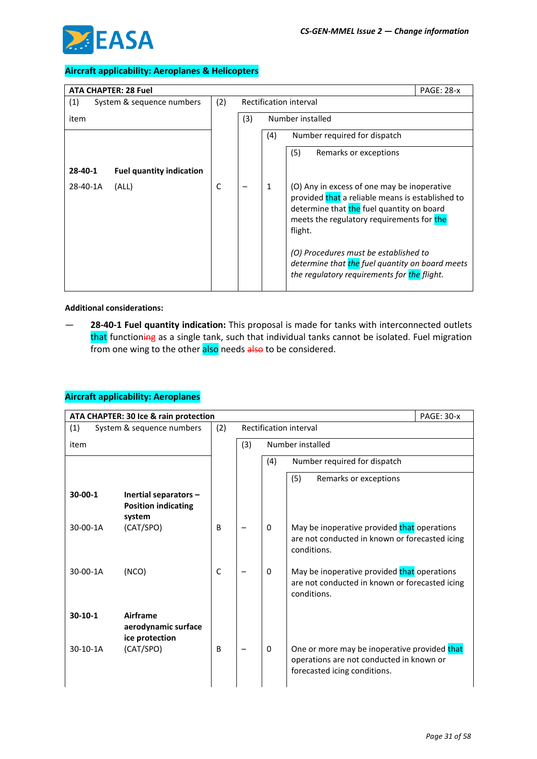

| <b>ATA CHAPTER: 28 Fuel</b>                |     |                        |              | <b>PAGE: 28-x</b>                                                                                                                                                                                    |  |  |
|--------------------------------------------|-----|------------------------|--------------|------------------------------------------------------------------------------------------------------------------------------------------------------------------------------------------------------|--|--|
| (1)<br>System & sequence numbers           | (2) | Rectification interval |              |                                                                                                                                                                                                      |  |  |
| item                                       |     | (3)                    |              | Number installed                                                                                                                                                                                     |  |  |
|                                            |     |                        | (4)          | Number required for dispatch                                                                                                                                                                         |  |  |
|                                            |     |                        |              | (5)<br>Remarks or exceptions                                                                                                                                                                         |  |  |
| 28-40-1<br><b>Fuel quantity indication</b> |     |                        |              |                                                                                                                                                                                                      |  |  |
| 28-40-1A<br>(ALL)                          | C   |                        | $\mathbf{1}$ | (O) Any in excess of one may be inoperative<br>provided that a reliable means is established to<br>determine that the fuel quantity on board<br>meets the regulatory requirements for the<br>flight. |  |  |
|                                            |     |                        |              | (O) Procedures must be established to<br>determine that the fuel quantity on board meets<br>the regulatory requirements for the flight.                                                              |  |  |

#### **Additional considerations:**

— **28-40-1 Fuel quantity indication:** This proposal is made for tanks with interconnected outlets that functioning as a single tank, such that individual tanks cannot be isolated. Fuel migration from one wing to the other also needs also to be considered.

|            | ATA CHAPTER: 30 Ice & rain protection                         |             | <b>PAGE: 30-x</b> |     |                                                                                                                          |  |
|------------|---------------------------------------------------------------|-------------|-------------------|-----|--------------------------------------------------------------------------------------------------------------------------|--|
| (1)        | System & sequence numbers                                     | (2)         |                   |     | Rectification interval                                                                                                   |  |
| item       |                                                               |             | (3)               |     | Number installed                                                                                                         |  |
|            |                                                               |             |                   | (4) | Number required for dispatch                                                                                             |  |
|            |                                                               |             |                   |     | (5)<br>Remarks or exceptions                                                                                             |  |
| 30-00-1    | Inertial separators -<br><b>Position indicating</b><br>system |             |                   |     |                                                                                                                          |  |
| 30-00-1A   | (CAT/SPO)                                                     | B           |                   | 0   | May be inoperative provided that operations<br>are not conducted in known or forecasted icing<br>conditions.             |  |
| 30-00-1A   | (NCO)                                                         | $\mathsf C$ |                   | 0   | May be inoperative provided that operations<br>are not conducted in known or forecasted icing<br>conditions.             |  |
| $30-10-1$  | Airframe<br>aerodynamic surface<br>ice protection             |             |                   |     |                                                                                                                          |  |
| $30-10-1A$ | (CAT/SPO)                                                     | B           |                   | 0   | One or more may be inoperative provided that<br>operations are not conducted in known or<br>forecasted icing conditions. |  |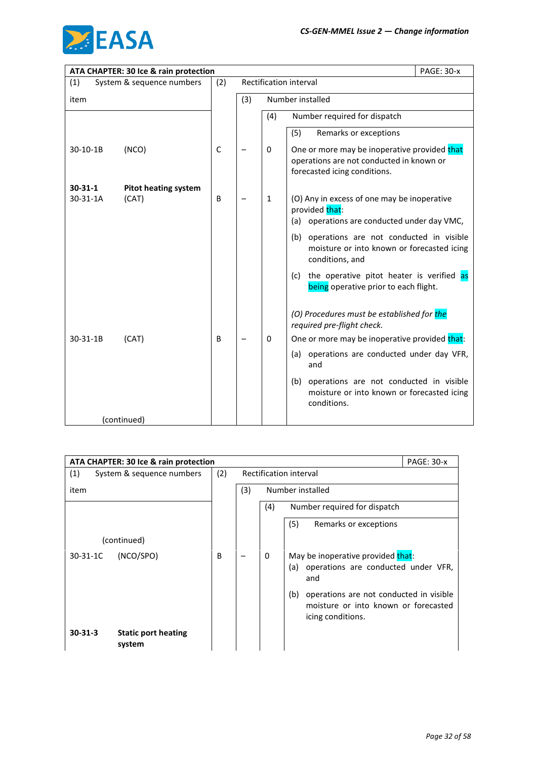

|               | ATA CHAPTER: 30 Ice & rain protection |             |     |              | <b>PAGE: 30-x</b>                                                                                                        |
|---------------|---------------------------------------|-------------|-----|--------------|--------------------------------------------------------------------------------------------------------------------------|
| (1)           | System & sequence numbers             | (2)         |     |              | Rectification interval                                                                                                   |
| item          |                                       |             | (3) |              | Number installed                                                                                                         |
|               |                                       |             |     | (4)          | Number required for dispatch                                                                                             |
|               |                                       |             |     |              | (5)<br>Remarks or exceptions                                                                                             |
| 30-10-1B      | (NCO)                                 | $\mathsf C$ |     | 0            | One or more may be inoperative provided that<br>operations are not conducted in known or<br>forecasted icing conditions. |
| $30 - 31 - 1$ | <b>Pitot heating system</b>           |             |     |              |                                                                                                                          |
| 30-31-1A      | (CAT)                                 | B           |     | $\mathbf{1}$ | (O) Any in excess of one may be inoperative<br>provided that:<br>(a) operations are conducted under day VMC,             |
|               |                                       |             |     |              | (b) operations are not conducted in visible<br>moisture or into known or forecasted icing<br>conditions, and             |
|               |                                       |             |     |              | the operative pitot heater is verified as<br>(c)<br>being operative prior to each flight.                                |
|               |                                       |             |     |              | (O) Procedures must be established for the<br>required pre-flight check.                                                 |
| 30-31-1B      | (CAT)                                 | B           |     | 0            | One or more may be inoperative provided that:                                                                            |
|               |                                       |             |     |              | (a) operations are conducted under day VFR,<br>and                                                                       |
|               |                                       |             |     |              | operations are not conducted in visible<br>(b)<br>moisture or into known or forecasted icing<br>conditions.              |
|               | (continued)                           |             |     |              |                                                                                                                          |

|                | ATA CHAPTER: 30 Ice & rain protection |     |     |          |                                                                                                             |  |
|----------------|---------------------------------------|-----|-----|----------|-------------------------------------------------------------------------------------------------------------|--|
| (1)            | System & sequence numbers             | (2) |     |          | Rectification interval                                                                                      |  |
| item           |                                       |     | (3) |          | Number installed                                                                                            |  |
|                |                                       |     |     | (4)      | Number required for dispatch                                                                                |  |
|                |                                       |     |     |          | (5)<br>Remarks or exceptions                                                                                |  |
|                | (continued)                           |     |     |          |                                                                                                             |  |
| $30 - 31 - 1C$ | (NCO/SPO)                             | B   |     | $\Omega$ | May be inoperative provided that:<br>operations are conducted under VFR,<br>(a)<br>and                      |  |
|                |                                       |     |     |          | (b)<br>operations are not conducted in visible<br>moisture or into known or forecasted<br>icing conditions. |  |
| $30 - 31 - 3$  | <b>Static port heating</b><br>system  |     |     |          |                                                                                                             |  |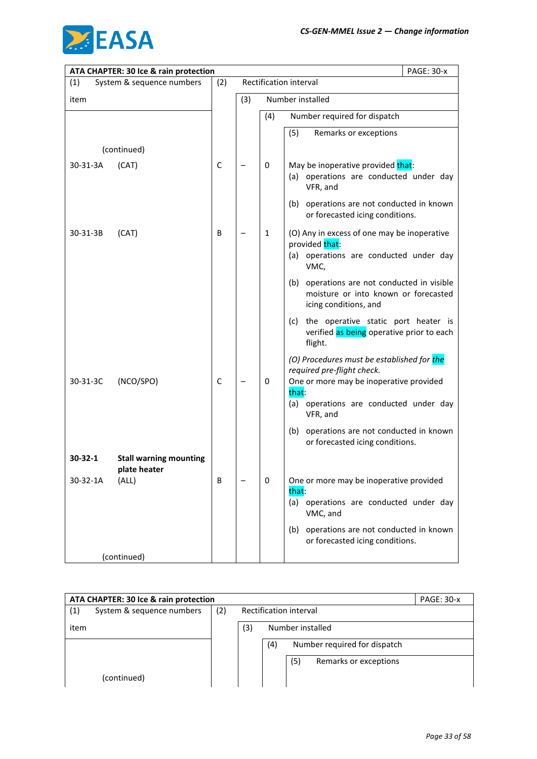

|          | ATA CHAPTER: 30 Ice & rain protection         |             |     | <b>PAGE: 30-x</b> |                                                                                                                 |
|----------|-----------------------------------------------|-------------|-----|-------------------|-----------------------------------------------------------------------------------------------------------------|
| (1)      | System & sequence numbers                     | (2)         |     |                   | Rectification interval                                                                                          |
| item     |                                               |             | (3) |                   | Number installed                                                                                                |
|          |                                               |             |     | (4)               | Number required for dispatch                                                                                    |
|          |                                               |             |     |                   | (5)<br>Remarks or exceptions                                                                                    |
|          | (continued)                                   |             |     |                   |                                                                                                                 |
| 30-31-3A | (CAT)                                         | $\mathsf C$ |     | 0                 | May be inoperative provided that:<br>(a) operations are conducted under day<br>VFR, and                         |
|          |                                               |             |     |                   | (b) operations are not conducted in known<br>or forecasted icing conditions.                                    |
| 30-31-3B | (CAT)                                         | B           |     | $\mathbf{1}$      | (O) Any in excess of one may be inoperative<br>provided that:<br>(a) operations are conducted under day<br>VMC, |
|          |                                               |             |     |                   | (b) operations are not conducted in visible<br>moisture or into known or forecasted<br>icing conditions, and    |
|          |                                               |             |     |                   | the operative static port heater is<br>(c)<br>verified as being operative prior to each<br>flight.              |
|          |                                               |             |     |                   | (O) Procedures must be established for the<br>required pre-flight check.                                        |
| 30-31-3C | (NCO/SPO)                                     | $\mathsf C$ |     | 0                 | One or more may be inoperative provided<br>that:                                                                |
|          |                                               |             |     |                   | (a) operations are conducted under day<br>VFR, and                                                              |
|          |                                               |             |     |                   | (b) operations are not conducted in known<br>or forecasted icing conditions.                                    |
| 30-32-1  | <b>Stall warning mounting</b><br>plate heater |             |     |                   |                                                                                                                 |
| 30-32-1A | (ALL)                                         | В           |     | 0                 | One or more may be inoperative provided<br>that:                                                                |
|          |                                               |             |     |                   | (a) operations are conducted under day<br>VMC, and                                                              |
|          |                                               |             |     |                   | operations are not conducted in known<br>(b)<br>or forecasted icing conditions.                                 |
|          | (continued)                                   |             |     |                   |                                                                                                                 |

|      | ATA CHAPTER: 30 Ice & rain protection<br><b>PAGE: 30-x</b> |     |                        |     |     |                              |  |  |
|------|------------------------------------------------------------|-----|------------------------|-----|-----|------------------------------|--|--|
| (1)  | System & sequence numbers                                  | (2) | Rectification interval |     |     |                              |  |  |
| item |                                                            |     | (3)                    |     |     | Number installed             |  |  |
|      |                                                            |     |                        | (4) |     | Number required for dispatch |  |  |
|      |                                                            |     |                        |     | (5) | Remarks or exceptions        |  |  |
|      | (continued)                                                |     |                        |     |     |                              |  |  |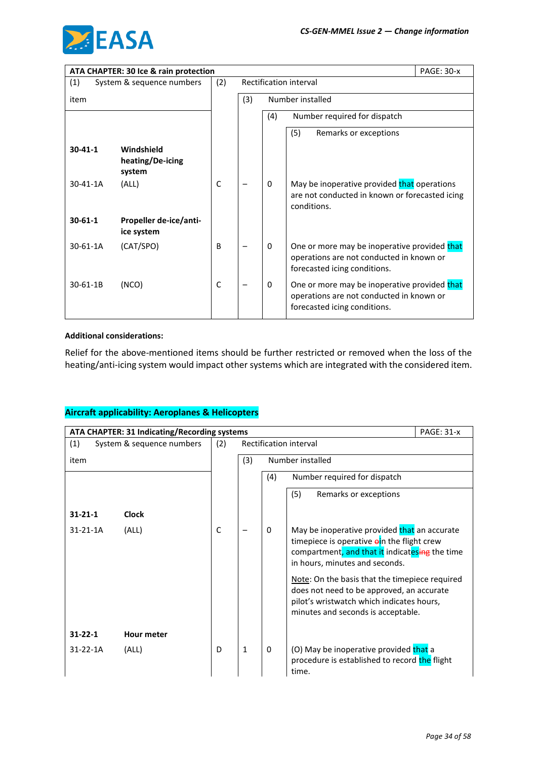

|                | ATA CHAPTER: 30 Ice & rain protection    |              |     |          |                                                                                                                          | <b>PAGE: 30-x</b> |
|----------------|------------------------------------------|--------------|-----|----------|--------------------------------------------------------------------------------------------------------------------------|-------------------|
| (1)            | System & sequence numbers                | (2)          |     |          | Rectification interval                                                                                                   |                   |
| item           |                                          |              | (3) |          | Number installed                                                                                                         |                   |
|                |                                          |              |     | (4)      | Number required for dispatch                                                                                             |                   |
|                |                                          |              |     |          | (5)<br>Remarks or exceptions                                                                                             |                   |
| $30 - 41 - 1$  | Windshield<br>heating/De-icing<br>system |              |     |          |                                                                                                                          |                   |
| $30 - 41 - 1A$ | (ALL)                                    | C            |     | $\Omega$ | May be inoperative provided that operations<br>are not conducted in known or forecasted icing<br>conditions.             |                   |
| $30 - 61 - 1$  | Propeller de-ice/anti-<br>ice system     |              |     |          |                                                                                                                          |                   |
| $30 - 61 - 1A$ | (CAT/SPO)                                | B            |     | 0        | One or more may be inoperative provided that<br>operations are not conducted in known or<br>forecasted icing conditions. |                   |
| 30-61-1B       | (NCO)                                    | $\mathsf{C}$ |     | $\Omega$ | One or more may be inoperative provided that<br>operations are not conducted in known or<br>forecasted icing conditions. |                   |

#### **Additional considerations:**

Relief for the above-mentioned items should be further restricted or removed when the loss of the heating/anti-icing system would impact other systems which are integrated with the considered item.

|                | ATA CHAPTER: 31 Indicating/Recording systems<br><b>PAGE: 31-x</b> |              |              |     |                                                                                                                                                                                |  |  |
|----------------|-------------------------------------------------------------------|--------------|--------------|-----|--------------------------------------------------------------------------------------------------------------------------------------------------------------------------------|--|--|
| (1)            | System & sequence numbers                                         | (2)          |              |     | Rectification interval                                                                                                                                                         |  |  |
| item           |                                                                   |              | (3)          |     | Number installed                                                                                                                                                               |  |  |
|                |                                                                   |              |              | (4) | Number required for dispatch                                                                                                                                                   |  |  |
|                |                                                                   |              |              |     | (5)<br>Remarks or exceptions                                                                                                                                                   |  |  |
| $31 - 21 - 1$  | <b>Clock</b>                                                      |              |              |     |                                                                                                                                                                                |  |  |
| 31-21-1A       | (ALL)                                                             | $\mathsf{C}$ |              | 0   | May be inoperative provided that an accurate<br>timepiece is operative ein the flight crew<br>compartment, and that it indicatesing the time<br>in hours, minutes and seconds. |  |  |
|                |                                                                   |              |              |     | Note: On the basis that the timepiece required<br>does not need to be approved, an accurate<br>pilot's wristwatch which indicates hours,<br>minutes and seconds is acceptable. |  |  |
| $31 - 22 - 1$  | <b>Hour meter</b>                                                 |              |              |     |                                                                                                                                                                                |  |  |
| $31 - 22 - 1A$ | (ALL)                                                             | D            | $\mathbf{1}$ | 0   | (O) May be inoperative provided that a<br>procedure is established to record the flight<br>time.                                                                               |  |  |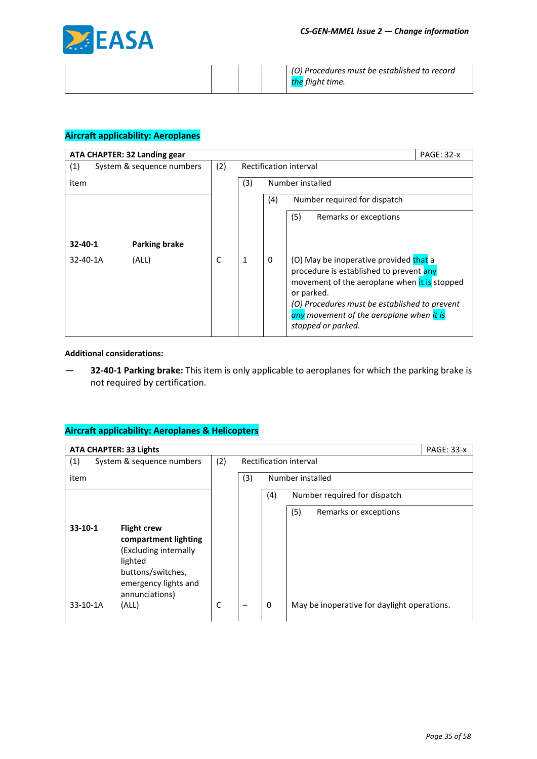

*(O) Procedures must be established to record the flight time.*

### **Aircraft applicability: Aeroplanes**

| ATA CHAPTER: 32 Landing gear |                           |     |                         |          |                                                                                                                                                                                                                                                                           | <b>PAGE: 32-x</b> |
|------------------------------|---------------------------|-----|-------------------------|----------|---------------------------------------------------------------------------------------------------------------------------------------------------------------------------------------------------------------------------------------------------------------------------|-------------------|
| (1)                          | System & sequence numbers | (2) | Rectification interval  |          |                                                                                                                                                                                                                                                                           |                   |
| item                         |                           |     | (3)<br>Number installed |          |                                                                                                                                                                                                                                                                           |                   |
|                              |                           |     |                         | (4)      | Number required for dispatch                                                                                                                                                                                                                                              |                   |
|                              |                           |     |                         |          | (5)<br>Remarks or exceptions                                                                                                                                                                                                                                              |                   |
|                              |                           |     |                         |          |                                                                                                                                                                                                                                                                           |                   |
| $32 - 40 - 1$                | <b>Parking brake</b>      |     |                         |          |                                                                                                                                                                                                                                                                           |                   |
| $32 - 40 - 1A$               | (ALL)                     | C   | 1                       | $\Omega$ | (O) May be inoperative provided that a<br>procedure is established to prevent any<br>movement of the aeroplane when it is stopped<br>or parked.<br>(O) Procedures must be established to prevent<br>any movement of the aeroplane when <i>it is</i><br>stopped or parked. |                   |

#### **Additional considerations:**

— **32-40-1 Parking brake:** This item is only applicable to aeroplanes for which the parking brake is not required by certification.

| <b>ATA CHAPTER: 33 Lights</b>                                                                                                                              |     |     | <b>PAGE: 33-x</b>                                |
|------------------------------------------------------------------------------------------------------------------------------------------------------------|-----|-----|--------------------------------------------------|
| (1)<br>System & sequence numbers                                                                                                                           | (2) |     | Rectification interval                           |
| item                                                                                                                                                       |     | (3) | Number installed                                 |
|                                                                                                                                                            |     |     | (4)<br>Number required for dispatch              |
|                                                                                                                                                            |     |     | (5)<br>Remarks or exceptions                     |
| $33-10-1$<br><b>Flight crew</b><br>compartment lighting<br>(Excluding internally<br>lighted<br>buttons/switches,<br>emergency lights and<br>annunciations) |     |     |                                                  |
| $33-10-1A$<br>(ALL)                                                                                                                                        | C   |     | May be inoperative for daylight operations.<br>0 |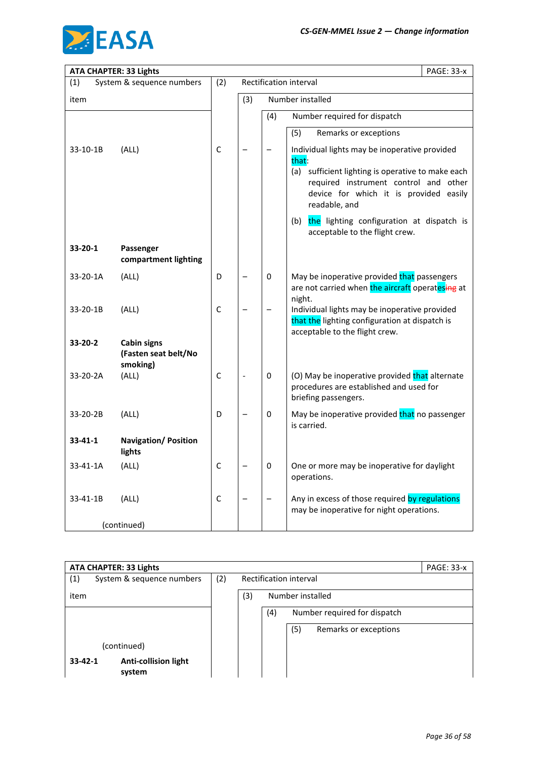

| <b>ATA CHAPTER: 33 Lights</b> |                                                        |             |     |          | <b>PAGE: 33-x</b>                                                                                                                                                                                               |
|-------------------------------|--------------------------------------------------------|-------------|-----|----------|-----------------------------------------------------------------------------------------------------------------------------------------------------------------------------------------------------------------|
| (1)                           | System & sequence numbers                              | (2)         |     |          | Rectification interval                                                                                                                                                                                          |
| item                          |                                                        |             | (3) |          | Number installed                                                                                                                                                                                                |
|                               |                                                        |             |     | (4)      | Number required for dispatch                                                                                                                                                                                    |
|                               |                                                        |             |     |          | (5)<br>Remarks or exceptions                                                                                                                                                                                    |
| 33-10-1B                      | (ALL)                                                  | $\mathsf C$ |     |          | Individual lights may be inoperative provided<br>that:<br>(a) sufficient lighting is operative to make each<br>required instrument control and other<br>device for which it is provided easily<br>readable, and |
|                               |                                                        |             |     |          | the lighting configuration at dispatch is<br>(b)<br>acceptable to the flight crew.                                                                                                                              |
| 33-20-1                       | Passenger<br>compartment lighting                      |             |     |          |                                                                                                                                                                                                                 |
| 33-20-1A                      | (ALL)                                                  | D           |     | $\Omega$ | May be inoperative provided that passengers<br>are not carried when the aircraft operatesing at<br>night.                                                                                                       |
| 33-20-1B                      | (ALL)                                                  | C           |     |          | Individual lights may be inoperative provided<br>that the lighting configuration at dispatch is<br>acceptable to the flight crew.                                                                               |
| 33-20-2                       | <b>Cabin signs</b><br>(Fasten seat belt/No<br>smoking) |             |     |          |                                                                                                                                                                                                                 |
| 33-20-2A                      | (ALL)                                                  | $\mathsf C$ |     | 0        | (O) May be inoperative provided that alternate<br>procedures are established and used for<br>briefing passengers.                                                                                               |
| 33-20-2B                      | (ALL)                                                  | D           |     | 0        | May be inoperative provided that no passenger<br>is carried.                                                                                                                                                    |
| $33 - 41 - 1$                 | <b>Navigation/ Position</b><br>lights                  |             |     |          |                                                                                                                                                                                                                 |
| 33-41-1A                      | (ALL)                                                  | C           |     | 0        | One or more may be inoperative for daylight<br>operations.                                                                                                                                                      |
| 33-41-1B                      | (ALL)                                                  | $\mathsf C$ |     |          | Any in excess of those required by regulations<br>may be inoperative for night operations.                                                                                                                      |
|                               | (continued)                                            |             |     |          |                                                                                                                                                                                                                 |

|               | <b>ATA CHAPTER: 33 Lights</b>         |     |                         |     |     |                              | <b>PAGE: 33-x</b> |
|---------------|---------------------------------------|-----|-------------------------|-----|-----|------------------------------|-------------------|
| (1)           | System & sequence numbers             | (2) | Rectification interval  |     |     |                              |                   |
| item          |                                       |     | (3)<br>Number installed |     |     |                              |                   |
|               |                                       |     |                         | (4) |     | Number required for dispatch |                   |
|               |                                       |     |                         |     | (5) | Remarks or exceptions        |                   |
|               | (continued)                           |     |                         |     |     |                              |                   |
| $33 - 42 - 1$ | <b>Anti-collision light</b><br>system |     |                         |     |     |                              |                   |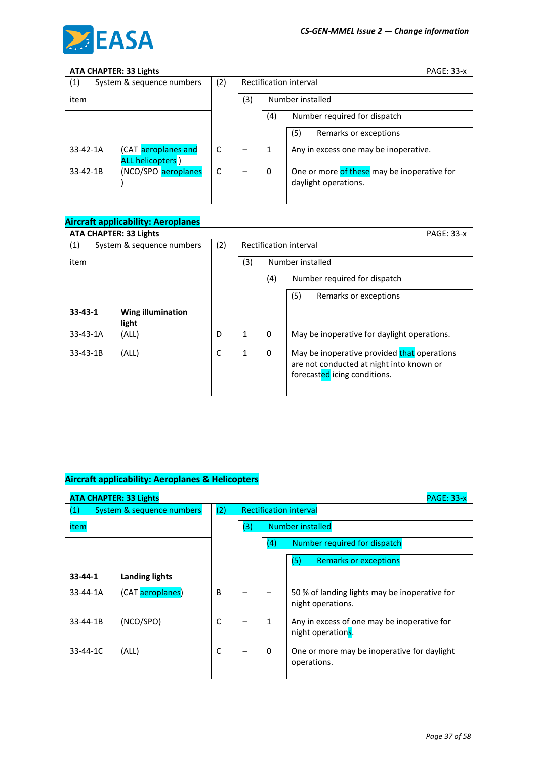

|                | <b>ATA CHAPTER: 33 Lights</b>            |     |                         |     |                                                                     | <b>PAGE: 33-x</b> |
|----------------|------------------------------------------|-----|-------------------------|-----|---------------------------------------------------------------------|-------------------|
| (1)            | System & sequence numbers                | (2) | Rectification interval  |     |                                                                     |                   |
| item           |                                          |     | (3)<br>Number installed |     |                                                                     |                   |
|                |                                          |     |                         | (4) | Number required for dispatch                                        |                   |
|                |                                          |     |                         |     | (5)<br>Remarks or exceptions                                        |                   |
| $33 - 42 - 1A$ | (CAT aeroplanes and<br>ALL helicopters ) | C   |                         | 1   | Any in excess one may be inoperative.                               |                   |
| $33 - 42 - 1B$ | (NCO/SPO aeroplanes                      | C   |                         | 0   | One or more of these may be inoperative for<br>daylight operations. |                   |
|                |                                          |     |                         |     |                                                                     |                   |

|                | <b>Aircraft applicability: Aeroplanes</b> |     |                         |     |                                                                                                                         |            |
|----------------|-------------------------------------------|-----|-------------------------|-----|-------------------------------------------------------------------------------------------------------------------------|------------|
|                | <b>ATA CHAPTER: 33 Lights</b>             |     |                         |     |                                                                                                                         | PAGE: 33-x |
| (1)            | System & sequence numbers                 | (2) | Rectification interval  |     |                                                                                                                         |            |
| item           |                                           |     | (3)<br>Number installed |     |                                                                                                                         |            |
|                |                                           |     |                         | (4) | Number required for dispatch                                                                                            |            |
|                |                                           |     |                         |     | (5)<br>Remarks or exceptions                                                                                            |            |
| $33 - 43 - 1$  | <b>Wing illumination</b><br>light         |     |                         |     |                                                                                                                         |            |
| $33 - 43 - 1A$ | (ALL)                                     | D   | $\mathbf{1}$            | 0   | May be inoperative for daylight operations.                                                                             |            |
| $33 - 43 - 1B$ | (ALL)                                     | C   | 1                       | 0   | May be inoperative provided that operations<br>are not conducted at night into known or<br>forecasted icing conditions. |            |

|                | <b>PAGE: 33-x</b><br><b>ATA CHAPTER: 33 Lights</b> |     |                               |          |                                                                    |  |  |  |
|----------------|----------------------------------------------------|-----|-------------------------------|----------|--------------------------------------------------------------------|--|--|--|
| (1)            | System & sequence numbers                          | (2) | <b>Rectification interval</b> |          |                                                                    |  |  |  |
| item           |                                                    |     | (3)<br>Number installed       |          |                                                                    |  |  |  |
|                |                                                    |     |                               | (4)      | Number required for dispatch                                       |  |  |  |
|                |                                                    |     |                               |          | (5)<br><b>Remarks or exceptions</b>                                |  |  |  |
| $33 - 44 - 1$  | <b>Landing lights</b>                              |     |                               |          |                                                                    |  |  |  |
| 33-44-1A       | (CAT aeroplanes)                                   | B   |                               |          | 50 % of landing lights may be inoperative for<br>night operations. |  |  |  |
| 33-44-1B       | (NCO/SPO)                                          | C   |                               | 1        | Any in excess of one may be inoperative for<br>night operations.   |  |  |  |
| $33 - 44 - 1C$ | (ALL)                                              | C   |                               | $\Omega$ | One or more may be inoperative for daylight<br>operations.         |  |  |  |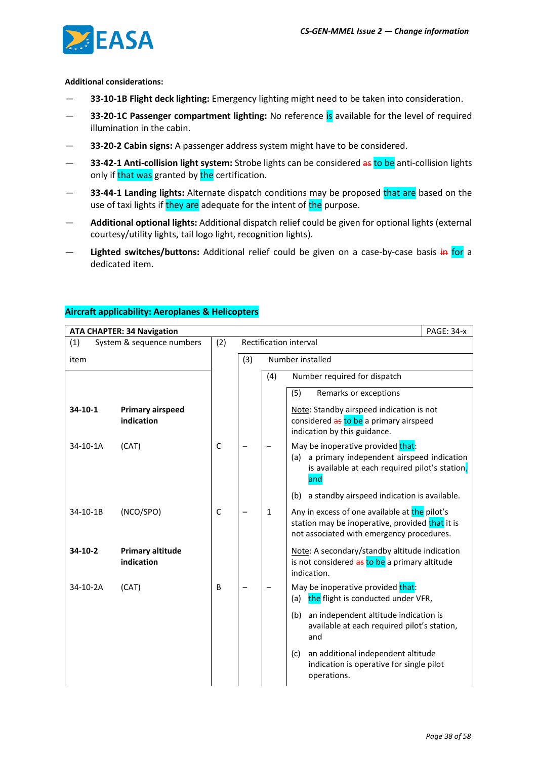

#### **Additional considerations:**

- **33-10-1B Flight deck lighting:** Emergency lighting might need to be taken into consideration.
- **33-20-1C Passenger compartment lighting:** No reference is available for the level of required illumination in the cabin.
- **33-20-2 Cabin signs:** A passenger address system might have to be considered.
- **33-42-1 Anti-collision light system:** Strobe lights can be considered as to be anti-collision lights only if that was granted by the certification.
- **33-44-1 Landing lights:** Alternate dispatch conditions may be proposed that are based on the use of taxi lights if they are adequate for the intent of the purpose.
- **Additional optional lights:** Additional dispatch relief could be given for optional lights (external courtesy/utility lights, tail logo light, recognition lights).
- Lighted switches/buttons: Additional relief could be given on a case-by-case basis in for a dedicated item.

| <b>ATA CHAPTER: 34 Navigation</b> |                                       |     |     |                        | <b>PAGE: 34-x</b>                                                                                                                              |  |  |
|-----------------------------------|---------------------------------------|-----|-----|------------------------|------------------------------------------------------------------------------------------------------------------------------------------------|--|--|
| (1)                               | System & sequence numbers             | (2) |     | Rectification interval |                                                                                                                                                |  |  |
| item                              |                                       |     | (3) | Number installed       |                                                                                                                                                |  |  |
|                                   |                                       |     |     | (4)                    | Number required for dispatch                                                                                                                   |  |  |
|                                   |                                       |     |     |                        | (5)<br>Remarks or exceptions                                                                                                                   |  |  |
| $34-10-1$                         | <b>Primary airspeed</b><br>indication |     |     |                        | Note: Standby airspeed indication is not<br>considered as to be a primary airspeed<br>indication by this guidance.                             |  |  |
| 34-10-1A                          | (CAT)                                 | C   |     |                        | May be inoperative provided that:<br>a primary independent airspeed indication<br>(a)<br>is available at each required pilot's station,<br>and |  |  |
|                                   |                                       |     |     |                        | a standby airspeed indication is available.<br>(b)                                                                                             |  |  |
| 34-10-1B                          | (NCO/SPO)                             | C   |     | $\mathbf{1}$           | Any in excess of one available at the pilot's<br>station may be inoperative, provided that it is<br>not associated with emergency procedures.  |  |  |
| $34-10-2$                         | <b>Primary altitude</b><br>indication |     |     |                        | Note: A secondary/standby altitude indication<br>is not considered as to be a primary altitude<br>indication.                                  |  |  |
| 34-10-2A                          | (CAT)                                 | B   |     |                        | May be inoperative provided that:<br>the flight is conducted under VFR,<br>(a)                                                                 |  |  |
|                                   |                                       |     |     |                        | an independent altitude indication is<br>(b)<br>available at each required pilot's station,<br>and                                             |  |  |
|                                   |                                       |     |     |                        | an additional independent altitude<br>(c)<br>indication is operative for single pilot<br>operations.                                           |  |  |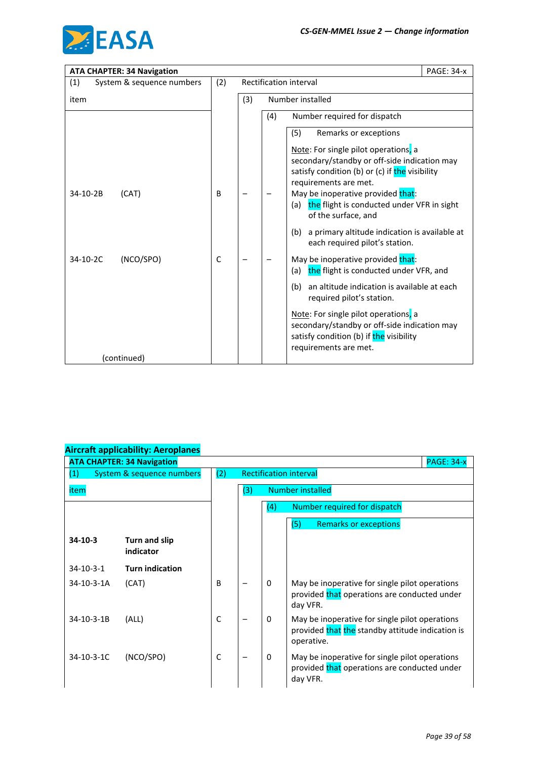

| <b>ATA CHAPTER: 34 Navigation</b> |     |     |     |                                                                                                                                                          | <b>PAGE: 34-x</b> |
|-----------------------------------|-----|-----|-----|----------------------------------------------------------------------------------------------------------------------------------------------------------|-------------------|
| (1)<br>System & sequence numbers  | (2) |     |     | <b>Rectification interval</b>                                                                                                                            |                   |
| item                              |     | (3) |     | Number installed                                                                                                                                         |                   |
|                                   |     |     | (4) | Number required for dispatch                                                                                                                             |                   |
|                                   |     |     |     | Remarks or exceptions<br>(5)                                                                                                                             |                   |
|                                   |     |     |     | Note: For single pilot operations, a                                                                                                                     |                   |
|                                   |     |     |     | secondary/standby or off-side indication may<br>satisfy condition (b) or (c) if the visibility                                                           |                   |
| 34-10-2B<br>(CAT)                 | B   |     |     | requirements are met.<br>May be inoperative provided that:                                                                                               |                   |
|                                   |     |     |     | the flight is conducted under VFR in sight<br>(a)<br>of the surface, and                                                                                 |                   |
|                                   |     |     |     | a primary altitude indication is available at<br>(b)<br>each required pilot's station.                                                                   |                   |
| (NCO/SPO)<br>34-10-2C             | C   |     |     | May be inoperative provided that:<br>the flight is conducted under VFR, and<br>(a)                                                                       |                   |
|                                   |     |     |     | an altitude indication is available at each<br>(b)<br>required pilot's station.                                                                          |                   |
|                                   |     |     |     | Note: For single pilot operations, a<br>secondary/standby or off-side indication may<br>satisfy condition (b) if the visibility<br>requirements are met. |                   |
| (continued)                       |     |     |     |                                                                                                                                                          |                   |

|                   | <b>ATA CHAPTER: 34 Navigation</b> |              |                               |                  | <b>PAGE: 34-x</b>                                                                                                |  |  |
|-------------------|-----------------------------------|--------------|-------------------------------|------------------|------------------------------------------------------------------------------------------------------------------|--|--|
| (1)               | System & sequence numbers         | (2)          | <b>Rectification interval</b> |                  |                                                                                                                  |  |  |
| item              |                                   |              | (3)                           | Number installed |                                                                                                                  |  |  |
|                   |                                   |              |                               | (4)              | Number required for dispatch                                                                                     |  |  |
|                   |                                   |              |                               |                  | (5)<br><b>Remarks or exceptions</b>                                                                              |  |  |
| $34-10-3$         | Turn and slip<br>indicator        |              |                               |                  |                                                                                                                  |  |  |
| $34 - 10 - 3 - 1$ | <b>Turn indication</b>            |              |                               |                  |                                                                                                                  |  |  |
| 34-10-3-1A        | (CAT)                             | B            |                               | 0                | May be inoperative for single pilot operations<br>provided that operations are conducted under<br>day VFR.       |  |  |
| 34-10-3-1B        | (ALL)                             | $\mathsf{C}$ |                               | $\Omega$         | May be inoperative for single pilot operations<br>provided that the standby attitude indication is<br>operative. |  |  |
| 34-10-3-1C        | (NCO/SPO)                         | $\mathsf{C}$ |                               | $\Omega$         | May be inoperative for single pilot operations<br>provided that operations are conducted under<br>day VFR.       |  |  |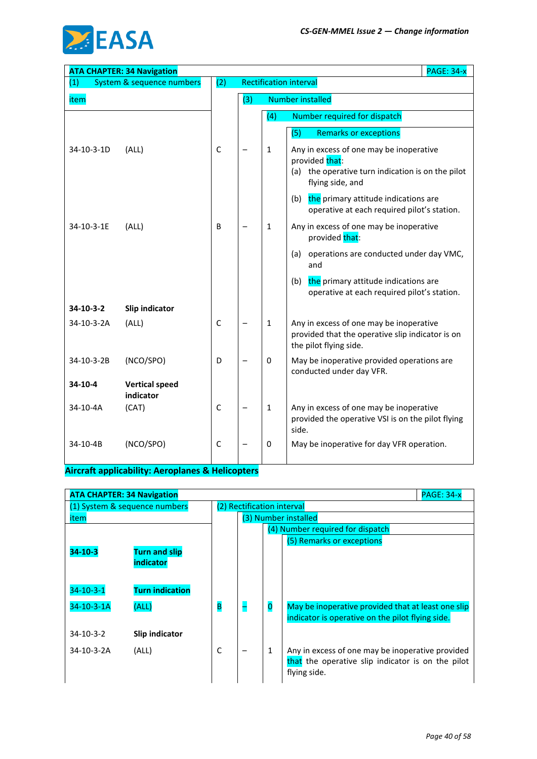

|            | <b>ATA CHAPTER: 34 Navigation</b>  |              |     |              | <b>PAGE: 34-x</b>                                                                                                                     |
|------------|------------------------------------|--------------|-----|--------------|---------------------------------------------------------------------------------------------------------------------------------------|
| (1)        | System & sequence numbers          | (2)          |     |              | <b>Rectification interval</b>                                                                                                         |
| item       |                                    |              | (3) |              | <b>Number installed</b>                                                                                                               |
|            |                                    |              |     | (4)          | Number required for dispatch                                                                                                          |
|            |                                    |              |     |              | (5)<br><b>Remarks or exceptions</b>                                                                                                   |
| 34-10-3-1D | (ALL)                              | $\mathsf C$  |     | $\mathbf{1}$ | Any in excess of one may be inoperative<br>provided that:<br>the operative turn indication is on the pilot<br>(a)<br>flying side, and |
|            |                                    |              |     |              | (b)<br>the primary attitude indications are<br>operative at each required pilot's station.                                            |
| 34-10-3-1E | (ALL)                              | B            |     | $\mathbf{1}$ | Any in excess of one may be inoperative<br>provided that:                                                                             |
|            |                                    |              |     |              | operations are conducted under day VMC,<br>(a)<br>and                                                                                 |
|            |                                    |              |     |              | (b)<br>the primary attitude indications are<br>operative at each required pilot's station.                                            |
| 34-10-3-2  | Slip indicator                     |              |     |              |                                                                                                                                       |
| 34-10-3-2A | (ALL)                              | $\mathsf{C}$ |     | $\mathbf{1}$ | Any in excess of one may be inoperative<br>provided that the operative slip indicator is on<br>the pilot flying side.                 |
| 34-10-3-2B | (NCO/SPO)                          | D            |     | $\mathbf 0$  | May be inoperative provided operations are<br>conducted under day VFR.                                                                |
| 34-10-4    | <b>Vertical speed</b><br>indicator |              |     |              |                                                                                                                                       |
| 34-10-4A   | (CAT)                              | $\mathsf C$  |     | $\mathbf{1}$ | Any in excess of one may be inoperative<br>provided the operative VSI is on the pilot flying<br>side.                                 |
| 34-10-4B   | (NCO/SPO)                          | $\mathsf{C}$ |     | 0            | May be inoperative for day VFR operation.                                                                                             |

| <b>ATA CHAPTER: 34 Navigation</b> |                                   |                            |  |                         | <b>PAGE: 34-x</b>                                                                                                     |
|-----------------------------------|-----------------------------------|----------------------------|--|-------------------------|-----------------------------------------------------------------------------------------------------------------------|
|                                   | (1) System & sequence numbers     | (2) Rectification interval |  |                         |                                                                                                                       |
| item                              |                                   |                            |  |                         | (3) Number installed                                                                                                  |
|                                   |                                   |                            |  |                         | (4) Number required for dispatch                                                                                      |
| $34 - 10 - 3$                     | <b>Turn and slip</b><br>indicator |                            |  |                         | (5) Remarks or exceptions                                                                                             |
| $34 - 10 - 3 - 1$                 | <b>Turn indication</b>            |                            |  |                         |                                                                                                                       |
| 34-10-3-1A                        | (ALL)                             | B                          |  | $\overline{\mathbf{0}}$ | May be inoperative provided that at least one slip<br>indicator is operative on the pilot flying side.                |
| $34 - 10 - 3 - 2$                 | Slip indicator                    |                            |  |                         |                                                                                                                       |
| 34-10-3-2A                        | (ALL)                             | C                          |  | 1                       | Any in excess of one may be inoperative provided<br>that the operative slip indicator is on the pilot<br>flying side. |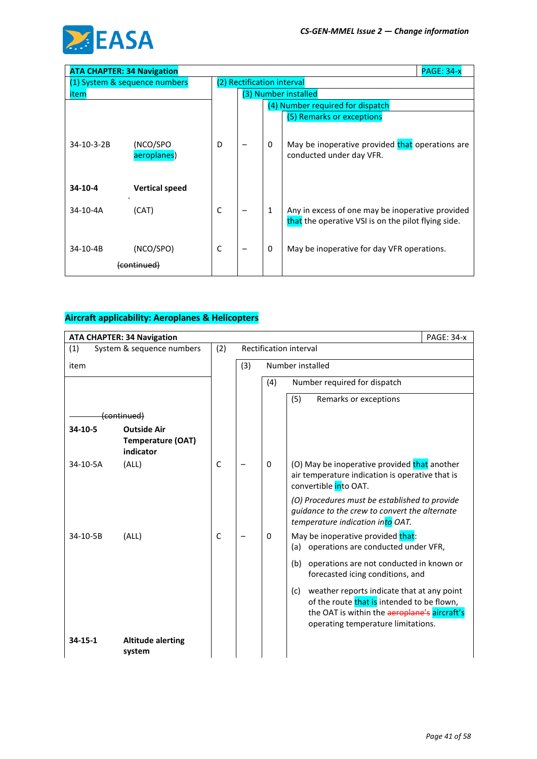

|            | <b>ATA CHAPTER: 34 Navigation</b> |   |                            |              | <b>PAGE: 34-x</b>                                                                                       |
|------------|-----------------------------------|---|----------------------------|--------------|---------------------------------------------------------------------------------------------------------|
|            | (1) System & sequence numbers     |   | (2) Rectification interval |              |                                                                                                         |
| item       |                                   |   |                            |              | (3) Number installed                                                                                    |
|            |                                   |   |                            |              | (4) Number required for dispatch                                                                        |
|            |                                   |   |                            |              | (5) Remarks or exceptions                                                                               |
| 34-10-3-2B | (NCO/SPO<br>aeroplanes)           | D |                            | $\mathbf{0}$ | May be inoperative provided that operations are<br>conducted under day VFR.                             |
| 34-10-4    | <b>Vertical speed</b>             |   |                            |              |                                                                                                         |
| 34-10-4A   | (CAT)                             | C |                            | $\mathbf{1}$ | Any in excess of one may be inoperative provided<br>that the operative VSI is on the pilot flying side. |
| 34-10-4B   | (NCO/SPO)                         | C |                            | 0            | May be inoperative for day VFR operations.                                                              |

|               | <b>ATA CHAPTER: 34 Navigation</b>                           |             |     |     | <b>PAGE: 34-x</b>                                                                                                                                                                     |
|---------------|-------------------------------------------------------------|-------------|-----|-----|---------------------------------------------------------------------------------------------------------------------------------------------------------------------------------------|
| (1)           | System & sequence numbers                                   | (2)         |     |     | Rectification interval                                                                                                                                                                |
| item          |                                                             |             | (3) |     | Number installed                                                                                                                                                                      |
|               |                                                             |             |     | (4) | Number required for dispatch                                                                                                                                                          |
|               |                                                             |             |     |     | (5)<br>Remarks or exceptions                                                                                                                                                          |
|               | <del>(continued)</del>                                      |             |     |     |                                                                                                                                                                                       |
| 34-10-5       | <b>Outside Air</b><br><b>Temperature (OAT)</b><br>indicator |             |     |     |                                                                                                                                                                                       |
| 34-10-5A      | (ALL)                                                       | $\mathsf C$ |     | 0   | (O) May be inoperative provided that another<br>air temperature indication is operative that is<br>convertible into OAT.                                                              |
|               |                                                             |             |     |     | (O) Procedures must be established to provide<br>guidance to the crew to convert the alternate<br>temperature indication into OAT.                                                    |
| 34-10-5B      | (ALL)                                                       | C           |     | 0   | May be inoperative provided that:<br>operations are conducted under VFR,<br>(a)                                                                                                       |
|               |                                                             |             |     |     | (b)<br>operations are not conducted in known or<br>forecasted icing conditions, and                                                                                                   |
|               |                                                             |             |     |     | weather reports indicate that at any point<br>(c)<br>of the route that is intended to be flown,<br>the OAT is within the aeroplane's aircraft's<br>operating temperature limitations. |
| $34 - 15 - 1$ | <b>Altitude alerting</b><br>system                          |             |     |     |                                                                                                                                                                                       |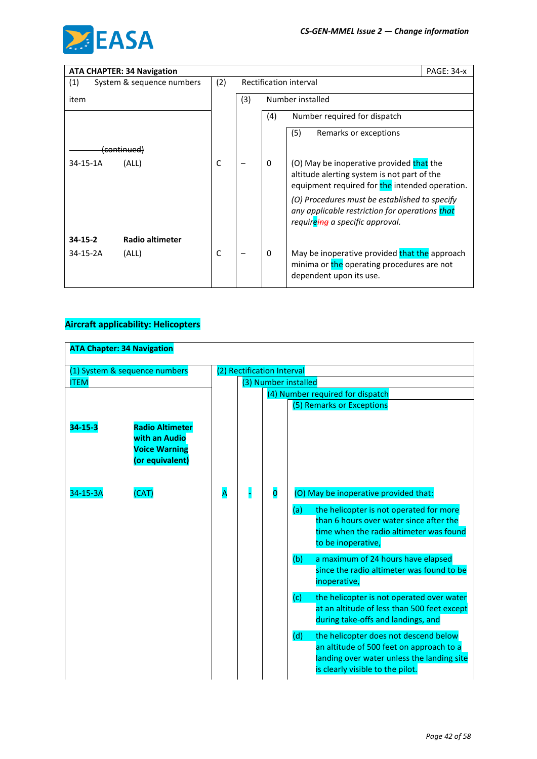

|               | <b>ATA CHAPTER: 34 Navigation</b> |              |     |              |                                                                                                                                           | <b>PAGE: 34-x</b> |
|---------------|-----------------------------------|--------------|-----|--------------|-------------------------------------------------------------------------------------------------------------------------------------------|-------------------|
| (1)           | System & sequence numbers         | (2)          |     |              | Rectification interval                                                                                                                    |                   |
| item          |                                   |              | (3) |              | Number installed                                                                                                                          |                   |
|               |                                   |              |     | (4)          | Number required for dispatch                                                                                                              |                   |
|               |                                   |              |     |              | (5)<br>Remarks or exceptions                                                                                                              |                   |
|               | (continued)                       |              |     |              |                                                                                                                                           |                   |
| 34-15-1A      | (ALL)                             | $\mathsf{C}$ |     | $\mathbf{0}$ | (O) May be inoperative provided that the<br>altitude alerting system is not part of the<br>equipment required for the intended operation. |                   |
|               |                                   |              |     |              | (O) Procedures must be established to specify<br>any applicable restriction for operations that<br>requireing a specific approval.        |                   |
| $34 - 15 - 2$ | Radio altimeter                   |              |     |              |                                                                                                                                           |                   |
| 34-15-2A      | (ALL)                             | C            |     | $\mathbf{0}$ | May be inoperative provided that the approach<br>minima or the operating procedures are not<br>dependent upon its use.                    |                   |

### **Aircraft applicability: Helicopters**

|                           | <b>ATA Chapter: 34 Navigation</b>                                                           |   |   |                            |                                                                                                                                                                            |
|---------------------------|---------------------------------------------------------------------------------------------|---|---|----------------------------|----------------------------------------------------------------------------------------------------------------------------------------------------------------------------|
|                           | (1) System & sequence numbers                                                               |   |   | (2) Rectification Interval |                                                                                                                                                                            |
| <b>ITEM</b>               |                                                                                             |   |   |                            | (3) Number installed                                                                                                                                                       |
|                           |                                                                                             |   |   |                            | (4) Number required for dispatch                                                                                                                                           |
|                           |                                                                                             |   |   |                            | (5) Remarks or Exceptions                                                                                                                                                  |
| $34 - 15 - 3$<br>34-15-3A | <b>Radio Altimeter</b><br>with an Audio<br><b>Voice Warning</b><br>(or equivalent)<br>(CAT) | Ā | п | $\overline{\mathbf{0}}$    | (O) May be inoperative provided that:                                                                                                                                      |
|                           |                                                                                             |   |   |                            | (a)<br>the helicopter is not operated for more<br>than 6 hours over water since after the<br>time when the radio altimeter was found<br>to be inoperative,                 |
|                           |                                                                                             |   |   |                            | (b)<br>a maximum of 24 hours have elapsed<br>since the radio altimeter was found to be<br>inoperative,                                                                     |
|                           |                                                                                             |   |   |                            | (c)<br>the helicopter is not operated over water<br>at an altitude of less than 500 feet except<br>during take-offs and landings, and                                      |
|                           |                                                                                             |   |   |                            | (d)<br>the helicopter does not descend below<br>an altitude of 500 feet on approach to a<br>landing over water unless the landing site<br>is clearly visible to the pilot. |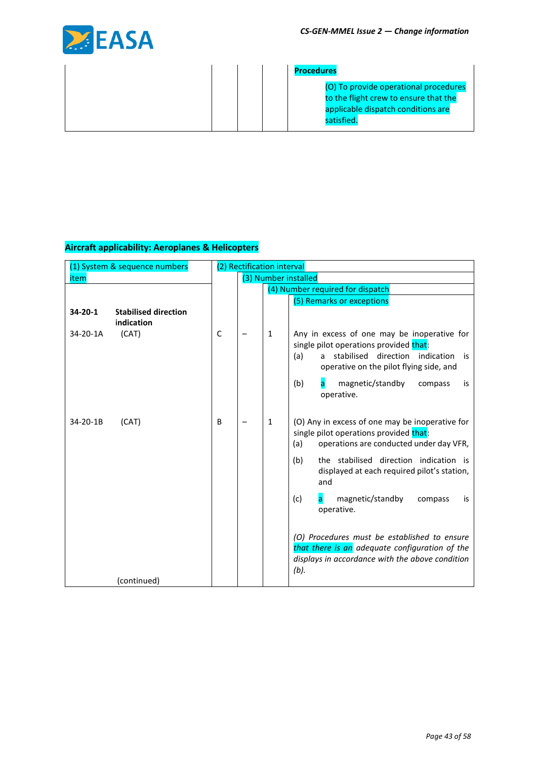

|  | <b>Procedures</b>                                                                                                                  |
|--|------------------------------------------------------------------------------------------------------------------------------------|
|  | (O) To provide operational procedures<br>to the flight crew to ensure that the<br>applicable dispatch conditions are<br>satisfied. |

| (1) System & sequence numbers                        |   | (2) Rectification interval |              |                                                                                                                                                                                                  |
|------------------------------------------------------|---|----------------------------|--------------|--------------------------------------------------------------------------------------------------------------------------------------------------------------------------------------------------|
| item                                                 |   |                            |              | (3) Number installed                                                                                                                                                                             |
|                                                      |   |                            |              | (4) Number required for dispatch                                                                                                                                                                 |
|                                                      |   |                            |              | (5) Remarks or exceptions                                                                                                                                                                        |
| 34-20-1<br><b>Stabilised direction</b><br>indication |   |                            |              |                                                                                                                                                                                                  |
| 34-20-1A<br>(CAT)                                    | C |                            | 1            | Any in excess of one may be inoperative for<br>single pilot operations provided that:<br>stabilised direction indication<br>(a)<br>$\mathsf{a}$<br>is<br>operative on the pilot flying side, and |
|                                                      |   |                            |              | (b)<br>magnetic/standby<br>compass<br>is<br>operative.                                                                                                                                           |
| 34-20-1B<br>(CAT)                                    | B |                            | $\mathbf{1}$ | (O) Any in excess of one may be inoperative for<br>single pilot operations provided that:<br>operations are conducted under day VFR,<br>(a)                                                      |
|                                                      |   |                            |              | the stabilised direction indication is<br>(b)<br>displayed at each required pilot's station,<br>and                                                                                              |
|                                                      |   |                            |              | (c)<br>magnetic/standby<br>compass<br>is<br>a<br>operative.                                                                                                                                      |
| (continued)                                          |   |                            |              | (O) Procedures must be established to ensure<br>that there is an adequate configuration of the<br>displays in accordance with the above condition<br>(b).                                        |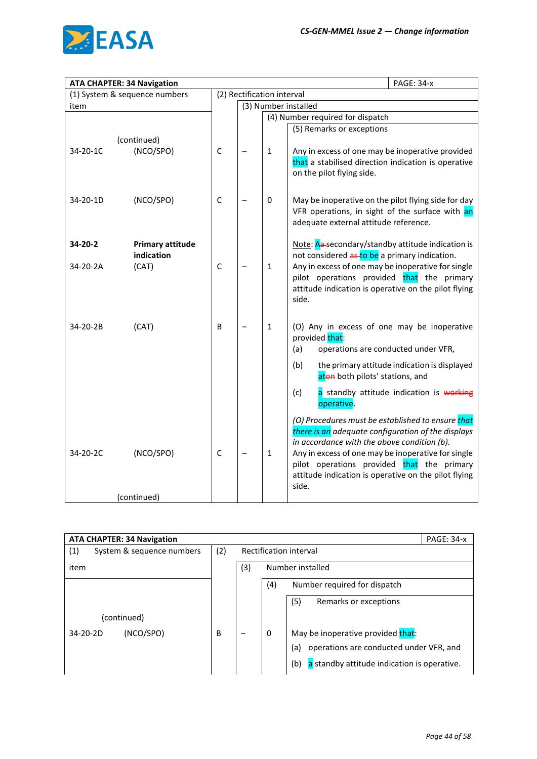

|          | <b>ATA CHAPTER: 34 Navigation</b> |              |                            |              | <b>PAGE: 34-x</b>                                                                                       |
|----------|-----------------------------------|--------------|----------------------------|--------------|---------------------------------------------------------------------------------------------------------|
|          | (1) System & sequence numbers     |              | (2) Rectification interval |              |                                                                                                         |
| item     |                                   |              |                            |              | (3) Number installed                                                                                    |
|          |                                   |              |                            |              | (4) Number required for dispatch                                                                        |
|          |                                   |              |                            |              | (5) Remarks or exceptions                                                                               |
|          | (continued)                       |              |                            |              |                                                                                                         |
| 34-20-1C | (NCO/SPO)                         | $\mathsf{C}$ |                            | $\mathbf{1}$ | Any in excess of one may be inoperative provided<br>that a stabilised direction indication is operative |
|          |                                   |              |                            |              | on the pilot flying side.                                                                               |
| 34-20-1D | (NCO/SPO)                         | $\mathsf C$  |                            | 0            | May be inoperative on the pilot flying side for day                                                     |
|          |                                   |              |                            |              | VFR operations, in sight of the surface with an<br>adequate external attitude reference.                |
| 34-20-2  | <b>Primary attitude</b>           |              |                            |              | Note: Aa-secondary/standby attitude indication is                                                       |
|          | indication                        |              |                            |              | not considered as to be a primary indication.                                                           |
| 34-20-2A | (CAT)                             | $\mathsf C$  |                            | $\mathbf{1}$ | Any in excess of one may be inoperative for single                                                      |
|          |                                   |              |                            |              | pilot operations provided that the primary                                                              |
|          |                                   |              |                            |              | attitude indication is operative on the pilot flying<br>side.                                           |
|          |                                   |              |                            |              |                                                                                                         |
| 34-20-2B | (CAT)                             | B            |                            | $\mathbf{1}$ | (O) Any in excess of one may be inoperative                                                             |
|          |                                   |              |                            |              | provided that:                                                                                          |
|          |                                   |              |                            |              | (a)<br>operations are conducted under VFR,                                                              |
|          |                                   |              |                            |              | the primary attitude indication is displayed<br>(b)<br>aton both pilots' stations, and                  |
|          |                                   |              |                            |              | a standby attitude indication is working<br>(c)<br>operative.                                           |
|          |                                   |              |                            |              | (O) Procedures must be established to ensure that                                                       |
|          |                                   |              |                            |              | there is an adequate configuration of the displays                                                      |
| 34-20-2C | (NCO/SPO)                         | $\mathsf C$  |                            | $\mathbf 1$  | in accordance with the above condition (b).<br>Any in excess of one may be inoperative for single       |
|          |                                   |              |                            |              | pilot operations provided that the primary                                                              |
|          |                                   |              |                            |              | attitude indication is operative on the pilot flying                                                    |
|          |                                   |              |                            |              | side.                                                                                                   |
|          | (continued)                       |              |                            |              |                                                                                                         |

|     |                        | <b>PAGE: 34-x</b>                                  |  |
|-----|------------------------|----------------------------------------------------|--|
| (2) | Rectification interval |                                                    |  |
|     | (3)                    | Number installed                                   |  |
|     |                        | (4)<br>Number required for dispatch                |  |
|     |                        | (5)<br>Remarks or exceptions                       |  |
|     |                        |                                                    |  |
| B   | -                      | May be inoperative provided that:<br>0             |  |
|     |                        | operations are conducted under VFR, and<br>(a)     |  |
|     |                        | a standby attitude indication is operative.<br>(b) |  |
|     |                        |                                                    |  |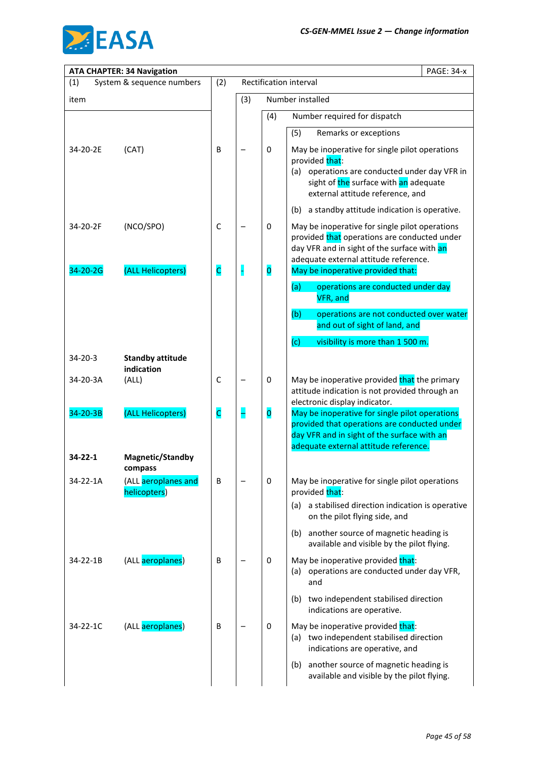

|                      | <b>ATA CHAPTER: 34 Navigation</b>              |                  |     |                                        | <b>PAGE: 34-x</b>                                                                                                                                                                                                           |
|----------------------|------------------------------------------------|------------------|-----|----------------------------------------|-----------------------------------------------------------------------------------------------------------------------------------------------------------------------------------------------------------------------------|
| (1)                  | System & sequence numbers                      | (2)              |     |                                        | Rectification interval                                                                                                                                                                                                      |
| item                 |                                                |                  | (3) |                                        | Number installed                                                                                                                                                                                                            |
|                      |                                                |                  |     | (4)                                    | Number required for dispatch                                                                                                                                                                                                |
|                      |                                                |                  |     |                                        | (5)<br>Remarks or exceptions                                                                                                                                                                                                |
| 34-20-2E             | (CAT)                                          | B                |     | 0                                      | May be inoperative for single pilot operations<br>provided that:<br>operations are conducted under day VFR in<br>(a)<br>sight of the surface with an adequate<br>external attitude reference, and                           |
|                      |                                                |                  |     |                                        | a standby attitude indication is operative.<br>(b)                                                                                                                                                                          |
| 34-20-2F<br>34-20-2G | (NCO/SPO)<br>(ALL Helicopters)                 | $\mathsf C$<br>C | H   | $\mathbf 0$<br>$\overline{\mathbf{0}}$ | May be inoperative for single pilot operations<br>provided that operations are conducted under<br>day VFR and in sight of the surface with an<br>adequate external attitude reference.<br>May be inoperative provided that: |
|                      |                                                |                  |     |                                        |                                                                                                                                                                                                                             |
|                      |                                                |                  |     |                                        | operations are conducted under day<br>(a)<br>VFR, and                                                                                                                                                                       |
|                      |                                                |                  |     |                                        | (b)<br>operations are not conducted over water<br>and out of sight of land, and                                                                                                                                             |
|                      |                                                |                  |     |                                        | (c)<br>visibility is more than 1 500 m.                                                                                                                                                                                     |
| $34 - 20 - 3$        | <b>Standby attitude</b><br>indication          |                  |     |                                        |                                                                                                                                                                                                                             |
| 34-20-3A             | (ALL)                                          | $\mathsf C$      |     | $\pmb{0}$                              | May be inoperative provided that the primary<br>attitude indication is not provided through an                                                                                                                              |
| 34-20-3B             | (ALL Helicopters)                              | c                |     | $\overline{\mathbf{0}}$                | electronic display indicator.<br>May be inoperative for single pilot operations<br>provided that operations are conducted under<br>day VFR and in sight of the surface with an<br>adequate external attitude reference.     |
| $34 - 22 - 1$        | Magnetic/Standby                               |                  |     |                                        |                                                                                                                                                                                                                             |
| 34-22-1A             | compass<br>(ALL aeroplanes and<br>helicopters) | B                |     | 0                                      | May be inoperative for single pilot operations<br>provided that:                                                                                                                                                            |
|                      |                                                |                  |     |                                        | a stabilised direction indication is operative<br>(a)<br>on the pilot flying side, and                                                                                                                                      |
|                      |                                                |                  |     |                                        | another source of magnetic heading is<br>(b)<br>available and visible by the pilot flying.                                                                                                                                  |
| 34-22-1B             | (ALL aeroplanes)                               | B                |     | 0                                      | May be inoperative provided that:<br>operations are conducted under day VFR,<br>(a)<br>and                                                                                                                                  |
|                      |                                                |                  |     |                                        | two independent stabilised direction<br>(b)<br>indications are operative.                                                                                                                                                   |
| 34-22-1C             | (ALL aeroplanes)                               | В                |     | $\mathbf 0$                            | May be inoperative provided that:<br>two independent stabilised direction<br>(a)<br>indications are operative, and                                                                                                          |
|                      |                                                |                  |     |                                        | another source of magnetic heading is<br>(b)<br>available and visible by the pilot flying.                                                                                                                                  |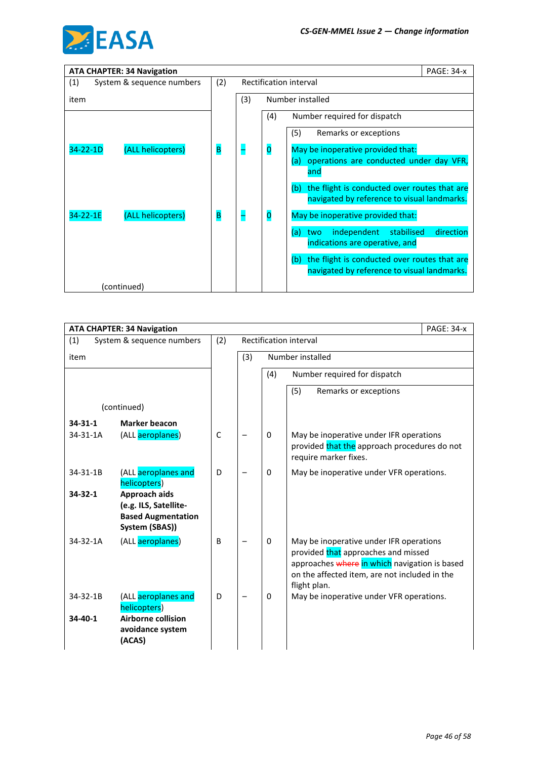

| <b>ATA CHAPTER: 34 Navigation</b>   |     |     | <b>PAGE: 34-x</b>                                                                                  |
|-------------------------------------|-----|-----|----------------------------------------------------------------------------------------------------|
| (1)<br>System & sequence numbers    | (2) |     | Rectification interval                                                                             |
| item                                |     | (3) | Number installed                                                                                   |
|                                     |     |     | (4)<br>Number required for dispatch                                                                |
|                                     |     |     | (5)<br>Remarks or exceptions                                                                       |
| $34 - 22 - 1D$<br>(ALL helicopters) | B   |     | $\overline{\mathbf{0}}$<br>May be inoperative provided that:                                       |
|                                     |     |     | operations are conducted under day VFR,<br>(a)<br>and                                              |
|                                     |     |     | the flight is conducted over routes that are<br>(b)<br>navigated by reference to visual landmarks. |
| 34-22-1E<br>(ALL helicopters)       | B   |     | $\overline{\mathbf{0}}$<br>May be inoperative provided that:                                       |
|                                     |     |     | independent<br>direction<br>stabilised<br>(a)<br>two<br>indications are operative, and             |
|                                     |     |     | the flight is conducted over routes that are<br>(b)<br>navigated by reference to visual landmarks. |
| (continued)                         |     |     |                                                                                                    |

| <b>ATA CHAPTER: 34 Navigation</b> |                                                                                                |             |     |          |                                                                                                                                                                                                  | <b>PAGE: 34-x</b> |
|-----------------------------------|------------------------------------------------------------------------------------------------|-------------|-----|----------|--------------------------------------------------------------------------------------------------------------------------------------------------------------------------------------------------|-------------------|
| (1)                               | System & sequence numbers                                                                      | (2)         |     |          | Rectification interval                                                                                                                                                                           |                   |
| item                              |                                                                                                |             | (3) |          | Number installed                                                                                                                                                                                 |                   |
|                                   |                                                                                                |             |     | (4)      | Number required for dispatch                                                                                                                                                                     |                   |
|                                   |                                                                                                |             |     |          | (5)<br>Remarks or exceptions                                                                                                                                                                     |                   |
|                                   | (continued)                                                                                    |             |     |          |                                                                                                                                                                                                  |                   |
| $34 - 31 - 1$                     | <b>Marker beacon</b>                                                                           |             |     |          |                                                                                                                                                                                                  |                   |
| $34 - 31 - 1A$                    | (ALL aeroplanes)                                                                               | $\mathsf C$ |     | $\Omega$ | May be inoperative under IFR operations<br>provided that the approach procedures do not<br>require marker fixes.                                                                                 |                   |
| $34 - 31 - 1B$                    | (ALL aeroplanes and<br>helicopters)                                                            | D           |     | 0        | May be inoperative under VFR operations.                                                                                                                                                         |                   |
| $34 - 32 - 1$                     | Approach aids<br>(e.g. ILS, Satellite-<br><b>Based Augmentation</b><br>System (SBAS))          |             |     |          |                                                                                                                                                                                                  |                   |
| $34 - 32 - 1A$                    | (ALL aeroplanes)                                                                               | B           |     | 0        | May be inoperative under IFR operations<br>provided that approaches and missed<br>approaches where in which navigation is based<br>on the affected item, are not included in the<br>flight plan. |                   |
| $34 - 32 - 1B$<br>$34 - 40 - 1$   | (ALL aeroplanes and<br>helicopters)<br><b>Airborne collision</b><br>avoidance system<br>(ACAS) | D           |     | 0        | May be inoperative under VFR operations.                                                                                                                                                         |                   |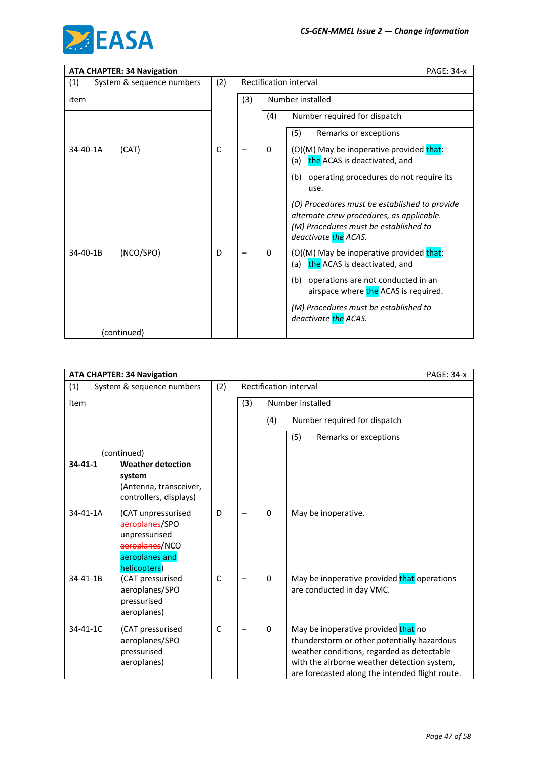

| <b>ATA CHAPTER: 34 Navigation</b> |     |     |     |                                                                                                                                                             | <b>PAGE: 34-x</b> |
|-----------------------------------|-----|-----|-----|-------------------------------------------------------------------------------------------------------------------------------------------------------------|-------------------|
| (1)<br>System & sequence numbers  | (2) |     |     | Rectification interval                                                                                                                                      |                   |
| item                              |     | (3) |     | Number installed                                                                                                                                            |                   |
|                                   |     |     | (4) | Number required for dispatch                                                                                                                                |                   |
|                                   |     |     |     | (5)<br>Remarks or exceptions                                                                                                                                |                   |
| 34-40-1A<br>(CAT)                 | C   |     | 0   | (O)(M) May be inoperative provided that:<br>the ACAS is deactivated, and<br>(a)                                                                             |                   |
|                                   |     |     |     | (b)<br>operating procedures do not require its<br>use.                                                                                                      |                   |
|                                   |     |     |     | (O) Procedures must be established to provide<br>alternate crew procedures, as applicable.<br>(M) Procedures must be established to<br>deactivate the ACAS. |                   |
| (NCO/SPO)<br>34-40-1B             | D   |     | 0   | (O)(M) May be inoperative provided that:<br>the ACAS is deactivated, and<br>(a)                                                                             |                   |
|                                   |     |     |     | (b)<br>operations are not conducted in an<br>airspace where the ACAS is required.                                                                           |                   |
|                                   |     |     |     | (M) Procedures must be established to<br>deactivate the ACAS.                                                                                               |                   |
| (continued)                       |     |     |     |                                                                                                                                                             |                   |

|                | <b>ATA CHAPTER: 34 Navigation</b>                                                                         |              |     |              |                                                                                                                                                                                                                                    | <b>PAGE: 34-x</b> |
|----------------|-----------------------------------------------------------------------------------------------------------|--------------|-----|--------------|------------------------------------------------------------------------------------------------------------------------------------------------------------------------------------------------------------------------------------|-------------------|
| (1)            | System & sequence numbers                                                                                 | (2)          |     |              | Rectification interval                                                                                                                                                                                                             |                   |
| item           |                                                                                                           |              | (3) |              | Number installed                                                                                                                                                                                                                   |                   |
|                |                                                                                                           |              |     | (4)          | Number required for dispatch                                                                                                                                                                                                       |                   |
|                |                                                                                                           |              |     |              | (5)<br>Remarks or exceptions                                                                                                                                                                                                       |                   |
|                | (continued)                                                                                               |              |     |              |                                                                                                                                                                                                                                    |                   |
| $34 - 41 - 1$  | <b>Weather detection</b><br>system<br>(Antenna, transceiver,<br>controllers, displays)                    |              |     |              |                                                                                                                                                                                                                                    |                   |
| 34-41-1A       | (CAT unpressurised<br>aeroplanes/SPO<br>unpressurised<br>aeroplanes/NCO<br>aeroplanes and<br>helicopters) | D            |     | $\mathbf{0}$ | May be inoperative.                                                                                                                                                                                                                |                   |
| 34-41-1B       | (CAT pressurised<br>aeroplanes/SPO<br>pressurised<br>aeroplanes)                                          | $\mathsf{C}$ |     | $\mathbf{0}$ | May be inoperative provided that operations<br>are conducted in day VMC.                                                                                                                                                           |                   |
| $34 - 41 - 1C$ | (CAT pressurised<br>aeroplanes/SPO<br>pressurised<br>aeroplanes)                                          | $\mathsf{C}$ |     | $\mathbf{0}$ | May be inoperative provided that no<br>thunderstorm or other potentially hazardous<br>weather conditions, regarded as detectable<br>with the airborne weather detection system,<br>are forecasted along the intended flight route. |                   |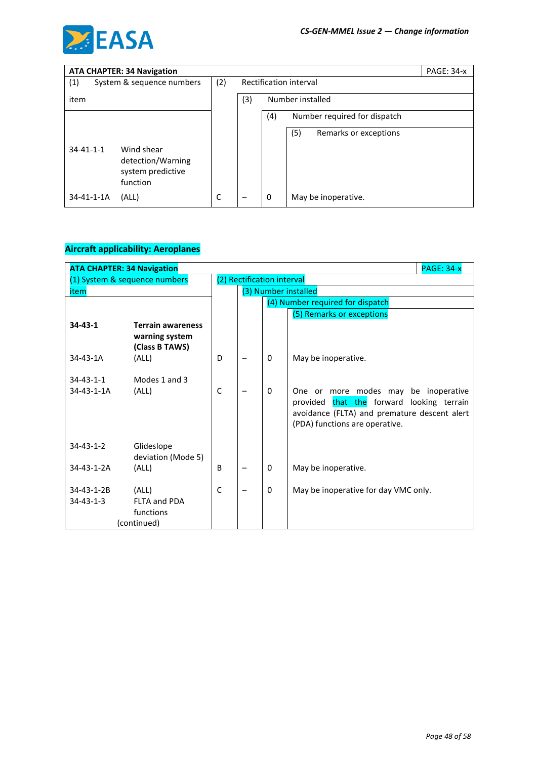

| <b>ATA CHAPTER: 34 Navigation</b> |                                                                  |     |     |     |                              | <b>PAGE: 34-x</b> |
|-----------------------------------|------------------------------------------------------------------|-----|-----|-----|------------------------------|-------------------|
| (1)                               | System & sequence numbers                                        | (2) |     |     | Rectification interval       |                   |
| item                              |                                                                  |     | (3) |     | Number installed             |                   |
|                                   |                                                                  |     |     | (4) | Number required for dispatch |                   |
|                                   |                                                                  |     |     |     | (5)<br>Remarks or exceptions |                   |
| $34 - 41 - 1 - 1$                 | Wind shear<br>detection/Warning<br>system predictive<br>function |     |     |     |                              |                   |
| 34-41-1-1A                        | (ALL)                                                            | C   |     | 0   | May be inoperative.          |                   |

| <b>ATA CHAPTER: 34 Navigation</b> |                                                              |              |  |                            |                                                                                                                                                         | <b>PAGE: 34-x</b> |
|-----------------------------------|--------------------------------------------------------------|--------------|--|----------------------------|---------------------------------------------------------------------------------------------------------------------------------------------------------|-------------------|
|                                   | (1) System & sequence numbers                                |              |  | (2) Rectification interval |                                                                                                                                                         |                   |
| item                              |                                                              |              |  | (3) Number installed       |                                                                                                                                                         |                   |
|                                   |                                                              |              |  |                            | (4) Number required for dispatch                                                                                                                        |                   |
|                                   |                                                              |              |  |                            | (5) Remarks or exceptions                                                                                                                               |                   |
| $34 - 43 - 1$                     | <b>Terrain awareness</b><br>warning system<br>(Class B TAWS) |              |  |                            |                                                                                                                                                         |                   |
| $34 - 43 - 1A$                    | (ALL)                                                        | D            |  | 0                          | May be inoperative.                                                                                                                                     |                   |
| $34 - 43 - 1 - 1$<br>34-43-1-1A   | Modes 1 and 3<br>(ALL)                                       | $\mathsf{C}$ |  | 0                          | more modes may<br>One or<br>provided that the forward looking terrain<br>avoidance (FLTA) and premature descent alert<br>(PDA) functions are operative. | be inoperative    |
| $34 - 43 - 1 - 2$                 | Glideslope<br>deviation (Mode 5)                             |              |  |                            |                                                                                                                                                         |                   |
| 34-43-1-2A                        | (ALL)                                                        | B            |  | 0                          | May be inoperative.                                                                                                                                     |                   |
| 34-43-1-2B<br>$34 - 43 - 1 - 3$   | (ALL)<br><b>FLTA and PDA</b><br>functions                    | $\mathsf{C}$ |  | $\mathbf{0}$               | May be inoperative for day VMC only.                                                                                                                    |                   |
|                                   | (continued)                                                  |              |  |                            |                                                                                                                                                         |                   |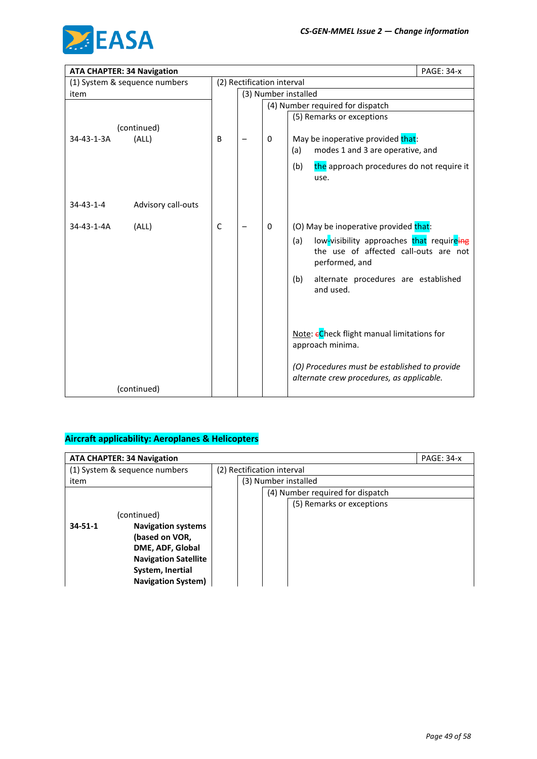

| <b>ATA CHAPTER: 34 Navigation</b> |   | <b>PAGE: 34-x</b>          |   |                                                                                                                                                              |
|-----------------------------------|---|----------------------------|---|--------------------------------------------------------------------------------------------------------------------------------------------------------------|
| (1) System & sequence numbers     |   | (2) Rectification interval |   |                                                                                                                                                              |
| item                              |   |                            |   | (3) Number installed                                                                                                                                         |
|                                   |   |                            |   | (4) Number required for dispatch                                                                                                                             |
|                                   |   |                            |   | (5) Remarks or exceptions                                                                                                                                    |
| (continued)                       |   |                            |   |                                                                                                                                                              |
| (ALL)<br>34-43-1-3A               | B |                            | 0 | May be inoperative provided that:                                                                                                                            |
|                                   |   |                            |   | modes 1 and 3 are operative, and<br>(a)                                                                                                                      |
|                                   |   |                            |   | the approach procedures do not require it<br>(b)<br>use.                                                                                                     |
| Advisory call-outs<br>34-43-1-4   |   |                            |   |                                                                                                                                                              |
| (ALL)<br>34-43-1-4A               | C |                            | 0 | (O) May be inoperative provided that:<br>low-visibility approaches that requireing<br>(a)<br>the use of affected call-outs are not<br>performed, and         |
|                                   |   |                            |   | (b)<br>alternate procedures are established<br>and used.                                                                                                     |
| (continued)                       |   |                            |   | Note: eCheck flight manual limitations for<br>approach minima.<br>(O) Procedures must be established to provide<br>alternate crew procedures, as applicable. |

| <b>ATA CHAPTER: 34 Navigation</b>          |  |                            |                           |                                  | <b>PAGE: 34-x</b> |
|--------------------------------------------|--|----------------------------|---------------------------|----------------------------------|-------------------|
| (1) System & sequence numbers              |  | (2) Rectification interval |                           |                                  |                   |
| item                                       |  |                            | (3) Number installed      |                                  |                   |
|                                            |  |                            |                           | (4) Number required for dispatch |                   |
|                                            |  |                            | (5) Remarks or exceptions |                                  |                   |
| (continued)                                |  |                            |                           |                                  |                   |
| $34 - 51 - 1$<br><b>Navigation systems</b> |  |                            |                           |                                  |                   |
| (based on VOR,                             |  |                            |                           |                                  |                   |
| DME, ADF, Global                           |  |                            |                           |                                  |                   |
| <b>Navigation Satellite</b>                |  |                            |                           |                                  |                   |
| System, Inertial                           |  |                            |                           |                                  |                   |
| <b>Navigation System)</b>                  |  |                            |                           |                                  |                   |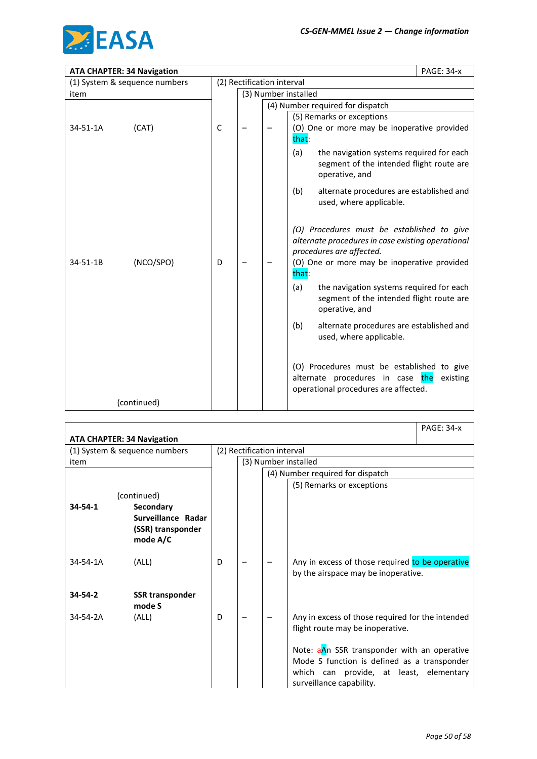

|          | <b>ATA CHAPTER: 34 Navigation</b> |   |                            |  | <b>PAGE: 34-x</b>                                                                                                                                                                   |  |  |  |
|----------|-----------------------------------|---|----------------------------|--|-------------------------------------------------------------------------------------------------------------------------------------------------------------------------------------|--|--|--|
|          | (1) System & sequence numbers     |   | (2) Rectification interval |  |                                                                                                                                                                                     |  |  |  |
| item     |                                   |   |                            |  | (3) Number installed                                                                                                                                                                |  |  |  |
|          |                                   |   |                            |  | (4) Number required for dispatch                                                                                                                                                    |  |  |  |
|          |                                   |   |                            |  | (5) Remarks or exceptions                                                                                                                                                           |  |  |  |
| 34-51-1A | (CAT)                             | C |                            |  | (O) One or more may be inoperative provided<br>that:                                                                                                                                |  |  |  |
|          |                                   |   |                            |  | (a)<br>the navigation systems required for each<br>segment of the intended flight route are<br>operative, and                                                                       |  |  |  |
|          |                                   |   |                            |  | (b)<br>alternate procedures are established and<br>used, where applicable.                                                                                                          |  |  |  |
| 34-51-1B | (NCO/SPO)                         | D |                            |  | (O) Procedures must be established to give<br>alternate procedures in case existing operational<br>procedures are affected.<br>(O) One or more may be inoperative provided<br>that: |  |  |  |
|          |                                   |   |                            |  | the navigation systems required for each<br>(a)<br>segment of the intended flight route are<br>operative, and                                                                       |  |  |  |
|          |                                   |   |                            |  | (b)<br>alternate procedures are established and<br>used, where applicable.                                                                                                          |  |  |  |
|          |                                   |   |                            |  | (O) Procedures must be established to give<br>alternate procedures in case the<br>existing<br>operational procedures are affected.                                                  |  |  |  |
|          | (continued)                       |   |                            |  |                                                                                                                                                                                     |  |  |  |

|                | <b>ATA CHAPTER: 34 Navigation</b> |   |                            |  |                                                                                                                                                                   | <b>PAGE: 34-x</b> |  |  |
|----------------|-----------------------------------|---|----------------------------|--|-------------------------------------------------------------------------------------------------------------------------------------------------------------------|-------------------|--|--|
|                | (1) System & sequence numbers     |   | (2) Rectification interval |  |                                                                                                                                                                   |                   |  |  |
| item           |                                   |   |                            |  | (3) Number installed                                                                                                                                              |                   |  |  |
|                |                                   |   |                            |  | (4) Number required for dispatch                                                                                                                                  |                   |  |  |
|                |                                   |   |                            |  | (5) Remarks or exceptions                                                                                                                                         |                   |  |  |
|                | (continued)                       |   |                            |  |                                                                                                                                                                   |                   |  |  |
| $34 - 54 - 1$  | <b>Secondary</b>                  |   |                            |  |                                                                                                                                                                   |                   |  |  |
|                | Surveillance Radar                |   |                            |  |                                                                                                                                                                   |                   |  |  |
|                | (SSR) transponder<br>mode A/C     |   |                            |  |                                                                                                                                                                   |                   |  |  |
|                |                                   |   |                            |  |                                                                                                                                                                   |                   |  |  |
| $34 - 54 - 1A$ | (ALL)                             | D |                            |  | Any in excess of those required to be operative<br>by the airspace may be inoperative.                                                                            |                   |  |  |
| $34 - 54 - 2$  | <b>SSR transponder</b><br>mode S  |   |                            |  |                                                                                                                                                                   |                   |  |  |
| 34-54-2A       | (ALL)                             | D |                            |  | Any in excess of those required for the intended<br>flight route may be inoperative.                                                                              |                   |  |  |
|                |                                   |   |                            |  | Note: aAn SSR transponder with an operative<br>Mode S function is defined as a transponder<br>which can provide, at least, elementary<br>surveillance capability. |                   |  |  |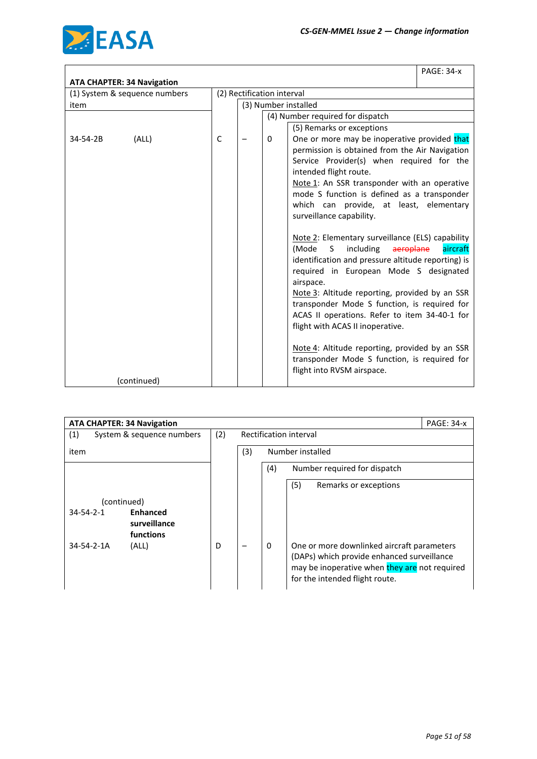

|                                                                    |             |                            |   |                                                                                                                                                                                                                                                                                                                                                                                                                                                                                                                                                                                                                                                                                                                                                                                                                                                                                                           | <b>PAGE: 34-x</b> |
|--------------------------------------------------------------------|-------------|----------------------------|---|-----------------------------------------------------------------------------------------------------------------------------------------------------------------------------------------------------------------------------------------------------------------------------------------------------------------------------------------------------------------------------------------------------------------------------------------------------------------------------------------------------------------------------------------------------------------------------------------------------------------------------------------------------------------------------------------------------------------------------------------------------------------------------------------------------------------------------------------------------------------------------------------------------------|-------------------|
| <b>ATA CHAPTER: 34 Navigation</b><br>(1) System & sequence numbers |             | (2) Rectification interval |   |                                                                                                                                                                                                                                                                                                                                                                                                                                                                                                                                                                                                                                                                                                                                                                                                                                                                                                           |                   |
| item                                                               |             |                            |   | (3) Number installed                                                                                                                                                                                                                                                                                                                                                                                                                                                                                                                                                                                                                                                                                                                                                                                                                                                                                      |                   |
|                                                                    |             |                            |   | (4) Number required for dispatch                                                                                                                                                                                                                                                                                                                                                                                                                                                                                                                                                                                                                                                                                                                                                                                                                                                                          |                   |
| (ALL)<br>34-54-2B                                                  | $\mathsf C$ |                            | 0 | (5) Remarks or exceptions<br>One or more may be inoperative provided that<br>permission is obtained from the Air Navigation<br>Service Provider(s) when required for the<br>intended flight route.<br>Note 1: An SSR transponder with an operative<br>mode S function is defined as a transponder<br>which can provide, at least, elementary<br>surveillance capability.<br>Note 2: Elementary surveillance (ELS) capability<br>including<br>(Mode<br>aeroplane<br>S.<br>identification and pressure altitude reporting) is<br>required in European Mode S designated<br>airspace.<br>Note 3: Altitude reporting, provided by an SSR<br>transponder Mode S function, is required for<br>ACAS II operations. Refer to item 34-40-1 for<br>flight with ACAS II inoperative.<br>Note 4: Altitude reporting, provided by an SSR<br>transponder Mode S function, is required for<br>flight into RVSM airspace. | aircraft          |
| (continued)                                                        |             |                            |   |                                                                                                                                                                                                                                                                                                                                                                                                                                                                                                                                                                                                                                                                                                                                                                                                                                                                                                           |                   |

| <b>ATA CHAPTER: 34 Navigation</b>                    |     |     | <b>PAGE: 34-x</b>                                                                                                                                                                |
|------------------------------------------------------|-----|-----|----------------------------------------------------------------------------------------------------------------------------------------------------------------------------------|
| (1)<br>System & sequence numbers                     | (2) |     | Rectification interval                                                                                                                                                           |
| item                                                 |     | (3) | Number installed                                                                                                                                                                 |
|                                                      |     |     | (4)<br>Number required for dispatch                                                                                                                                              |
|                                                      |     |     | (5)<br>Remarks or exceptions                                                                                                                                                     |
| (continued)                                          |     |     |                                                                                                                                                                                  |
| <b>Enhanced</b><br>$34 - 54 - 2 - 1$<br>surveillance |     |     |                                                                                                                                                                                  |
| functions                                            |     |     |                                                                                                                                                                                  |
| $34 - 54 - 2 - 1A$<br>(ALL)                          | D   |     | 0<br>One or more downlinked aircraft parameters<br>(DAPs) which provide enhanced surveillance<br>may be inoperative when they are not required<br>for the intended flight route. |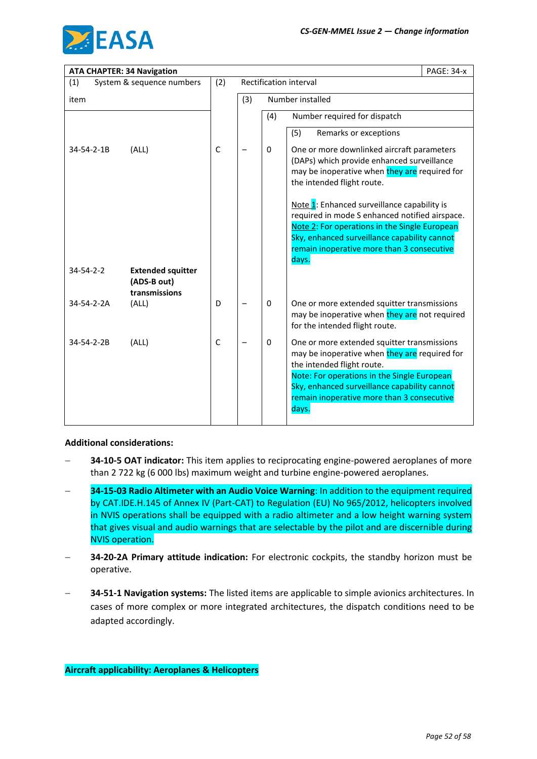

| <b>ATA CHAPTER: 34 Navigation</b> |                                                          |             |     |          |                                                                                                                                                                                                                                                                                  | <b>PAGE: 34-x</b> |
|-----------------------------------|----------------------------------------------------------|-------------|-----|----------|----------------------------------------------------------------------------------------------------------------------------------------------------------------------------------------------------------------------------------------------------------------------------------|-------------------|
| (1)                               | System & sequence numbers                                | (2)         |     |          | Rectification interval                                                                                                                                                                                                                                                           |                   |
| item                              |                                                          |             | (3) |          | Number installed                                                                                                                                                                                                                                                                 |                   |
|                                   |                                                          |             |     | (4)      | Number required for dispatch                                                                                                                                                                                                                                                     |                   |
|                                   |                                                          |             |     |          | (5)<br>Remarks or exceptions                                                                                                                                                                                                                                                     |                   |
| 34-54-2-1B                        | (ALL)                                                    | $\mathsf C$ |     | 0        | One or more downlinked aircraft parameters<br>(DAPs) which provide enhanced surveillance<br>may be inoperative when they are required for<br>the intended flight route.                                                                                                          |                   |
|                                   |                                                          |             |     |          | Note 1: Enhanced surveillance capability is<br>required in mode S enhanced notified airspace.<br>Note 2: For operations in the Single European<br>Sky, enhanced surveillance capability cannot<br>remain inoperative more than 3 consecutive<br>days.                            |                   |
| $34 - 54 - 2 - 2$                 | <b>Extended squitter</b><br>(ADS-B out)<br>transmissions |             |     |          |                                                                                                                                                                                                                                                                                  |                   |
| 34-54-2-2A                        | (ALL)                                                    | D           |     | $\Omega$ | One or more extended squitter transmissions<br>may be inoperative when they are not required<br>for the intended flight route.                                                                                                                                                   |                   |
| 34-54-2-2B                        | (ALL)                                                    | $\mathsf C$ |     | 0        | One or more extended squitter transmissions<br>may be inoperative when they are required for<br>the intended flight route.<br>Note: For operations in the Single European<br>Sky, enhanced surveillance capability cannot<br>remain inoperative more than 3 consecutive<br>days. |                   |

#### **Additional considerations:**

- **34-10-5 OAT indicator:** This item applies to reciprocating engine-powered aeroplanes of more than 2 722 kg (6 000 lbs) maximum weight and turbine engine-powered aeroplanes.
- − **34-15-03 Radio Altimeter with an Audio Voice Warning**: In addition to the equipment required by CAT.IDE.H.145 of Annex IV (Part-CAT) to Regulation (EU) No 965/2012, helicopters involved in NVIS operations shall be equipped with a radio altimeter and a low height warning system that gives visual and audio warnings that are selectable by the pilot and are discernible during NVIS operation.
- − **34-20-2A Primary attitude indication:** For electronic cockpits, the standby horizon must be operative.
- − **34-51-1 Navigation systems:** The listed items are applicable to simple avionics architectures. In cases of more complex or more integrated architectures, the dispatch conditions need to be adapted accordingly.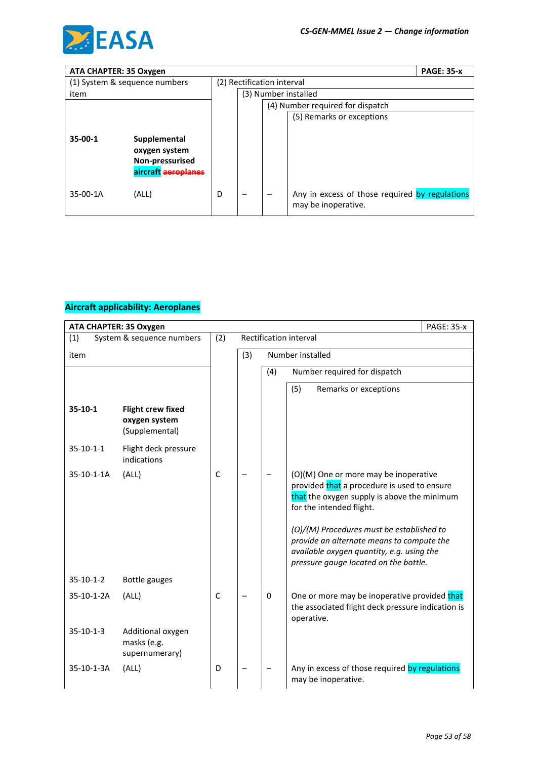

| ATA CHAPTER: 35 Oxygen |                                                                         |                            |  |  |                                                                       | <b>PAGE: 35-x</b> |
|------------------------|-------------------------------------------------------------------------|----------------------------|--|--|-----------------------------------------------------------------------|-------------------|
|                        | (1) System & sequence numbers                                           | (2) Rectification interval |  |  |                                                                       |                   |
| item                   |                                                                         |                            |  |  | (3) Number installed                                                  |                   |
|                        |                                                                         |                            |  |  | (4) Number required for dispatch                                      |                   |
|                        |                                                                         |                            |  |  | (5) Remarks or exceptions                                             |                   |
| $35-00-1$              | Supplemental<br>oxygen system<br>Non-pressurised<br>aircraft aeroplanes |                            |  |  |                                                                       |                   |
| 35-00-1A               | (ALL)                                                                   | D                          |  |  | Any in excess of those required by regulations<br>may be inoperative. |                   |

|             | ATA CHAPTER: 35 Oxygen                                      |              |     |     |                                                                                                                                                                                                                                                                                                                                                 | <b>PAGE: 35-x</b> |
|-------------|-------------------------------------------------------------|--------------|-----|-----|-------------------------------------------------------------------------------------------------------------------------------------------------------------------------------------------------------------------------------------------------------------------------------------------------------------------------------------------------|-------------------|
| (1)         | System & sequence numbers                                   | (2)          |     |     | Rectification interval                                                                                                                                                                                                                                                                                                                          |                   |
| item        |                                                             |              | (3) |     | Number installed                                                                                                                                                                                                                                                                                                                                |                   |
|             |                                                             |              |     | (4) | Number required for dispatch                                                                                                                                                                                                                                                                                                                    |                   |
|             |                                                             |              |     |     | (5)<br>Remarks or exceptions                                                                                                                                                                                                                                                                                                                    |                   |
| $35-10-1$   | <b>Flight crew fixed</b><br>oxygen system<br>(Supplemental) |              |     |     |                                                                                                                                                                                                                                                                                                                                                 |                   |
| $35-10-1-1$ | Flight deck pressure<br>indications                         |              |     |     |                                                                                                                                                                                                                                                                                                                                                 |                   |
| 35-10-1-1A  | (ALL)                                                       | $\mathsf{C}$ |     |     | (O)(M) One or more may be inoperative<br>provided that a procedure is used to ensure<br>that the oxygen supply is above the minimum<br>for the intended flight.<br>(O)/(M) Procedures must be established to<br>provide an alternate means to compute the<br>available oxygen quantity, e.g. using the<br>pressure gauge located on the bottle. |                   |
| $35-10-1-2$ | Bottle gauges                                               |              |     |     |                                                                                                                                                                                                                                                                                                                                                 |                   |
| 35-10-1-2A  | (ALL)                                                       | C            |     | 0   | One or more may be inoperative provided that<br>the associated flight deck pressure indication is<br>operative.                                                                                                                                                                                                                                 |                   |
| $35-10-1-3$ | Additional oxygen<br>masks (e.g.<br>supernumerary)          |              |     |     |                                                                                                                                                                                                                                                                                                                                                 |                   |
| 35-10-1-3A  | (ALL)                                                       | D            |     |     | Any in excess of those required by regulations<br>may be inoperative.                                                                                                                                                                                                                                                                           |                   |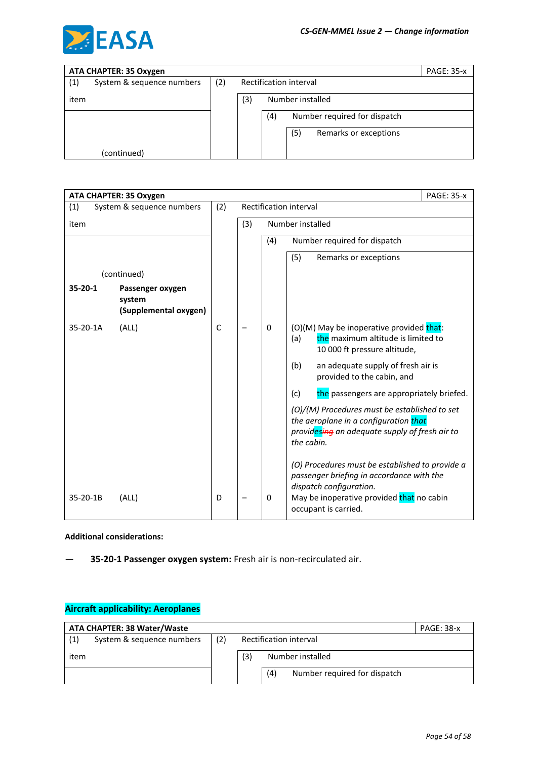

|      | ATA CHAPTER: 35 Oxygen    |     |                        |     |                  |                              | <b>PAGE: 35-x</b> |
|------|---------------------------|-----|------------------------|-----|------------------|------------------------------|-------------------|
| (1)  | System & sequence numbers | (2) | Rectification interval |     |                  |                              |                   |
| item |                           |     | (3)                    |     | Number installed |                              |                   |
|      |                           |     |                        | (4) |                  | Number required for dispatch |                   |
|      |                           |     |                        |     | (5)              | Remarks or exceptions        |                   |
|      | (continued)               |     |                        |     |                  |                              |                   |

|          | ATA CHAPTER: 35 Oxygen                              |              |     |     |                                                                                                                                                                                              | <b>PAGE: 35-x</b> |
|----------|-----------------------------------------------------|--------------|-----|-----|----------------------------------------------------------------------------------------------------------------------------------------------------------------------------------------------|-------------------|
| (1)      | System & sequence numbers                           | (2)          |     |     | Rectification interval                                                                                                                                                                       |                   |
| item     |                                                     |              | (3) |     | Number installed                                                                                                                                                                             |                   |
|          |                                                     |              |     | (4) | Number required for dispatch                                                                                                                                                                 |                   |
|          |                                                     |              |     |     | (5)<br>Remarks or exceptions                                                                                                                                                                 |                   |
|          | (continued)                                         |              |     |     |                                                                                                                                                                                              |                   |
| 35-20-1  | Passenger oxygen<br>system<br>(Supplemental oxygen) |              |     |     |                                                                                                                                                                                              |                   |
| 35-20-1A | (ALL)                                               | $\mathsf{C}$ |     | 0   | (O)(M) May be inoperative provided that:<br>the maximum altitude is limited to<br>(a)<br>10 000 ft pressure altitude,                                                                        |                   |
|          |                                                     |              |     |     | (b)<br>an adequate supply of fresh air is<br>provided to the cabin, and                                                                                                                      |                   |
|          |                                                     |              |     |     | the passengers are appropriately briefed.<br>(c)                                                                                                                                             |                   |
|          |                                                     |              |     |     | (O)/(M) Procedures must be established to set<br>the aeroplane in a configuration that<br>providesing an adequate supply of fresh air to<br>the cabin.                                       |                   |
| 35-20-1B | (ALL)                                               | D            |     | 0   | (O) Procedures must be established to provide a<br>passenger briefing in accordance with the<br>dispatch configuration.<br>May be inoperative provided that no cabin<br>occupant is carried. |                   |

**Additional considerations:**

— **35-20-1 Passenger oxygen system:** Fresh air is non-recirculated air.

|      | <b>ATA CHAPTER: 38 Water/Waste</b> |                               |     |                                     | <b>PAGE: 38-x</b> |
|------|------------------------------------|-------------------------------|-----|-------------------------------------|-------------------|
| (1)  | System & sequence numbers          | (2)<br>Rectification interval |     |                                     |                   |
| item |                                    |                               | (3) | Number installed                    |                   |
|      |                                    |                               |     | (4)<br>Number required for dispatch |                   |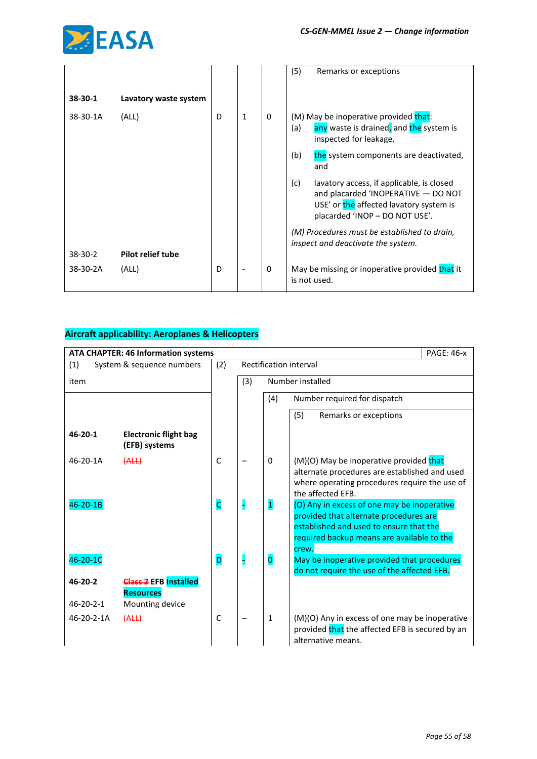

|           |                          |   |                          |          | (5)<br>Remarks or exceptions                                                                                                                                         |
|-----------|--------------------------|---|--------------------------|----------|----------------------------------------------------------------------------------------------------------------------------------------------------------------------|
| $38-30-1$ | Lavatory waste system    |   |                          |          |                                                                                                                                                                      |
| 38-30-1A  | (ALL)                    | D | $\mathbf{1}$             | $\Omega$ | (M) May be inoperative provided that:<br>any waste is drained, and the system is<br>(a)<br>inspected for leakage,                                                    |
|           |                          |   |                          |          | the system components are deactivated,<br>(b)<br>and                                                                                                                 |
|           |                          |   |                          |          | (c)<br>lavatory access, if applicable, is closed<br>and placarded 'INOPERATIVE - DO NOT<br>USE' or the affected lavatory system is<br>placarded 'INOP - DO NOT USE'. |
|           |                          |   |                          |          | (M) Procedures must be established to drain,<br>inspect and deactivate the system.                                                                                   |
| $38-30-2$ | <b>Pilot relief tube</b> |   |                          |          |                                                                                                                                                                      |
| 38-30-2A  | (ALL)                    | D | $\overline{\phantom{a}}$ | $\Omega$ | May be missing or inoperative provided that it<br>is not used.                                                                                                       |

|                   | <b>ATA CHAPTER: 46 Information systems</b>    |                         |     |                         | <b>PAGE: 46-x</b>                                                                                                                                                              |  |
|-------------------|-----------------------------------------------|-------------------------|-----|-------------------------|--------------------------------------------------------------------------------------------------------------------------------------------------------------------------------|--|
| (1)               | System & sequence numbers                     | (2)                     |     |                         | Rectification interval                                                                                                                                                         |  |
| item              |                                               |                         | (3) |                         | Number installed                                                                                                                                                               |  |
|                   |                                               |                         |     | (4)                     | Number required for dispatch                                                                                                                                                   |  |
|                   |                                               |                         |     |                         | (5)<br>Remarks or exceptions                                                                                                                                                   |  |
| $46 - 20 - 1$     | <b>Electronic flight bag</b><br>(EFB) systems |                         |     |                         |                                                                                                                                                                                |  |
| 46-20-1A          | (ALL)                                         | $\mathsf{C}$            |     | $\Omega$                | (M)(O) May be inoperative provided that<br>alternate procedures are established and used<br>where operating procedures require the use of<br>the affected EFB.                 |  |
| 46-20-1B          |                                               | $\overline{\mathsf{C}}$ |     | $\overline{\mathbf{1}}$ | (O) Any in excess of one may be inoperative<br>provided that alternate procedures are<br>established and used to ensure that the<br>required backup means are available to the |  |
| 46-20-1C          |                                               | D                       |     | $\overline{\mathbf{0}}$ | crew.<br>May be inoperative provided that procedures<br>do not require the use of the affected EFB.                                                                            |  |
| 46-20-2           | <b>Class-2</b> EFB Installed                  |                         |     |                         |                                                                                                                                                                                |  |
| $46 - 20 - 2 - 1$ | <b>Resources</b><br>Mounting device           |                         |     |                         |                                                                                                                                                                                |  |
| 46-20-2-1A        | (ALL)                                         | C                       |     | $\mathbf{1}$            | (M)(O) Any in excess of one may be inoperative<br>provided that the affected EFB is secured by an<br>alternative means.                                                        |  |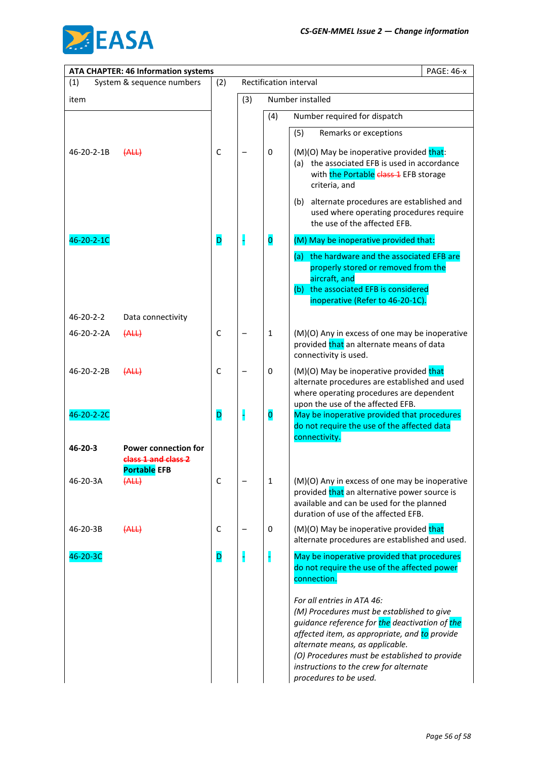

|                   | <b>ATA CHAPTER: 46 Information systems</b> |             |     |                         | <b>PAGE: 46-x</b>                                                                                                                                                                                                                                                                                                                   |
|-------------------|--------------------------------------------|-------------|-----|-------------------------|-------------------------------------------------------------------------------------------------------------------------------------------------------------------------------------------------------------------------------------------------------------------------------------------------------------------------------------|
| (1)               | System & sequence numbers                  | (2)         |     |                         | Rectification interval                                                                                                                                                                                                                                                                                                              |
| item              |                                            |             | (3) |                         | Number installed                                                                                                                                                                                                                                                                                                                    |
|                   |                                            |             |     | (4)                     | Number required for dispatch                                                                                                                                                                                                                                                                                                        |
|                   |                                            |             |     |                         | (5)<br>Remarks or exceptions                                                                                                                                                                                                                                                                                                        |
| 46-20-2-1B        | (ALL)                                      | $\mathsf C$ |     | 0                       | (M)(O) May be inoperative provided that:<br>(a) the associated EFB is used in accordance<br>with the Portable class 1 EFB storage<br>criteria, and                                                                                                                                                                                  |
|                   |                                            |             |     |                         | (b) alternate procedures are established and<br>used where operating procedures require<br>the use of the affected EFB.                                                                                                                                                                                                             |
| 46-20-2-1C        |                                            | D           |     | $\overline{\mathbf{0}}$ | (M) May be inoperative provided that:                                                                                                                                                                                                                                                                                               |
|                   |                                            |             |     |                         | (a) the hardware and the associated EFB are<br>properly stored or removed from the<br>aircraft, and<br>(b) the associated EFB is considered<br>inoperative (Refer to 46-20-1C).                                                                                                                                                     |
| $46 - 20 - 2 - 2$ | Data connectivity                          |             |     |                         |                                                                                                                                                                                                                                                                                                                                     |
| 46-20-2-2A        | (ALL)                                      | $\mathsf C$ |     | $\mathbf{1}$            | (M)(O) Any in excess of one may be inoperative<br>provided that an alternate means of data<br>connectivity is used.                                                                                                                                                                                                                 |
| 46-20-2-2B        | (ALL)                                      | $\mathsf C$ |     | 0                       | (M)(O) May be inoperative provided that<br>alternate procedures are established and used<br>where operating procedures are dependent<br>upon the use of the affected EFB.                                                                                                                                                           |
| 46-20-2-2C        |                                            | D           | H   | $\overline{\mathbf{0}}$ | May be inoperative provided that procedures<br>do not require the use of the affected data<br>connectivity.                                                                                                                                                                                                                         |
| $46 - 20 - 3$     | <b>Power connection for</b>                |             |     |                         |                                                                                                                                                                                                                                                                                                                                     |
|                   | class 1 and class 2<br><b>Portable EFB</b> |             |     |                         |                                                                                                                                                                                                                                                                                                                                     |
| 46-20-3A          | (ALL)                                      | $\mathsf C$ |     | 1                       | (M)(O) Any in excess of one may be inoperative<br>provided that an alternative power source is<br>available and can be used for the planned<br>duration of use of the affected EFB.                                                                                                                                                 |
| 46-20-3B          | (ALL)                                      | $\mathsf C$ |     | 0                       | (M)(O) May be inoperative provided that<br>alternate procedures are established and used.                                                                                                                                                                                                                                           |
| 46-20-3C          |                                            | D           |     | H                       | May be inoperative provided that procedures<br>do not require the use of the affected power<br>connection.                                                                                                                                                                                                                          |
|                   |                                            |             |     |                         | For all entries in ATA 46:<br>(M) Procedures must be established to give<br>guidance reference for the deactivation of the<br>affected item, as appropriate, and to provide<br>alternate means, as applicable.<br>(O) Procedures must be established to provide<br>instructions to the crew for alternate<br>procedures to be used. |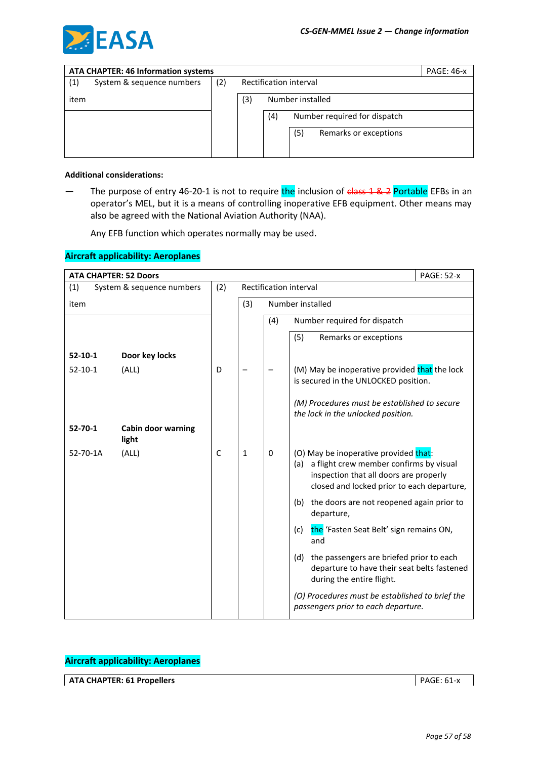

|      | <b>ATA CHAPTER: 46 Information systems</b><br><b>PAGE: 46-x</b> |     |                        |     |                              |                       |  |
|------|-----------------------------------------------------------------|-----|------------------------|-----|------------------------------|-----------------------|--|
| (1)  | System & sequence numbers                                       | (2) | Rectification interval |     |                              |                       |  |
| item |                                                                 |     | (3)                    |     |                              |                       |  |
|      |                                                                 |     |                        | (4) | Number required for dispatch |                       |  |
|      |                                                                 |     |                        |     | (5)                          | Remarks or exceptions |  |
|      |                                                                 |     |                        |     |                              |                       |  |

#### **Additional considerations:**

— The purpose of entry 46-20-1 is not to require the inclusion of class 1 & 2 Portable EFBs in an operator's MEL, but it is a means of controlling inoperative EFB equipment. Other means may also be agreed with the National Aviation Authority (NAA).

Any EFB function which operates normally may be used.

### **Aircraft applicability: Aeroplanes**

| <b>ATA CHAPTER: 52 Doors</b> |                             |              |              |     | <b>PAGE: 52-x</b>                                                                                                                                                               |
|------------------------------|-----------------------------|--------------|--------------|-----|---------------------------------------------------------------------------------------------------------------------------------------------------------------------------------|
| (1)                          | System & sequence numbers   | (2)          |              |     | Rectification interval                                                                                                                                                          |
| item                         |                             |              | (3)          |     | Number installed                                                                                                                                                                |
|                              |                             |              |              | (4) | Number required for dispatch                                                                                                                                                    |
|                              |                             |              |              |     | (5)<br>Remarks or exceptions                                                                                                                                                    |
| $52 - 10 - 1$                | Door key locks              |              |              |     |                                                                                                                                                                                 |
| $52 - 10 - 1$                | (ALL)                       | D            |              |     | (M) May be inoperative provided that the lock<br>is secured in the UNLOCKED position.                                                                                           |
|                              |                             |              |              |     | (M) Procedures must be established to secure<br>the lock in the unlocked position.                                                                                              |
| $52 - 70 - 1$                | Cabin door warning<br>light |              |              |     |                                                                                                                                                                                 |
| 52-70-1A                     | (ALL)                       | $\mathsf{C}$ | $\mathbf{1}$ | 0   | (O) May be inoperative provided that:<br>a flight crew member confirms by visual<br>(a)<br>inspection that all doors are properly<br>closed and locked prior to each departure, |
|                              |                             |              |              |     | (b) the doors are not reopened again prior to<br>departure,                                                                                                                     |
|                              |                             |              |              |     | the 'Fasten Seat Belt' sign remains ON,<br>(c)<br>and                                                                                                                           |
|                              |                             |              |              |     | the passengers are briefed prior to each<br>(d)<br>departure to have their seat belts fastened<br>during the entire flight.                                                     |
|                              |                             |              |              |     | (O) Procedures must be established to brief the<br>passengers prior to each departure.                                                                                          |